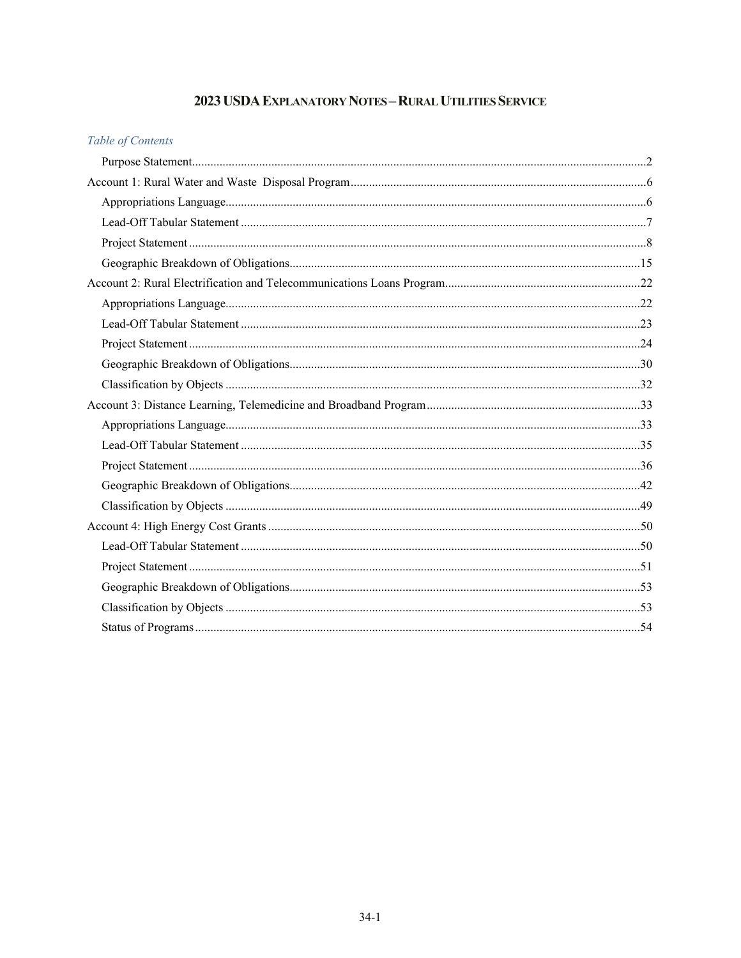# 2023 USDA EXPLANATORY NOTES - RURAL UTILITIES SERVICE

# Table of Contents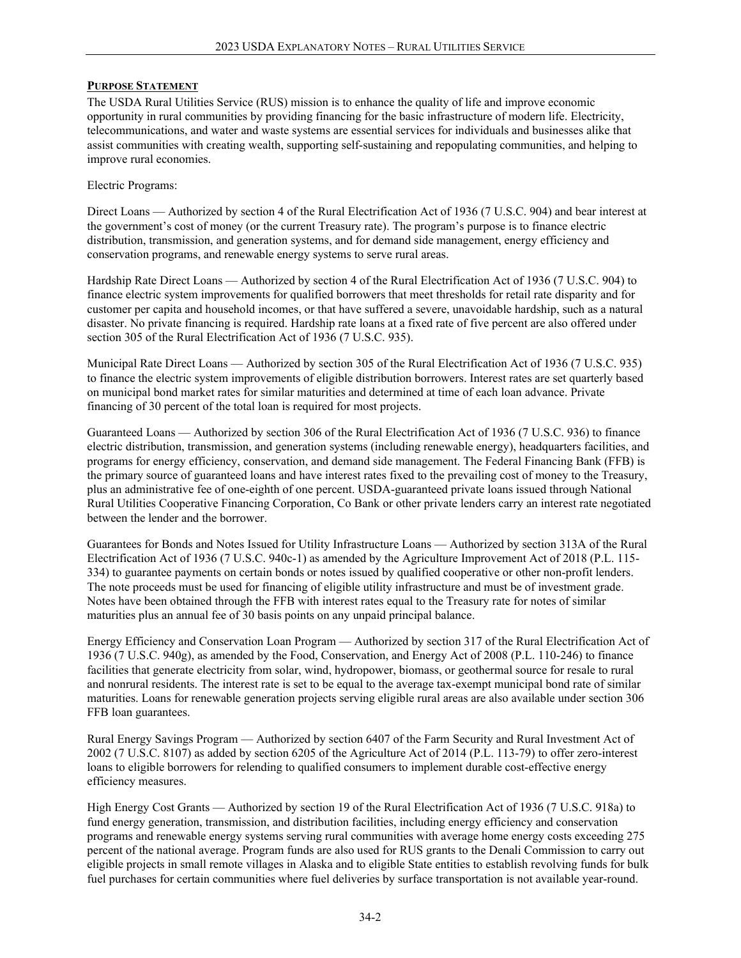# <span id="page-1-0"></span>**PURPOSE STATEMENT**

The USDA Rural Utilities Service (RUS) mission is to enhance the quality of life and improve economic opportunity in rural communities by providing financing for the basic infrastructure of modern life. Electricity, telecommunications, and water and waste systems are essential services for individuals and businesses alike that assist communities with creating wealth, supporting self-sustaining and repopulating communities, and helping to improve rural economies.

Electric Programs:

Direct Loans — Authorized by section 4 of the Rural Electrification Act of 1936 (7 U.S.C. 904) and bear interest at the government's cost of money (or the current Treasury rate). The program's purpose is to finance electric distribution, transmission, and generation systems, and for demand side management, energy efficiency and conservation programs, and renewable energy systems to serve rural areas.

Hardship Rate Direct Loans — Authorized by section 4 of the Rural Electrification Act of 1936 (7 U.S.C. 904) to finance electric system improvements for qualified borrowers that meet thresholds for retail rate disparity and for customer per capita and household incomes, or that have suffered a severe, unavoidable hardship, such as a natural disaster. No private financing is required. Hardship rate loans at a fixed rate of five percent are also offered under section 305 of the Rural Electrification Act of 1936 (7 U.S.C. 935).

Municipal Rate Direct Loans — Authorized by section 305 of the Rural Electrification Act of 1936 (7 U.S.C. 935) to finance the electric system improvements of eligible distribution borrowers. Interest rates are set quarterly based on municipal bond market rates for similar maturities and determined at time of each loan advance. Private financing of 30 percent of the total loan is required for most projects.

Guaranteed Loans — Authorized by section 306 of the Rural Electrification Act of 1936 (7 U.S.C. 936) to finance electric distribution, transmission, and generation systems (including renewable energy), headquarters facilities, and programs for energy efficiency, conservation, and demand side management. The Federal Financing Bank (FFB) is the primary source of guaranteed loans and have interest rates fixed to the prevailing cost of money to the Treasury, plus an administrative fee of one-eighth of one percent. USDA-guaranteed private loans issued through National Rural Utilities Cooperative Financing Corporation, Co Bank or other private lenders carry an interest rate negotiated between the lender and the borrower.

Guarantees for Bonds and Notes Issued for Utility Infrastructure Loans — Authorized by section 313A of the Rural Electrification Act of 1936 (7 U.S.C. 940c-1) as amended by the Agriculture Improvement Act of 2018 (P.L. 115- 334) to guarantee payments on certain bonds or notes issued by qualified cooperative or other non-profit lenders. The note proceeds must be used for financing of eligible utility infrastructure and must be of investment grade. Notes have been obtained through the FFB with interest rates equal to the Treasury rate for notes of similar maturities plus an annual fee of 30 basis points on any unpaid principal balance.

Energy Efficiency and Conservation Loan Program — Authorized by section 317 of the Rural Electrification Act of 1936 (7 U.S.C. 940g), as amended by the Food, Conservation, and Energy Act of 2008 (P.L. 110-246) to finance facilities that generate electricity from solar, wind, hydropower, biomass, or geothermal source for resale to rural and nonrural residents. The interest rate is set to be equal to the average tax-exempt municipal bond rate of similar maturities. Loans for renewable generation projects serving eligible rural areas are also available under section 306 FFB loan guarantees.

Rural Energy Savings Program — Authorized by section 6407 of the Farm Security and Rural Investment Act of 2002 (7 U.S.C. 8107) as added by section 6205 of the Agriculture Act of 2014 (P.L. 113-79) to offer zero-interest loans to eligible borrowers for relending to qualified consumers to implement durable cost-effective energy efficiency measures.

High Energy Cost Grants — Authorized by section 19 of the Rural Electrification Act of 1936 (7 U.S.C. 918a) to fund energy generation, transmission, and distribution facilities, including energy efficiency and conservation programs and renewable energy systems serving rural communities with average home energy costs exceeding 275 percent of the national average. Program funds are also used for RUS grants to the Denali Commission to carry out eligible projects in small remote villages in Alaska and to eligible State entities to establish revolving funds for bulk fuel purchases for certain communities where fuel deliveries by surface transportation is not available year-round.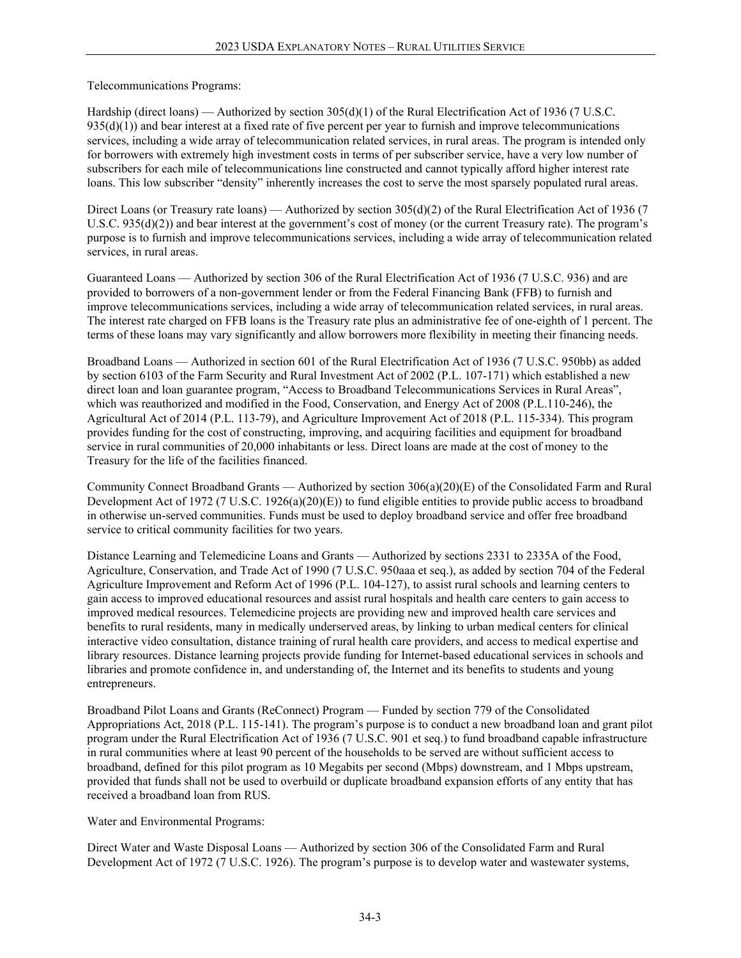Telecommunications Programs:

Hardship (direct loans) — Authorized by section 305(d)(1) of the Rural Electrification Act of 1936 (7 U.S.C. 935(d)(1)) and bear interest at a fixed rate of five percent per year to furnish and improve telecommunications services, including a wide array of telecommunication related services, in rural areas. The program is intended only for borrowers with extremely high investment costs in terms of per subscriber service, have a very low number of subscribers for each mile of telecommunications line constructed and cannot typically afford higher interest rate loans. This low subscriber "density" inherently increases the cost to serve the most sparsely populated rural areas.

Direct Loans (or Treasury rate loans) — Authorized by section 305(d)(2) of the Rural Electrification Act of 1936 (7 U.S.C. 935(d)(2)) and bear interest at the government's cost of money (or the current Treasury rate). The program's purpose is to furnish and improve telecommunications services, including a wide array of telecommunication related services, in rural areas.

Guaranteed Loans — Authorized by section 306 of the Rural Electrification Act of 1936 (7 U.S.C. 936) and are provided to borrowers of a non-government lender or from the Federal Financing Bank (FFB) to furnish and improve telecommunications services, including a wide array of telecommunication related services, in rural areas. The interest rate charged on FFB loans is the Treasury rate plus an administrative fee of one-eighth of 1 percent. The terms of these loans may vary significantly and allow borrowers more flexibility in meeting their financing needs.

Broadband Loans — Authorized in section 601 of the Rural Electrification Act of 1936 (7 U.S.C. 950bb) as added by section 6103 of the Farm Security and Rural Investment Act of 2002 (P.L. 107-171) which established a new direct loan and loan guarantee program, "Access to Broadband Telecommunications Services in Rural Areas", which was reauthorized and modified in the Food, Conservation, and Energy Act of 2008 (P.L.110-246), the Agricultural Act of 2014 (P.L. 113-79), and Agriculture Improvement Act of 2018 (P.L. 115-334). This program provides funding for the cost of constructing, improving, and acquiring facilities and equipment for broadband service in rural communities of 20,000 inhabitants or less. Direct loans are made at the cost of money to the Treasury for the life of the facilities financed.

Community Connect Broadband Grants — Authorized by section 306(a)(20)(E) of the Consolidated Farm and Rural Development Act of 1972 (7 U.S.C. 1926(a)(20)(E)) to fund eligible entities to provide public access to broadband in otherwise un-served communities. Funds must be used to deploy broadband service and offer free broadband service to critical community facilities for two years.

Distance Learning and Telemedicine Loans and Grants — Authorized by sections 2331 to 2335A of the Food, Agriculture, Conservation, and Trade Act of 1990 (7 U.S.C. 950aaa et seq.), as added by section 704 of the Federal Agriculture Improvement and Reform Act of 1996 (P.L. 104-127), to assist rural schools and learning centers to gain access to improved educational resources and assist rural hospitals and health care centers to gain access to improved medical resources. Telemedicine projects are providing new and improved health care services and benefits to rural residents, many in medically underserved areas, by linking to urban medical centers for clinical interactive video consultation, distance training of rural health care providers, and access to medical expertise and library resources. Distance learning projects provide funding for Internet-based educational services in schools and libraries and promote confidence in, and understanding of, the Internet and its benefits to students and young entrepreneurs.

Broadband Pilot Loans and Grants (ReConnect) Program — Funded by section 779 of the Consolidated Appropriations Act, 2018 (P.L. 115-141). The program's purpose is to conduct a new broadband loan and grant pilot program under the Rural Electrification Act of 1936 (7 U.S.C. 901 et seq.) to fund broadband capable infrastructure in rural communities where at least 90 percent of the households to be served are without sufficient access to broadband, defined for this pilot program as 10 Megabits per second (Mbps) downstream, and 1 Mbps upstream, provided that funds shall not be used to overbuild or duplicate broadband expansion efforts of any entity that has received a broadband loan from RUS.

Water and Environmental Programs:

Direct Water and Waste Disposal Loans — Authorized by section 306 of the Consolidated Farm and Rural Development Act of 1972 (7 U.S.C. 1926). The program's purpose is to develop water and wastewater systems,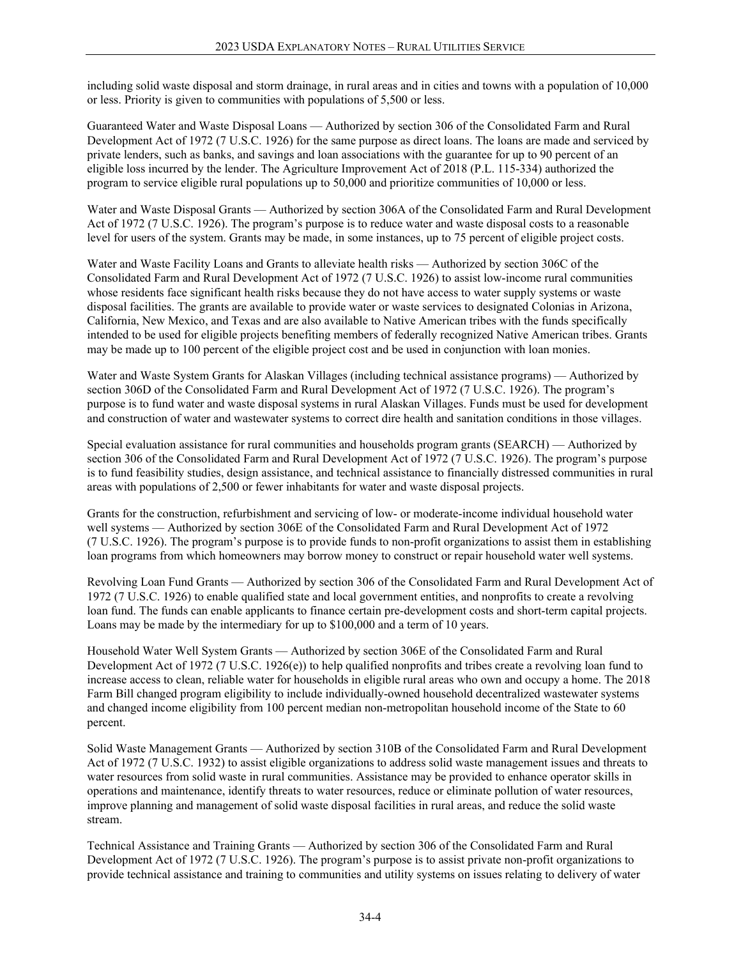including solid waste disposal and storm drainage, in rural areas and in cities and towns with a population of 10,000 or less. Priority is given to communities with populations of 5,500 or less.

Guaranteed Water and Waste Disposal Loans — Authorized by section 306 of the Consolidated Farm and Rural Development Act of 1972 (7 U.S.C. 1926) for the same purpose as direct loans. The loans are made and serviced by private lenders, such as banks, and savings and loan associations with the guarantee for up to 90 percent of an eligible loss incurred by the lender. The Agriculture Improvement Act of 2018 (P.L. 115-334) authorized the program to service eligible rural populations up to 50,000 and prioritize communities of 10,000 or less.

Water and Waste Disposal Grants — Authorized by section 306A of the Consolidated Farm and Rural Development Act of 1972 (7 U.S.C. 1926). The program's purpose is to reduce water and waste disposal costs to a reasonable level for users of the system. Grants may be made, in some instances, up to 75 percent of eligible project costs.

Water and Waste Facility Loans and Grants to alleviate health risks — Authorized by section 306C of the Consolidated Farm and Rural Development Act of 1972 (7 U.S.C. 1926) to assist low-income rural communities whose residents face significant health risks because they do not have access to water supply systems or waste disposal facilities. The grants are available to provide water or waste services to designated Colonias in Arizona, California, New Mexico, and Texas and are also available to Native American tribes with the funds specifically intended to be used for eligible projects benefiting members of federally recognized Native American tribes. Grants may be made up to 100 percent of the eligible project cost and be used in conjunction with loan monies.

Water and Waste System Grants for Alaskan Villages (including technical assistance programs) — Authorized by section 306D of the Consolidated Farm and Rural Development Act of 1972 (7 U.S.C. 1926). The program's purpose is to fund water and waste disposal systems in rural Alaskan Villages. Funds must be used for development and construction of water and wastewater systems to correct dire health and sanitation conditions in those villages.

Special evaluation assistance for rural communities and households program grants (SEARCH) — Authorized by section 306 of the Consolidated Farm and Rural Development Act of 1972 (7 U.S.C. 1926). The program's purpose is to fund feasibility studies, design assistance, and technical assistance to financially distressed communities in rural areas with populations of 2,500 or fewer inhabitants for water and waste disposal projects.

Grants for the construction, refurbishment and servicing of low- or moderate-income individual household water well systems — Authorized by section 306E of the Consolidated Farm and Rural Development Act of 1972 (7 U.S.C. 1926). The program's purpose is to provide funds to non-profit organizations to assist them in establishing loan programs from which homeowners may borrow money to construct or repair household water well systems.

Revolving Loan Fund Grants — Authorized by section 306 of the Consolidated Farm and Rural Development Act of 1972 (7 U.S.C. 1926) to enable qualified state and local government entities, and nonprofits to create a revolving loan fund. The funds can enable applicants to finance certain pre-development costs and short-term capital projects. Loans may be made by the intermediary for up to \$100,000 and a term of 10 years.

Household Water Well System Grants — Authorized by section 306E of the Consolidated Farm and Rural Development Act of 1972 (7 U.S.C. 1926(e)) to help qualified nonprofits and tribes create a revolving loan fund to increase access to clean, reliable water for households in eligible rural areas who own and occupy a home. The 2018 Farm Bill changed program eligibility to include individually-owned household decentralized wastewater systems and changed income eligibility from 100 percent median non-metropolitan household income of the State to 60 percent.

Solid Waste Management Grants — Authorized by section 310B of the Consolidated Farm and Rural Development Act of 1972 (7 U.S.C. 1932) to assist eligible organizations to address solid waste management issues and threats to water resources from solid waste in rural communities. Assistance may be provided to enhance operator skills in operations and maintenance, identify threats to water resources, reduce or eliminate pollution of water resources, improve planning and management of solid waste disposal facilities in rural areas, and reduce the solid waste stream.

Technical Assistance and Training Grants — Authorized by section 306 of the Consolidated Farm and Rural Development Act of 1972 (7 U.S.C. 1926). The program's purpose is to assist private non-profit organizations to provide technical assistance and training to communities and utility systems on issues relating to delivery of water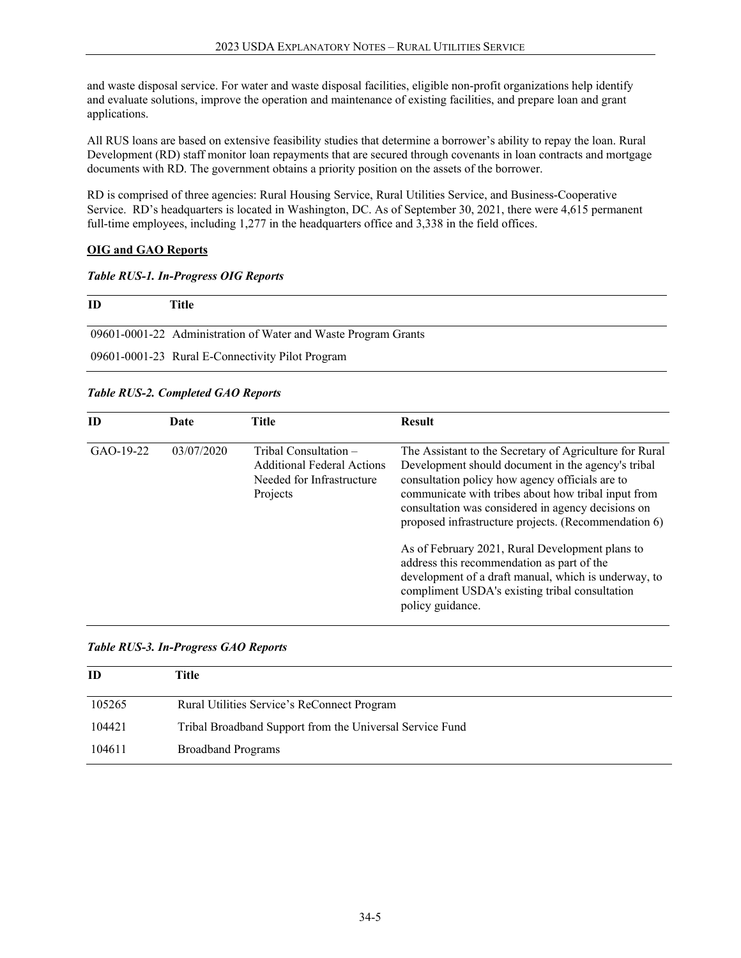and waste disposal service. For water and waste disposal facilities, eligible non-profit organizations help identify and evaluate solutions, improve the operation and maintenance of existing facilities, and prepare loan and grant applications.

All RUS loans are based on extensive feasibility studies that determine a borrower's ability to repay the loan. Rural Development (RD) staff monitor loan repayments that are secured through covenants in loan contracts and mortgage documents with RD. The government obtains a priority position on the assets of the borrower.

RD is comprised of three agencies: Rural Housing Service, Rural Utilities Service, and Business-Cooperative Service. RD's headquarters is located in Washington, DC. As of September 30, 2021, there were 4,615 permanent full-time employees, including 1,277 in the headquarters office and 3,338 in the field offices.

# **OIG and GAO Reports**

# *Table RUS-1. In-Progress OIG Reports*

| ID | Title                                                          |
|----|----------------------------------------------------------------|
|    | 09601-0001-22 Administration of Water and Waste Program Grants |

09601-0001-23 Rural E-Connectivity Pilot Program

# *Table RUS-2. Completed GAO Reports*

| ID        | Date       | <b>Title</b>                                                                                        | <b>Result</b>                                                                                                                                                                                                                                                                                                                                                                                                                          |
|-----------|------------|-----------------------------------------------------------------------------------------------------|----------------------------------------------------------------------------------------------------------------------------------------------------------------------------------------------------------------------------------------------------------------------------------------------------------------------------------------------------------------------------------------------------------------------------------------|
| GAO-19-22 | 03/07/2020 | Tribal Consultation –<br><b>Additional Federal Actions</b><br>Needed for Infrastructure<br>Projects | The Assistant to the Secretary of Agriculture for Rural<br>Development should document in the agency's tribal<br>consultation policy how agency officials are to<br>communicate with tribes about how tribal input from<br>consultation was considered in agency decisions on<br>proposed infrastructure projects. (Recommendation 6)<br>As of February 2021, Rural Development plans to<br>address this recommendation as part of the |
|           |            |                                                                                                     | development of a draft manual, which is underway, to<br>compliment USDA's existing tribal consultation<br>policy guidance.                                                                                                                                                                                                                                                                                                             |

| Table RUS-3. In-Progress GAO Reports |  |  |  |
|--------------------------------------|--|--|--|
|--------------------------------------|--|--|--|

| ID     | Title                                                    |
|--------|----------------------------------------------------------|
| 105265 | Rural Utilities Service's ReConnect Program              |
| 104421 | Tribal Broadband Support from the Universal Service Fund |
| 104611 | <b>Broadband Programs</b>                                |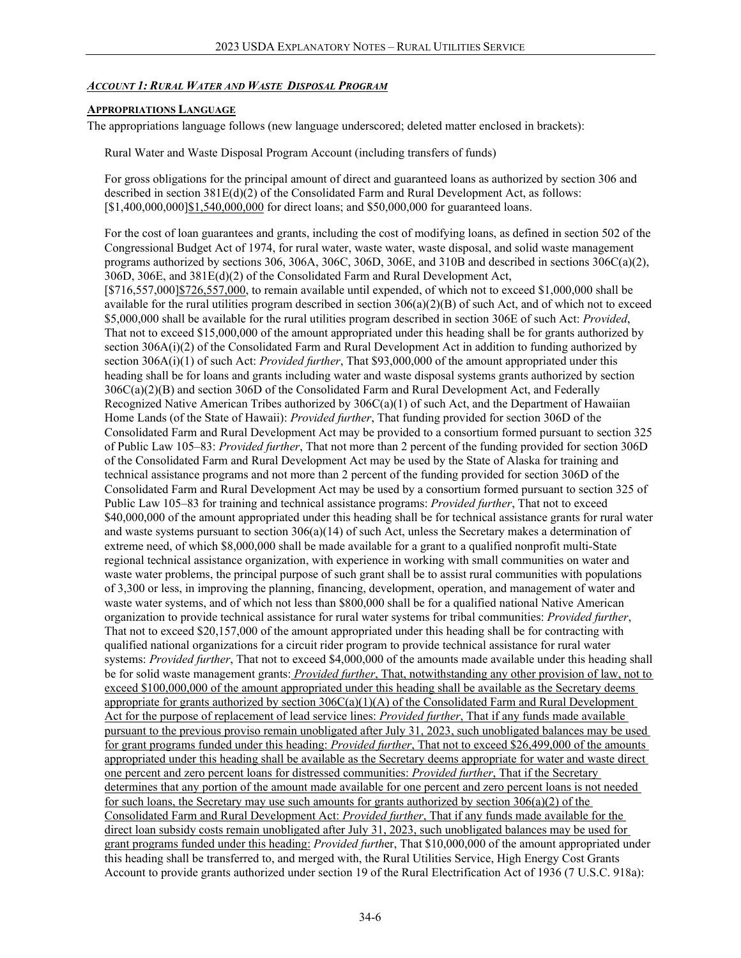### <span id="page-5-0"></span>*ACCOUNT 1: RURAL WATER AND WASTE DISPOSAL PROGRAM*

### <span id="page-5-1"></span>**APPROPRIATIONS LANGUAGE**

The appropriations language follows (new language underscored; deleted matter enclosed in brackets):

Rural Water and Waste Disposal Program Account (including transfers of funds)

For gross obligations for the principal amount of direct and guaranteed loans as authorized by section 306 and described in section 381E(d)(2) of the Consolidated Farm and Rural Development Act, as follows: [\$1,400,000,000]\$1,540,000,000 for direct loans; and \$50,000,000 for guaranteed loans.

For the cost of loan guarantees and grants, including the cost of modifying loans, as defined in section 502 of the Congressional Budget Act of 1974, for rural water, waste water, waste disposal, and solid waste management programs authorized by sections 306, 306A, 306C, 306D, 306E, and 310B and described in sections 306C(a)(2), 306D, 306E, and 381E(d)(2) of the Consolidated Farm and Rural Development Act, [\$716,557,000]\$726,557,000, to remain available until expended, of which not to exceed \$1,000,000 shall be available for the rural utilities program described in section  $306(a)(2)(B)$  of such Act, and of which not to exceed \$5,000,000 shall be available for the rural utilities program described in section 306E of such Act: *Provided*, That not to exceed \$15,000,000 of the amount appropriated under this heading shall be for grants authorized by section 306A(i)(2) of the Consolidated Farm and Rural Development Act in addition to funding authorized by section 306A(i)(1) of such Act: *Provided further*, That \$93,000,000 of the amount appropriated under this heading shall be for loans and grants including water and waste disposal systems grants authorized by section 306C(a)(2)(B) and section 306D of the Consolidated Farm and Rural Development Act, and Federally Recognized Native American Tribes authorized by  $306C(a)(1)$  of such Act, and the Department of Hawaiian Home Lands (of the State of Hawaii): *Provided further*, That funding provided for section 306D of the Consolidated Farm and Rural Development Act may be provided to a consortium formed pursuant to section 325 of Public Law 105–83: *Provided further*, That not more than 2 percent of the funding provided for section 306D of the Consolidated Farm and Rural Development Act may be used by the State of Alaska for training and technical assistance programs and not more than 2 percent of the funding provided for section 306D of the Consolidated Farm and Rural Development Act may be used by a consortium formed pursuant to section 325 of Public Law 105–83 for training and technical assistance programs: *Provided further*, That not to exceed \$40,000,000 of the amount appropriated under this heading shall be for technical assistance grants for rural water and waste systems pursuant to section 306(a)(14) of such Act, unless the Secretary makes a determination of extreme need, of which \$8,000,000 shall be made available for a grant to a qualified nonprofit multi-State regional technical assistance organization, with experience in working with small communities on water and waste water problems, the principal purpose of such grant shall be to assist rural communities with populations of 3,300 or less, in improving the planning, financing, development, operation, and management of water and waste water systems, and of which not less than \$800,000 shall be for a qualified national Native American organization to provide technical assistance for rural water systems for tribal communities: *Provided further*, That not to exceed \$20,157,000 of the amount appropriated under this heading shall be for contracting with qualified national organizations for a circuit rider program to provide technical assistance for rural water systems: *Provided further*, That not to exceed \$4,000,000 of the amounts made available under this heading shall be for solid waste management grants: *Provided further*, That, notwithstanding any other provision of law, not to exceed \$100,000,000 of the amount appropriated under this heading shall be available as the Secretary deems appropriate for grants authorized by section  $306C(a)(1)(A)$  of the Consolidated Farm and Rural Development Act for the purpose of replacement of lead service lines: *Provided further*, That if any funds made available pursuant to the previous proviso remain unobligated after July 31, 2023, such unobligated balances may be used for grant programs funded under this heading: *Provided further*, That not to exceed \$26,499,000 of the amounts appropriated under this heading shall be available as the Secretary deems appropriate for water and waste direct one percent and zero percent loans for distressed communities: *Provided further*, That if the Secretary determines that any portion of the amount made available for one percent and zero percent loans is not needed for such loans, the Secretary may use such amounts for grants authorized by section 306(a)(2) of the Consolidated Farm and Rural Development Act: *Provided further*, That if any funds made available for the direct loan subsidy costs remain unobligated after July 31, 2023, such unobligated balances may be used for grant programs funded under this heading: *Provided furth*er, That \$10,000,000 of the amount appropriated under this heading shall be transferred to, and merged with, the Rural Utilities Service, High Energy Cost Grants Account to provide grants authorized under section 19 of the Rural Electrification Act of 1936 (7 U.S.C. 918a):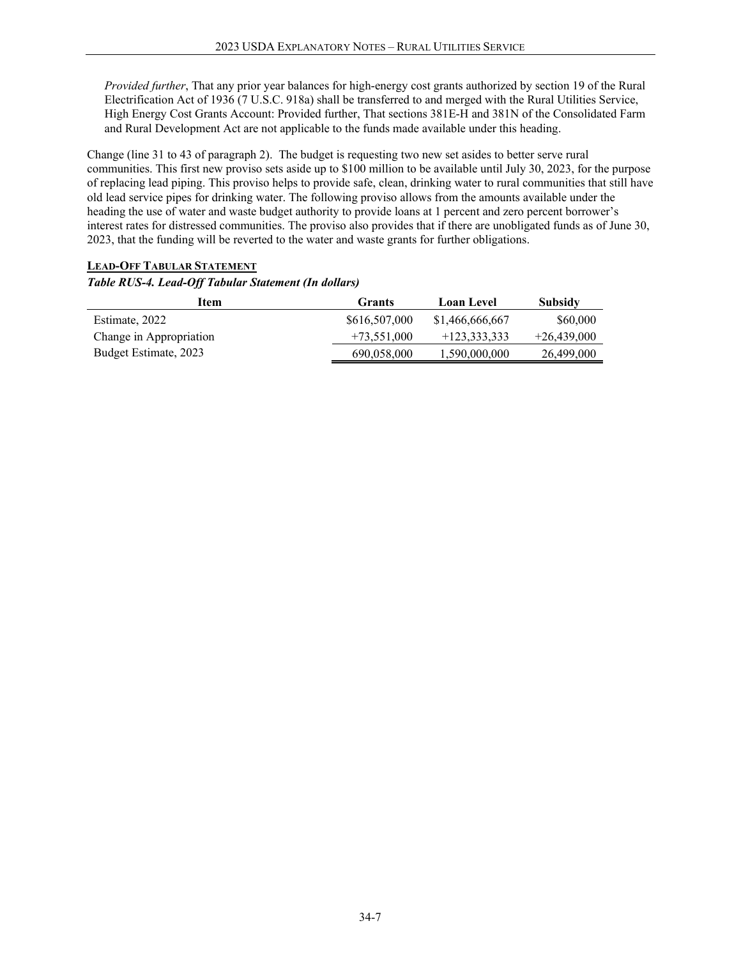*Provided further*, That any prior year balances for high-energy cost grants authorized by section 19 of the Rural Electrification Act of 1936 (7 U.S.C. 918a) shall be transferred to and merged with the Rural Utilities Service, High Energy Cost Grants Account: Provided further, That sections 381E-H and 381N of the Consolidated Farm and Rural Development Act are not applicable to the funds made available under this heading.

Change (line 31 to 43 of paragraph 2). The budget is requesting two new set asides to better serve rural communities. This first new proviso sets aside up to \$100 million to be available until July 30, 2023, for the purpose of replacing lead piping. This proviso helps to provide safe, clean, drinking water to rural communities that still have old lead service pipes for drinking water. The following proviso allows from the amounts available under the heading the use of water and waste budget authority to provide loans at 1 percent and zero percent borrower's interest rates for distressed communities. The proviso also provides that if there are unobligated funds as of June 30, 2023, that the funding will be reverted to the water and waste grants for further obligations.

# <span id="page-6-0"></span>**LEAD-OFF TABULAR STATEMENT**

# *Table RUS-4. Lead-Off Tabular Statement (In dollars)*

| Item                    | Grants        | <b>Loan Level</b> | Subsidy       |
|-------------------------|---------------|-------------------|---------------|
| Estimate, 2022          | \$616,507,000 | \$1,466,666,667   | \$60,000      |
| Change in Appropriation | $+73.551.000$ | $+123,333,333$    | $+26,439,000$ |
| Budget Estimate, 2023   | 690,058,000   | 1,590,000,000     | 26,499,000    |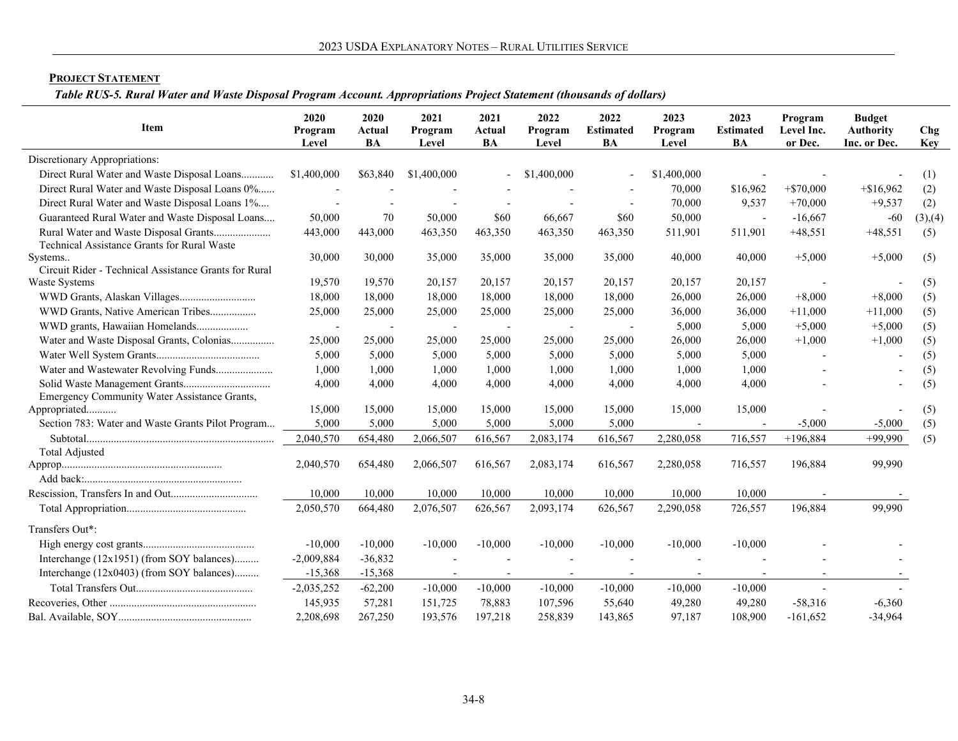# **PROJECT STATEMENT**

*Table RUS-5. Rural Water and Waste Disposal Program Account. Appropriations Project Statement (thousands of dollars)*

<span id="page-7-0"></span>

| Item                                                  | 2020<br>Program<br>Level | 2020<br>Actual<br><b>BA</b> | 2021<br>Program<br>Level | 2021<br>Actual<br>BA | 2022<br>Program<br>Level | 2022<br><b>Estimated</b><br><b>BA</b> | 2023<br>Program<br>Level | 2023<br><b>Estimated</b><br>BA | Program<br>Level Inc.<br>or Dec. | <b>Budget</b><br><b>Authority</b><br>Inc. or Dec. | <b>Chg</b><br><b>Key</b> |
|-------------------------------------------------------|--------------------------|-----------------------------|--------------------------|----------------------|--------------------------|---------------------------------------|--------------------------|--------------------------------|----------------------------------|---------------------------------------------------|--------------------------|
| Discretionary Appropriations:                         |                          |                             |                          |                      |                          |                                       |                          |                                |                                  |                                                   |                          |
| Direct Rural Water and Waste Disposal Loans           | \$1,400,000              | \$63,840                    | \$1,400,000              |                      | \$1,400,000              |                                       | \$1,400,000              |                                |                                  |                                                   | (1)                      |
| Direct Rural Water and Waste Disposal Loans 0%        |                          |                             |                          |                      |                          |                                       | 70,000                   | \$16,962                       | $+\$70,000$                      | $+\$16,962$                                       | (2)                      |
| Direct Rural Water and Waste Disposal Loans 1%        |                          |                             |                          |                      |                          |                                       | 70,000                   | 9,537                          | $+70,000$                        | $+9,537$                                          | (2)                      |
| Guaranteed Rural Water and Waste Disposal Loans       | 50,000                   | 70                          | 50,000                   | \$60                 | 66,667                   | \$60                                  | 50,000                   |                                | $-16,667$                        | $-60$                                             | (3),(4)                  |
| Rural Water and Waste Disposal Grants                 | 443,000                  | 443,000                     | 463,350                  | 463,350              | 463,350                  | 463,350                               | 511,901                  | 511,901                        | $+48,551$                        | $+48,551$                                         | (5)                      |
| Technical Assistance Grants for Rural Waste           |                          |                             |                          |                      |                          |                                       |                          |                                |                                  |                                                   |                          |
| Systems                                               | 30,000                   | 30,000                      | 35,000                   | 35,000               | 35,000                   | 35,000                                | 40,000                   | 40,000                         | $+5,000$                         | $+5,000$                                          | (5)                      |
| Circuit Rider - Technical Assistance Grants for Rural |                          |                             |                          |                      |                          |                                       |                          |                                |                                  |                                                   |                          |
| Waste Systems                                         | 19,570                   | 19,570                      | 20,157                   | 20,157               | 20,157                   | 20,157                                | 20,157                   | 20,157                         |                                  |                                                   | (5)                      |
|                                                       | 18,000                   | 18,000                      | 18,000                   | 18,000               | 18,000                   | 18,000                                | 26,000                   | 26,000                         | $+8,000$                         | $+8,000$                                          | (5)                      |
| WWD Grants, Native American Tribes                    | 25,000                   | 25,000                      | 25,000                   | 25,000               | 25,000                   | 25,000                                | 36,000                   | 36,000                         | $+11,000$                        | $+11,000$                                         | (5)                      |
| WWD grants, Hawaiian Homelands                        | $\overline{\phantom{a}}$ |                             |                          |                      |                          | $\overline{\phantom{a}}$              | 5,000                    | 5,000                          | $+5,000$                         | $+5,000$                                          | (5)                      |
| Water and Waste Disposal Grants, Colonias             | 25,000                   | 25,000                      | 25,000                   | 25,000               | 25,000                   | 25,000                                | 26,000                   | 26,000                         | $+1,000$                         | $+1,000$                                          | (5)                      |
|                                                       | 5,000                    | 5,000                       | 5,000                    | 5,000                | 5,000                    | 5,000                                 | 5,000                    | 5,000                          |                                  |                                                   | (5)                      |
| Water and Wastewater Revolving Funds                  | 1,000                    | 1,000                       | 1,000                    | 1,000                | 1,000                    | 1,000                                 | 1,000                    | 1,000                          |                                  |                                                   | (5)                      |
| Emergency Community Water Assistance Grants,          | 4,000                    | 4,000                       | 4,000                    | 4,000                | 4,000                    | 4,000                                 | 4,000                    | 4,000                          |                                  | $\blacksquare$                                    | (5)                      |
| Appropriated                                          | 15,000                   | 15,000                      | 15,000                   | 15,000               | 15,000                   | 15,000                                | 15,000                   | 15,000                         |                                  |                                                   | (5)                      |
| Section 783: Water and Waste Grants Pilot Program     | 5,000                    | 5,000                       | 5,000                    | 5,000                | 5,000                    | 5,000                                 |                          |                                | $-5,000$                         | $-5,000$                                          | (5)                      |
|                                                       | 2,040,570                | 654,480                     | 2,066,507                | 616,567              | 2,083,174                | 616,567                               | 2,280,058                | 716,557                        | $+196,884$                       | $+99,990$                                         | (5)                      |
| <b>Total Adjusted</b>                                 |                          |                             |                          |                      |                          |                                       |                          |                                |                                  |                                                   |                          |
|                                                       | 2,040,570                | 654,480                     | 2,066,507                | 616,567              | 2,083,174                | 616,567                               | 2,280,058                | 716,557                        | 196,884                          | 99,990                                            |                          |
|                                                       |                          |                             |                          |                      |                          |                                       |                          |                                |                                  |                                                   |                          |
|                                                       | 10,000                   | 10,000                      | 10,000                   | 10,000               | 10,000                   | 10,000                                | 10,000                   | 10,000                         |                                  |                                                   |                          |
|                                                       | 2,050,570                | 664,480                     | 2,076,507                | 626,567              | 2,093,174                | 626,567                               | 2,290,058                | 726,557                        | 196,884                          | 99,990                                            |                          |
| Transfers Out*:                                       |                          |                             |                          |                      |                          |                                       |                          |                                |                                  |                                                   |                          |
|                                                       | $-10,000$                | $-10,000$                   | $-10,000$                | $-10,000$            | $-10,000$                | $-10,000$                             | $-10,000$                | $-10,000$                      |                                  |                                                   |                          |
| Interchange (12x1951) (from SOY balances)             | $-2,009,884$             | $-36,832$                   |                          |                      |                          |                                       |                          |                                |                                  |                                                   |                          |
| Interchange (12x0403) (from SOY balances)             | $-15,368$                | $-15,368$                   |                          |                      |                          |                                       |                          |                                |                                  |                                                   |                          |
|                                                       | $-2,035,252$             | $-62,200$                   | $-10,000$                | $-10,000$            | $-10,000$                | $-10,000$                             | $-10,000$                | $-10,000$                      |                                  |                                                   |                          |
|                                                       | 145,935                  | 57,281                      | 151,725                  | 78,883               | 107,596                  | 55,640                                | 49,280                   | 49,280                         | $-58,316$                        | $-6,360$                                          |                          |
|                                                       | 2,208,698                | 267,250                     | 193,576                  | 197,218              | 258,839                  | 143,865                               | 97.187                   | 108,900                        | $-161,652$                       | $-34,964$                                         |                          |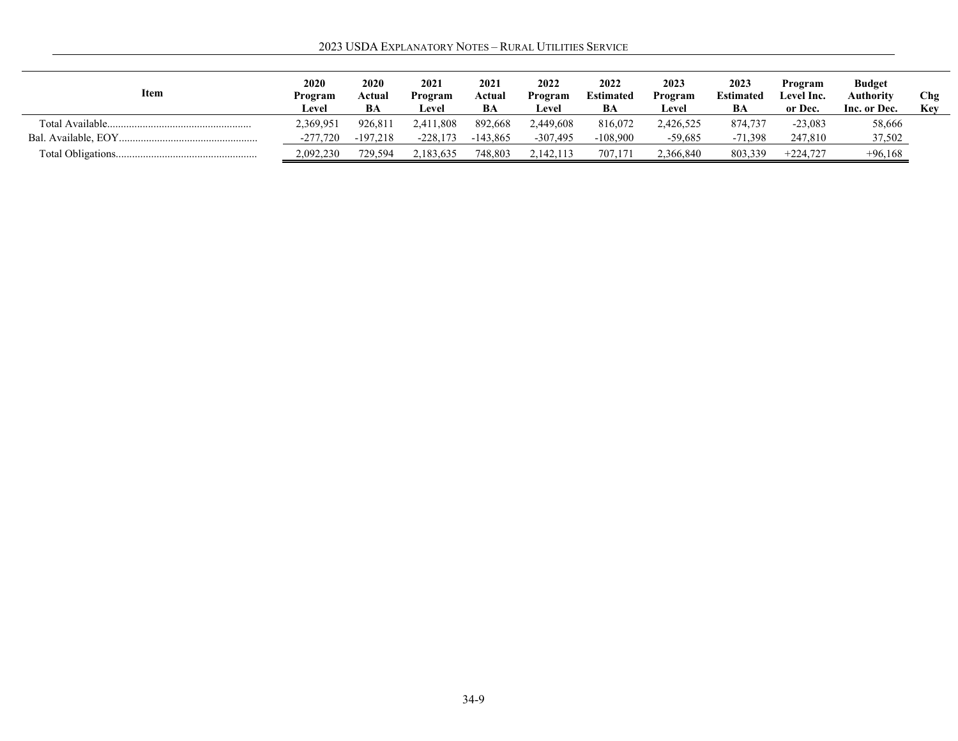2023 USDA EXPLANATORY NOTES – RURAL UTILITIES SERVICE

| Item | 2020<br>Program<br>Level | <b>2020</b><br>Actual<br>BA | 2021<br>Program<br>Level | 2021<br>Actual<br>BA | 2022<br>Program<br>Level | 2022<br><b>Estimated</b><br>BA | 2023<br>Program<br>Level | 2023<br><b>Estimated</b><br>BA | Program<br>Level Inc.<br>or Dec. | <b>Budget</b><br>Authority<br>Inc. or Dec. | Chg<br>Kev |
|------|--------------------------|-----------------------------|--------------------------|----------------------|--------------------------|--------------------------------|--------------------------|--------------------------------|----------------------------------|--------------------------------------------|------------|
|      | 2,369,951                | 926.81                      | 2,411,808                | 892.668              | 2,449,608                | 816,072                        | 2,426,525                | 874,737                        | $-23,083$                        | 58,666                                     |            |
|      | $-277,720$               | $-197,218$                  | $-228.173$               | $-143.865$           | $-307,495$               | $-108,900$                     | $-59,685$                | $-71.398$                      | 247,810                          | 37,502                                     |            |
|      | 2,092,230                | 729,594                     | 2,183,635                | 748,803              | 2,142,113                | 707.171                        | 2,366,840                | 803.339                        | $+224,727$                       | $+96,168$                                  |            |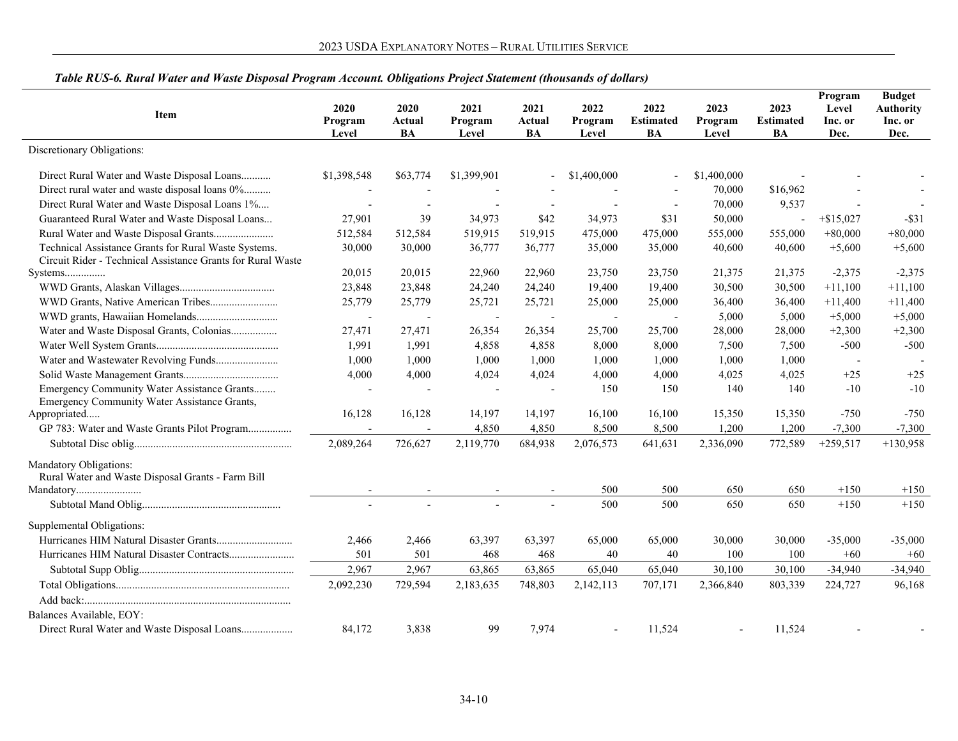| Item                                                                                                                | 2020<br>Program<br>Level | 2020<br>Actual<br>BA | 2021<br>Program<br>Level | 2021<br>Actual<br><b>BA</b> | 2022<br>Program<br>Level | 2022<br><b>Estimated</b><br><b>BA</b> | 2023<br>Program<br>Level | 2023<br><b>Estimated</b><br>BA | Program<br>Level<br>Inc. or<br>Dec. | <b>Budget</b><br><b>Authority</b><br>Inc. or<br>Dec. |
|---------------------------------------------------------------------------------------------------------------------|--------------------------|----------------------|--------------------------|-----------------------------|--------------------------|---------------------------------------|--------------------------|--------------------------------|-------------------------------------|------------------------------------------------------|
| Discretionary Obligations:                                                                                          |                          |                      |                          |                             |                          |                                       |                          |                                |                                     |                                                      |
| Direct Rural Water and Waste Disposal Loans                                                                         | \$1,398,548              | \$63,774             | \$1,399,901              |                             | \$1,400,000              |                                       | \$1,400,000              |                                |                                     |                                                      |
| Direct rural water and waste disposal loans 0%                                                                      |                          |                      |                          |                             |                          |                                       | 70,000                   | \$16,962                       |                                     |                                                      |
| Direct Rural Water and Waste Disposal Loans 1%                                                                      |                          |                      |                          |                             |                          |                                       | 70,000                   | 9,537                          |                                     |                                                      |
| Guaranteed Rural Water and Waste Disposal Loans                                                                     | 27,901                   | 39                   | 34,973                   | \$42                        | 34,973                   | \$31                                  | 50,000                   |                                | $+\$15,027$                         | $-$ \$31                                             |
| Rural Water and Waste Disposal Grants                                                                               | 512,584                  | 512,584              | 519,915                  | 519,915                     | 475,000                  | 475,000                               | 555,000                  | 555,000                        | $+80,000$                           | $+80,000$                                            |
| Technical Assistance Grants for Rural Waste Systems.<br>Circuit Rider - Technical Assistance Grants for Rural Waste | 30,000                   | 30,000               | 36,777                   | 36,777                      | 35,000                   | 35,000                                | 40,600                   | 40,600                         | $+5,600$                            | $+5,600$                                             |
| Systems                                                                                                             | 20,015                   | 20,015               | 22,960                   | 22,960                      | 23,750                   | 23,750                                | 21,375                   | 21,375                         | $-2,375$                            | $-2,375$                                             |
|                                                                                                                     | 23,848                   | 23,848               | 24,240                   | 24,240                      | 19,400                   | 19,400                                | 30,500                   | 30,500                         | $+11,100$                           | $+11,100$                                            |
| WWD Grants, Native American Tribes                                                                                  | 25,779                   | 25,779               | 25,721                   | 25,721                      | 25,000                   | 25,000                                | 36,400                   | 36,400                         | $+11,400$                           | $+11,400$                                            |
| WWD grants, Hawaiian Homelands                                                                                      | $\overline{\phantom{a}}$ |                      |                          |                             |                          |                                       | 5,000                    | 5,000                          | $+5,000$                            | $+5,000$                                             |
| Water and Waste Disposal Grants, Colonias                                                                           | 27,471                   | 27,471               | 26,354                   | 26,354                      | 25,700                   | 25,700                                | 28,000                   | 28,000                         | $+2,300$                            | $+2,300$                                             |
|                                                                                                                     | 1,991                    | 1,991                | 4,858                    | 4,858                       | 8,000                    | 8,000                                 | 7,500                    | 7,500                          | $-500$                              | $-500$                                               |
| Water and Wastewater Revolving Funds                                                                                | 1,000                    | 1,000                | 1,000                    | 1,000                       | 1,000                    | 1,000                                 | 1,000                    | 1,000                          |                                     |                                                      |
|                                                                                                                     | 4,000                    | 4,000                | 4,024                    | 4,024                       | 4,000                    | 4,000                                 | 4,025                    | 4,025                          | $+25$                               | $+25$                                                |
| Emergency Community Water Assistance Grants<br>Emergency Community Water Assistance Grants,                         |                          |                      |                          | $\overline{a}$              | 150                      | 150                                   | 140                      | 140                            | $-10$                               | $-10$                                                |
| Appropriated                                                                                                        | 16,128                   | 16,128               | 14,197                   | 14,197                      | 16,100                   | 16,100                                | 15,350                   | 15,350                         | $-750$                              | $-750$                                               |
| GP 783: Water and Waste Grants Pilot Program                                                                        | $\overline{a}$           |                      | 4,850                    | 4,850                       | 8,500                    | 8,500                                 | 1,200                    | 1,200                          | $-7,300$                            | $-7,300$                                             |
|                                                                                                                     | 2,089,264                | 726,627              | 2,119,770                | 684,938                     | 2,076,573                | 641,631                               | 2,336,090                | 772,589                        | $+259,517$                          | $+130,958$                                           |
| Mandatory Obligations:<br>Rural Water and Waste Disposal Grants - Farm Bill                                         |                          |                      |                          |                             |                          |                                       |                          |                                |                                     |                                                      |
| Mandatory                                                                                                           |                          |                      |                          |                             | 500                      | 500                                   | 650                      | 650                            | $+150$                              | $+150$                                               |
|                                                                                                                     |                          |                      |                          |                             | 500                      | 500                                   | 650                      | 650                            | $+150$                              | $+150$                                               |
| Supplemental Obligations:                                                                                           |                          |                      |                          |                             |                          |                                       |                          |                                |                                     |                                                      |
|                                                                                                                     | 2,466                    | 2,466                | 63,397                   | 63,397                      | 65,000                   | 65,000                                | 30,000                   | 30,000                         | $-35,000$                           | $-35,000$                                            |
| Hurricanes HIM Natural Disaster Contracts                                                                           | 501                      | 501                  | 468                      | 468                         | 40                       | 40                                    | 100                      | 100                            | $+60$                               | $+60$                                                |
|                                                                                                                     | 2,967                    | 2,967                | 63,865                   | 63,865                      | 65,040                   | 65,040                                | 30,100                   | 30,100                         | $-34,940$                           | $-34,940$                                            |
|                                                                                                                     | 2,092,230                | 729,594              | 2,183,635                | 748,803                     | 2,142,113                | 707,171                               | 2,366,840                | 803,339                        | 224,727                             | 96,168                                               |
|                                                                                                                     |                          |                      |                          |                             |                          |                                       |                          |                                |                                     |                                                      |
| Balances Available, EOY:                                                                                            |                          |                      |                          |                             |                          |                                       |                          |                                |                                     |                                                      |
| Direct Rural Water and Waste Disposal Loans                                                                         | 84,172                   | 3,838                | 99                       | 7,974                       |                          | 11,524                                |                          | 11,524                         |                                     |                                                      |

# *Table RUS-6. Rural Water and Waste Disposal Program Account. Obligations Project Statement (thousands of dollars)*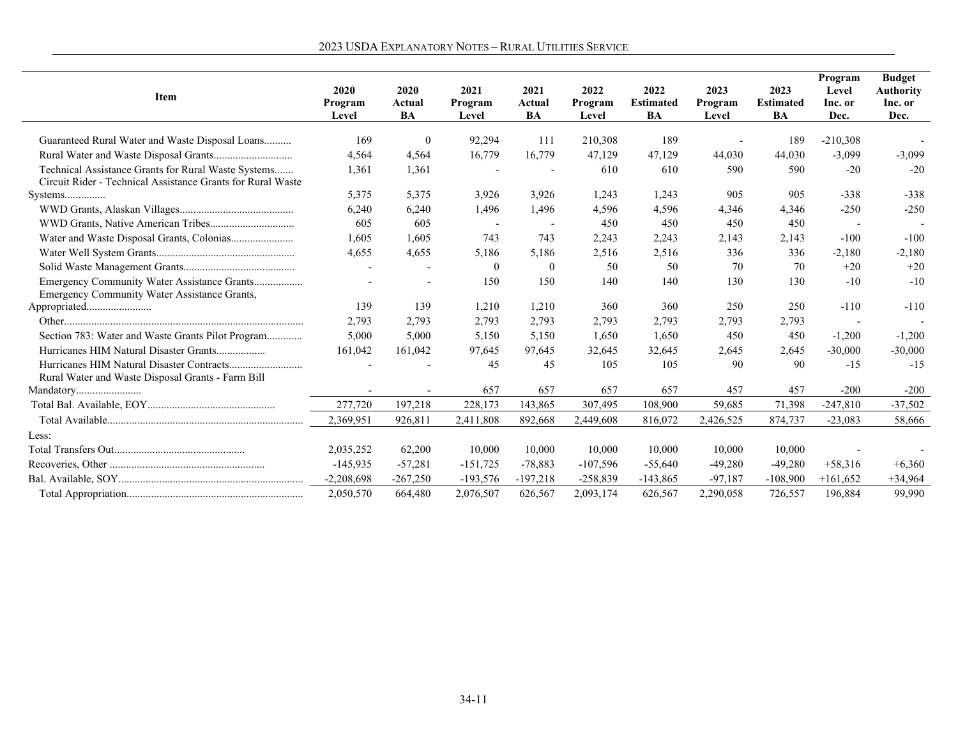| Item                                                                                        | 2020<br>Program<br>Level | 2020<br>Actual<br>BA | 2021<br>Program<br>Level | 2021<br>Actual<br><b>BA</b> | 2022<br>Program<br>Level | 2022<br><b>Estimated</b><br>BA | 2023<br>Program<br>Level | 2023<br><b>Estimated</b><br>BA | Program<br>Level<br>Inc. or<br>Dec. | <b>Budget</b><br><b>Authority</b><br>Inc. or<br>Dec. |
|---------------------------------------------------------------------------------------------|--------------------------|----------------------|--------------------------|-----------------------------|--------------------------|--------------------------------|--------------------------|--------------------------------|-------------------------------------|------------------------------------------------------|
| Guaranteed Rural Water and Waste Disposal Loans                                             | 169                      | $\theta$             | 92,294                   | 111                         | 210,308                  | 189                            |                          | 189                            | $-210,308$                          |                                                      |
|                                                                                             | 4,564                    | 4,564                | 16,779                   | 16,779                      | 47,129                   | 47,129                         | 44,030                   | 44,030                         | $-3,099$                            | $-3,099$                                             |
| Technical Assistance Grants for Rural Waste Systems                                         | 1,361                    | 1,361                |                          |                             | 610                      | 610                            | 590                      | 590                            | $-20$                               | $-20$                                                |
| Circuit Rider - Technical Assistance Grants for Rural Waste                                 |                          |                      |                          |                             |                          |                                |                          |                                |                                     |                                                      |
| Systems                                                                                     | 5,375                    | 5,375                | 3,926                    | 3,926                       | 1,243                    | 1,243                          | 905                      | 905                            | $-338$                              | $-338$                                               |
|                                                                                             | 6,240                    | 6,240                | 1,496                    | 1,496                       | 4,596                    | 4,596                          | 4,346                    | 4,346                          | $-250$                              | $-250$                                               |
|                                                                                             | 605                      | 605                  |                          |                             | 450                      | 450                            | 450                      | 450                            |                                     |                                                      |
|                                                                                             | 1,605                    | 1,605                | 743                      | 743                         | 2,243                    | 2,243                          | 2,143                    | 2,143                          | $-100$                              | $-100$                                               |
|                                                                                             | 4,655                    | 4,655                | 5,186                    | 5,186                       | 2,516                    | 2,516                          | 336                      | 336                            | $-2,180$                            | $-2,180$                                             |
|                                                                                             |                          |                      | $\overline{0}$           | $\mathbf{0}$                | 50                       | 50                             | 70                       | 70                             | $+20$                               | $+20$                                                |
| Emergency Community Water Assistance Grants<br>Emergency Community Water Assistance Grants, |                          |                      | 150                      | 150                         | 140                      | 140                            | 130                      | 130                            | $-10$                               | $-10$                                                |
| Appropriated                                                                                | 139                      | 139                  | 1,210                    | 1,210                       | 360                      | 360                            | 250                      | 250                            | $-110$                              | $-110$                                               |
|                                                                                             | 2,793                    | 2,793                | 2,793                    | 2,793                       | 2,793                    | 2,793                          | 2,793                    | 2,793                          |                                     |                                                      |
| Section 783: Water and Waste Grants Pilot Program                                           | 5,000                    | 5,000                | 5,150                    | 5,150                       | 1,650                    | 1,650                          | 450                      | 450                            | $-1,200$                            | $-1,200$                                             |
| Hurricanes HIM Natural Disaster Grants                                                      | 161,042                  | 161,042              | 97,645                   | 97,645                      | 32,645                   | 32,645                         | 2,645                    | 2,645                          | $-30,000$                           | $-30,000$                                            |
| Rural Water and Waste Disposal Grants - Farm Bill                                           |                          |                      | 45                       | 45                          | 105                      | 105                            | 90                       | 90                             | $-15$                               | $-15$                                                |
|                                                                                             |                          |                      | 657                      | 657                         | 657                      | 657                            | 457                      | 457                            | $-200$                              | $-200$                                               |
|                                                                                             | 277,720                  | 197,218              | 228,173                  | 143,865                     | 307,495                  | 108,900                        | 59,685                   | 71,398                         | $-247,810$                          | $-37,502$                                            |
|                                                                                             | 2,369,951                | 926,811              | 2,411,808                | 892,668                     | 2,449,608                | 816,072                        | 2,426,525                | 874,737                        | $-23,083$                           | 58,666                                               |
| Less:                                                                                       |                          |                      |                          |                             |                          |                                |                          |                                |                                     |                                                      |
|                                                                                             | 2,035,252                | 62,200               | 10,000                   | 10,000                      | 10,000                   | 10,000                         | 10,000                   | 10,000                         |                                     |                                                      |
|                                                                                             | $-145,935$               | $-57,281$            | $-151,725$               | $-78,883$                   | $-107,596$               | $-55,640$                      | $-49,280$                | $-49,280$                      | $+58,316$                           | $+6,360$                                             |
|                                                                                             | $-2,208,698$             | $-267,250$           | $-193,576$               | $-197,218$                  | $-258,839$               | $-143,865$                     | $-97,187$                | $-108,900$                     | $+161,652$                          | $+34,964$                                            |
|                                                                                             | 2,050,570                | 664,480              | 2,076,507                | 626,567                     | 2,093,174                | 626,567                        | 2,290,058                | 726,557                        | 196.884                             | 99.990                                               |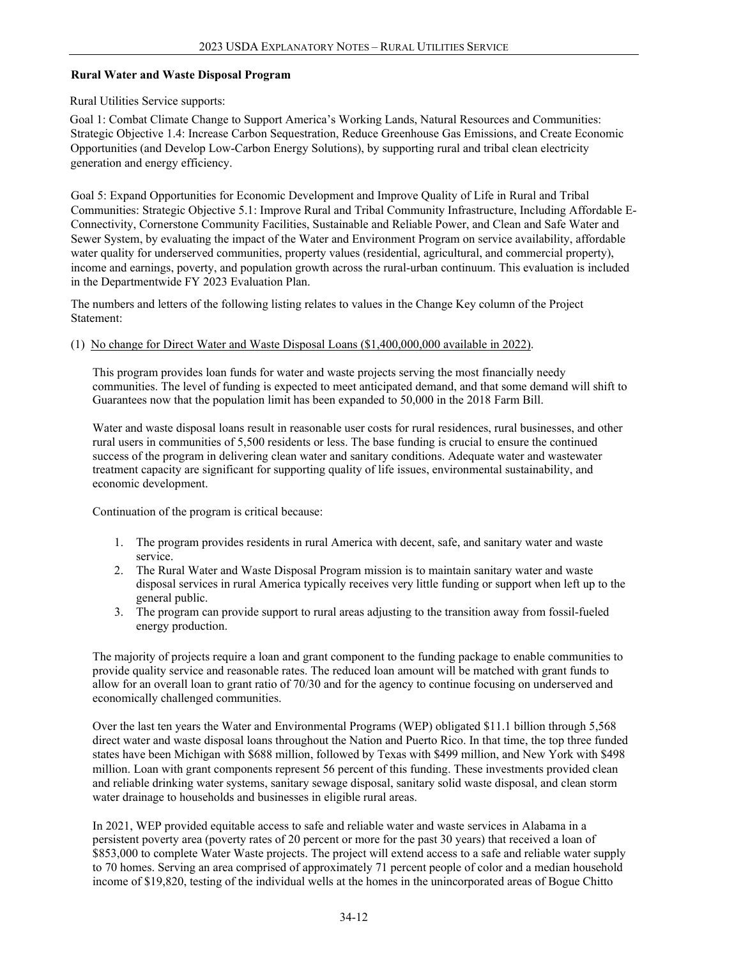## **Rural Water and Waste Disposal Program**

### Rural Utilities Service supports:

Goal 1: Combat Climate Change to Support America's Working Lands, Natural Resources and Communities: Strategic Objective 1.4: Increase Carbon Sequestration, Reduce Greenhouse Gas Emissions, and Create Economic Opportunities (and Develop Low-Carbon Energy Solutions), by supporting rural and tribal clean electricity generation and energy efficiency.

Goal 5: Expand Opportunities for Economic Development and Improve Quality of Life in Rural and Tribal Communities: Strategic Objective 5.1: Improve Rural and Tribal Community Infrastructure, Including Affordable E-Connectivity, Cornerstone Community Facilities, Sustainable and Reliable Power, and Clean and Safe Water and Sewer System, by evaluating the impact of the Water and Environment Program on service availability, affordable water quality for underserved communities, property values (residential, agricultural, and commercial property), income and earnings, poverty, and population growth across the rural-urban continuum. This evaluation is included in the Departmentwide FY 2023 Evaluation Plan.

The numbers and letters of the following listing relates to values in the Change Key column of the Project Statement:

### (1) No change for Direct Water and Waste Disposal Loans (\$1,400,000,000 available in 2022).

This program provides loan funds for water and waste projects serving the most financially needy communities. The level of funding is expected to meet anticipated demand, and that some demand will shift to Guarantees now that the population limit has been expanded to 50,000 in the 2018 Farm Bill.

Water and waste disposal loans result in reasonable user costs for rural residences, rural businesses, and other rural users in communities of 5,500 residents or less. The base funding is crucial to ensure the continued success of the program in delivering clean water and sanitary conditions. Adequate water and wastewater treatment capacity are significant for supporting quality of life issues, environmental sustainability, and economic development.

Continuation of the program is critical because:

- 1. The program provides residents in rural America with decent, safe, and sanitary water and waste service.
- 2. The Rural Water and Waste Disposal Program mission is to maintain sanitary water and waste disposal services in rural America typically receives very little funding or support when left up to the general public.
- 3. The program can provide support to rural areas adjusting to the transition away from fossil-fueled energy production.

The majority of projects require a loan and grant component to the funding package to enable communities to provide quality service and reasonable rates. The reduced loan amount will be matched with grant funds to allow for an overall loan to grant ratio of 70/30 and for the agency to continue focusing on underserved and economically challenged communities.

Over the last ten years the Water and Environmental Programs (WEP) obligated \$11.1 billion through 5,568 direct water and waste disposal loans throughout the Nation and Puerto Rico. In that time, the top three funded states have been Michigan with \$688 million, followed by Texas with \$499 million, and New York with \$498 million. Loan with grant components represent 56 percent of this funding. These investments provided clean and reliable drinking water systems, sanitary sewage disposal, sanitary solid waste disposal, and clean storm water drainage to households and businesses in eligible rural areas.

In 2021, WEP provided equitable access to safe and reliable water and waste services in Alabama in a persistent poverty area (poverty rates of 20 percent or more for the past 30 years) that received a loan of \$853,000 to complete Water Waste projects. The project will extend access to a safe and reliable water supply to 70 homes. Serving an area comprised of approximately 71 percent people of color and a median household income of \$19,820, testing of the individual wells at the homes in the unincorporated areas of Bogue Chitto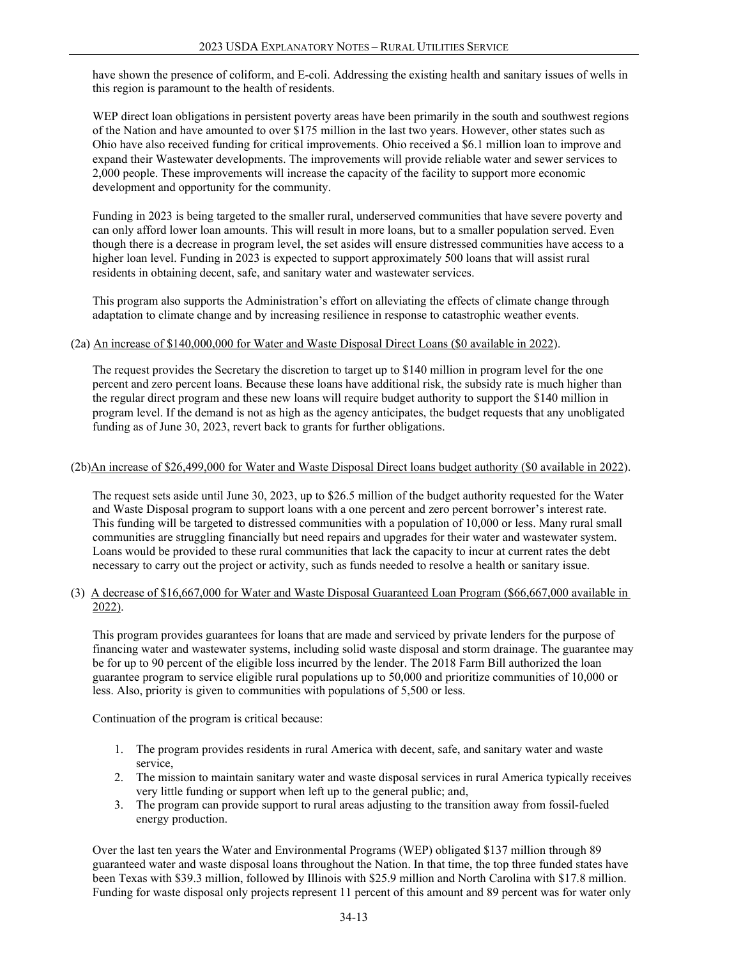have shown the presence of coliform, and E-coli. Addressing the existing health and sanitary issues of wells in this region is paramount to the health of residents.

WEP direct loan obligations in persistent poverty areas have been primarily in the south and southwest regions of the Nation and have amounted to over \$175 million in the last two years. However, other states such as Ohio have also received funding for critical improvements. Ohio received a \$6.1 million loan to improve and expand their Wastewater developments. The improvements will provide reliable water and sewer services to 2,000 people. These improvements will increase the capacity of the facility to support more economic development and opportunity for the community.

Funding in 2023 is being targeted to the smaller rural, underserved communities that have severe poverty and can only afford lower loan amounts. This will result in more loans, but to a smaller population served. Even though there is a decrease in program level, the set asides will ensure distressed communities have access to a higher loan level. Funding in 2023 is expected to support approximately 500 loans that will assist rural residents in obtaining decent, safe, and sanitary water and wastewater services.

This program also supports the Administration's effort on alleviating the effects of climate change through adaptation to climate change and by increasing resilience in response to catastrophic weather events.

### (2a) An increase of \$140,000,000 for Water and Waste Disposal Direct Loans (\$0 available in 2022).

The request provides the Secretary the discretion to target up to \$140 million in program level for the one percent and zero percent loans. Because these loans have additional risk, the subsidy rate is much higher than the regular direct program and these new loans will require budget authority to support the \$140 million in program level. If the demand is not as high as the agency anticipates, the budget requests that any unobligated funding as of June 30, 2023, revert back to grants for further obligations.

### (2b)An increase of \$26,499,000 for Water and Waste Disposal Direct loans budget authority (\$0 available in 2022).

The request sets aside until June 30, 2023, up to \$26.5 million of the budget authority requested for the Water and Waste Disposal program to support loans with a one percent and zero percent borrower's interest rate. This funding will be targeted to distressed communities with a population of 10,000 or less. Many rural small communities are struggling financially but need repairs and upgrades for their water and wastewater system. Loans would be provided to these rural communities that lack the capacity to incur at current rates the debt necessary to carry out the project or activity, such as funds needed to resolve a health or sanitary issue.

# (3) A decrease of \$16,667,000 for Water and Waste Disposal Guaranteed Loan Program (\$66,667,000 available in 2022).

This program provides guarantees for loans that are made and serviced by private lenders for the purpose of financing water and wastewater systems, including solid waste disposal and storm drainage. The guarantee may be for up to 90 percent of the eligible loss incurred by the lender. The 2018 Farm Bill authorized the loan guarantee program to service eligible rural populations up to 50,000 and prioritize communities of 10,000 or less. Also, priority is given to communities with populations of 5,500 or less.

Continuation of the program is critical because:

- 1. The program provides residents in rural America with decent, safe, and sanitary water and waste service,
- 2. The mission to maintain sanitary water and waste disposal services in rural America typically receives very little funding or support when left up to the general public; and,
- 3. The program can provide support to rural areas adjusting to the transition away from fossil-fueled energy production.

Over the last ten years the Water and Environmental Programs (WEP) obligated \$137 million through 89 guaranteed water and waste disposal loans throughout the Nation. In that time, the top three funded states have been Texas with \$39.3 million, followed by Illinois with \$25.9 million and North Carolina with \$17.8 million. Funding for waste disposal only projects represent 11 percent of this amount and 89 percent was for water only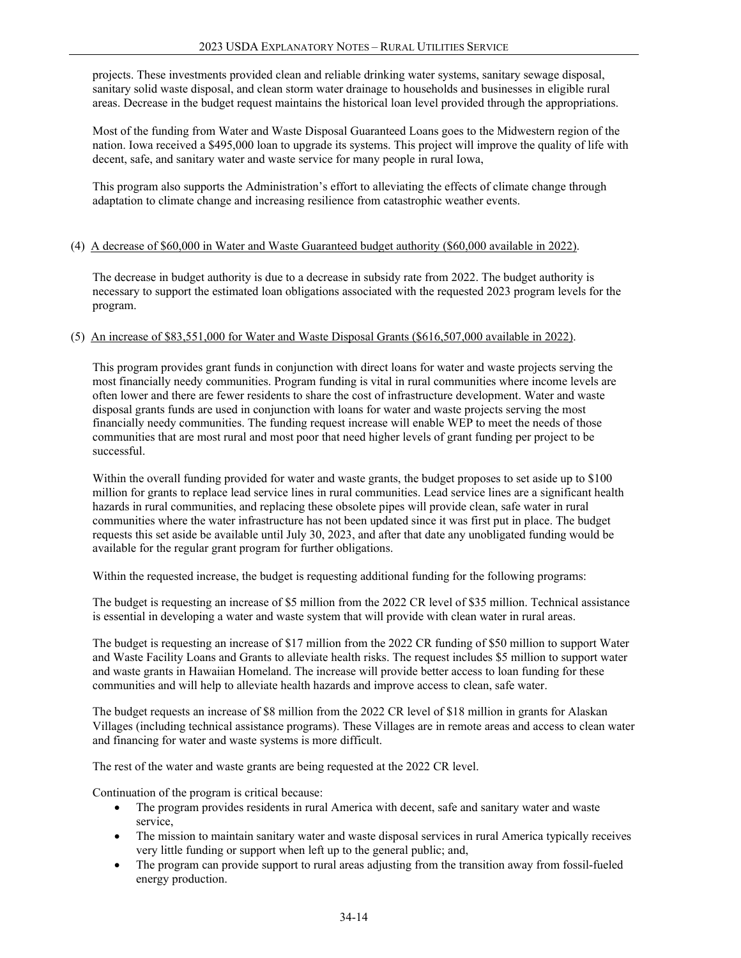projects. These investments provided clean and reliable drinking water systems, sanitary sewage disposal, sanitary solid waste disposal, and clean storm water drainage to households and businesses in eligible rural areas. Decrease in the budget request maintains the historical loan level provided through the appropriations.

Most of the funding from Water and Waste Disposal Guaranteed Loans goes to the Midwestern region of the nation. Iowa received a \$495,000 loan to upgrade its systems. This project will improve the quality of life with decent, safe, and sanitary water and waste service for many people in rural Iowa,

This program also supports the Administration's effort to alleviating the effects of climate change through adaptation to climate change and increasing resilience from catastrophic weather events.

### (4) A decrease of \$60,000 in Water and Waste Guaranteed budget authority (\$60,000 available in 2022).

The decrease in budget authority is due to a decrease in subsidy rate from 2022. The budget authority is necessary to support the estimated loan obligations associated with the requested 2023 program levels for the program.

### (5) An increase of \$83,551,000 for Water and Waste Disposal Grants (\$616,507,000 available in 2022).

This program provides grant funds in conjunction with direct loans for water and waste projects serving the most financially needy communities. Program funding is vital in rural communities where income levels are often lower and there are fewer residents to share the cost of infrastructure development. Water and waste disposal grants funds are used in conjunction with loans for water and waste projects serving the most financially needy communities. The funding request increase will enable WEP to meet the needs of those communities that are most rural and most poor that need higher levels of grant funding per project to be successful.

Within the overall funding provided for water and waste grants, the budget proposes to set aside up to \$100 million for grants to replace lead service lines in rural communities. Lead service lines are a significant health hazards in rural communities, and replacing these obsolete pipes will provide clean, safe water in rural communities where the water infrastructure has not been updated since it was first put in place. The budget requests this set aside be available until July 30, 2023, and after that date any unobligated funding would be available for the regular grant program for further obligations.

Within the requested increase, the budget is requesting additional funding for the following programs:

The budget is requesting an increase of \$5 million from the 2022 CR level of \$35 million. Technical assistance is essential in developing a water and waste system that will provide with clean water in rural areas.

The budget is requesting an increase of \$17 million from the 2022 CR funding of \$50 million to support Water and Waste Facility Loans and Grants to alleviate health risks. The request includes \$5 million to support water and waste grants in Hawaiian Homeland. The increase will provide better access to loan funding for these communities and will help to alleviate health hazards and improve access to clean, safe water.

The budget requests an increase of \$8 million from the 2022 CR level of \$18 million in grants for Alaskan Villages (including technical assistance programs). These Villages are in remote areas and access to clean water and financing for water and waste systems is more difficult.

The rest of the water and waste grants are being requested at the 2022 CR level.

Continuation of the program is critical because:

- The program provides residents in rural America with decent, safe and sanitary water and waste service,
- The mission to maintain sanitary water and waste disposal services in rural America typically receives very little funding or support when left up to the general public; and,
- The program can provide support to rural areas adjusting from the transition away from fossil-fueled energy production.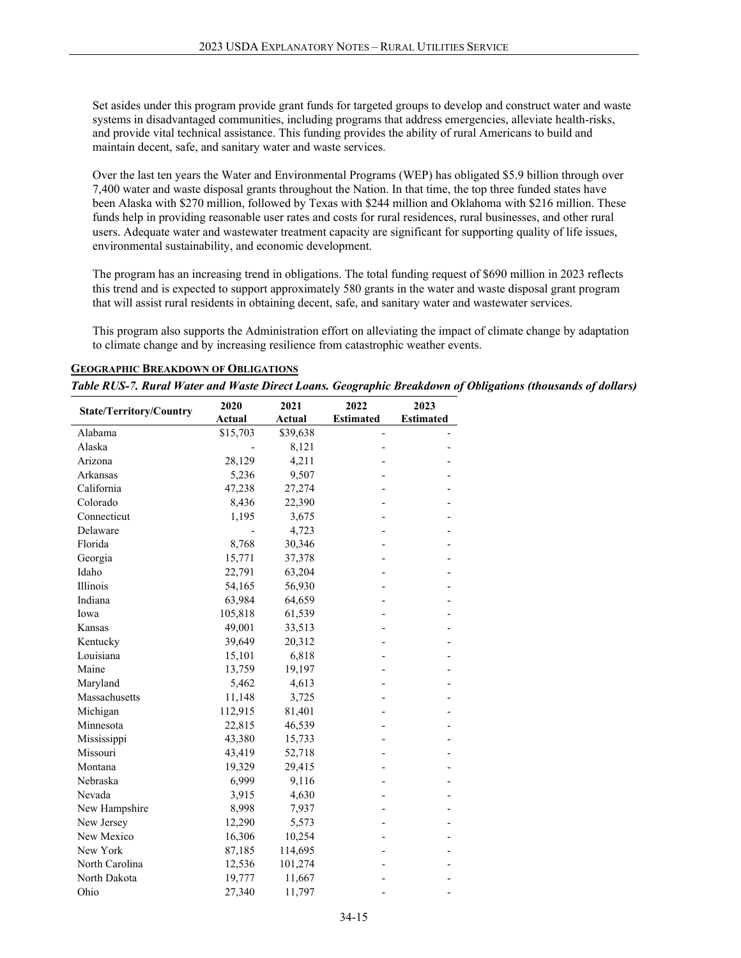Set asides under this program provide grant funds for targeted groups to develop and construct water and waste systems in disadvantaged communities, including programs that address emergencies, alleviate health-risks, and provide vital technical assistance. This funding provides the ability of rural Americans to build and maintain decent, safe, and sanitary water and waste services.

Over the last ten years the Water and Environmental Programs (WEP) has obligated \$5.9 billion through over 7,400 water and waste disposal grants throughout the Nation. In that time, the top three funded states have been Alaska with \$270 million, followed by Texas with \$244 million and Oklahoma with \$216 million. These funds help in providing reasonable user rates and costs for rural residences, rural businesses, and other rural users. Adequate water and wastewater treatment capacity are significant for supporting quality of life issues, environmental sustainability, and economic development.

The program has an increasing trend in obligations. The total funding request of \$690 million in 2023 reflects this trend and is expected to support approximately 580 grants in the water and waste disposal grant program that will assist rural residents in obtaining decent, safe, and sanitary water and wastewater services.

This program also supports the Administration effort on alleviating the impact of climate change by adaptation to climate change and by increasing resilience from catastrophic weather events.

| <b>State/Territory/Country</b> | 2020     | 2021     | 2022             | 2023             |  |  |
|--------------------------------|----------|----------|------------------|------------------|--|--|
|                                | Actual   | Actual   | <b>Estimated</b> | <b>Estimated</b> |  |  |
| Alabama                        | \$15,703 | \$39,638 |                  |                  |  |  |
| Alaska                         |          | 8,121    |                  |                  |  |  |
| Arizona                        | 28,129   | 4,211    |                  |                  |  |  |
| Arkansas                       | 5,236    | 9,507    |                  |                  |  |  |
| California                     | 47,238   | 27,274   |                  |                  |  |  |
| Colorado                       | 8,436    | 22,390   |                  |                  |  |  |
| Connecticut                    | 1,195    | 3,675    |                  |                  |  |  |
| Delaware                       |          | 4,723    |                  |                  |  |  |
| Florida                        | 8,768    | 30,346   |                  |                  |  |  |
| Georgia                        | 15,771   | 37,378   |                  |                  |  |  |
| Idaho                          | 22,791   | 63,204   |                  |                  |  |  |
| Illinois                       | 54,165   | 56,930   |                  |                  |  |  |
| Indiana                        | 63,984   | 64,659   |                  |                  |  |  |
| Iowa                           | 105,818  | 61,539   |                  |                  |  |  |
| Kansas                         | 49,001   | 33,513   |                  |                  |  |  |
| Kentucky                       | 39,649   | 20,312   |                  |                  |  |  |
| Louisiana                      | 15,101   | 6,818    |                  |                  |  |  |
| Maine                          | 13,759   | 19,197   |                  |                  |  |  |
| Maryland                       | 5,462    | 4,613    |                  |                  |  |  |
| Massachusetts                  | 11,148   | 3,725    |                  |                  |  |  |
| Michigan                       | 112,915  | 81,401   |                  |                  |  |  |
| Minnesota                      | 22,815   | 46,539   |                  |                  |  |  |
| Mississippi                    | 43,380   | 15,733   |                  |                  |  |  |
| Missouri                       | 43,419   | 52,718   |                  |                  |  |  |
| Montana                        | 19,329   | 29,415   |                  |                  |  |  |
| Nebraska                       | 6,999    | 9,116    |                  |                  |  |  |
| Nevada                         | 3,915    | 4,630    |                  |                  |  |  |
| New Hampshire                  | 8,998    | 7,937    |                  |                  |  |  |
| New Jersey                     | 12,290   | 5,573    |                  |                  |  |  |
| New Mexico                     | 16,306   | 10,254   |                  |                  |  |  |
| New York                       | 87,185   | 114,695  |                  |                  |  |  |
| North Carolina                 | 12,536   | 101,274  |                  |                  |  |  |
| North Dakota                   | 19,777   | 11,667   |                  |                  |  |  |
| Ohio                           | 27,340   | 11,797   |                  |                  |  |  |

# <span id="page-14-0"></span>**GEOGRAPHIC BREAKDOWN OF OBLIGATIONS**

| Table RUS-7. Rural Water and Waste Direct Loans. Geographic Breakdown of Obligations (thousands of dollars) |  |  |  |  |  |  |  |  |  |  |  |  |  |  |  |
|-------------------------------------------------------------------------------------------------------------|--|--|--|--|--|--|--|--|--|--|--|--|--|--|--|
|-------------------------------------------------------------------------------------------------------------|--|--|--|--|--|--|--|--|--|--|--|--|--|--|--|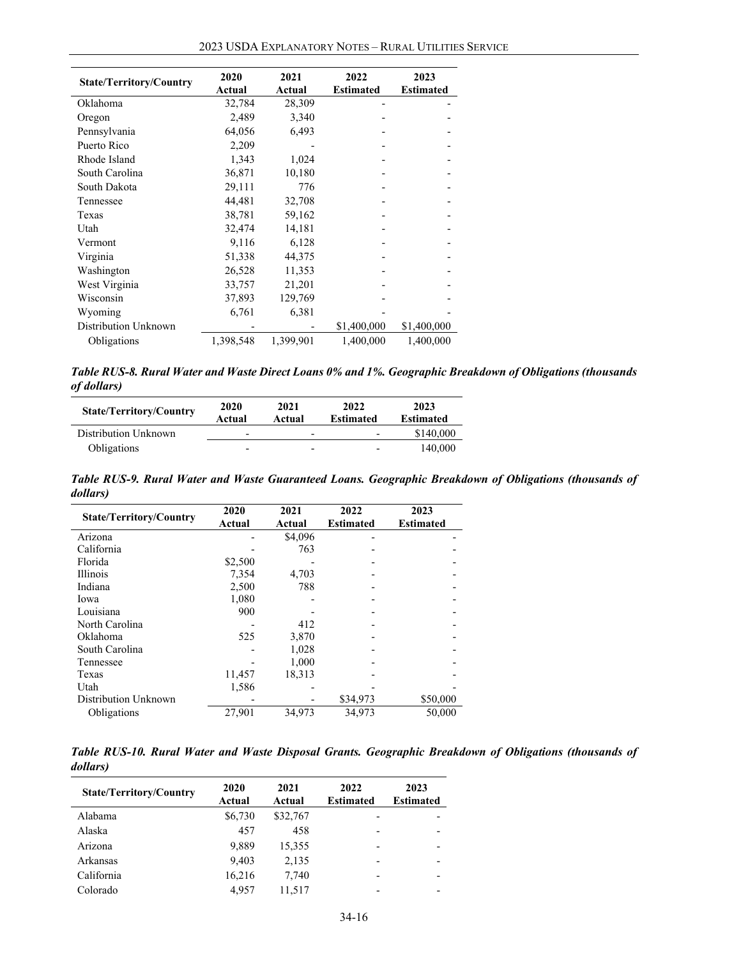| <b>State/Territory/Country</b> | 2020<br>Actual | 2021<br>Actual | 2022<br><b>Estimated</b> | 2023<br><b>Estimated</b> |
|--------------------------------|----------------|----------------|--------------------------|--------------------------|
| Oklahoma                       | 32,784         | 28,309         |                          |                          |
| Oregon                         | 2,489          | 3,340          |                          |                          |
| Pennsylvania                   | 64,056         | 6,493          |                          |                          |
| Puerto Rico                    | 2,209          |                |                          |                          |
| Rhode Island                   | 1,343          | 1,024          |                          |                          |
| South Carolina                 | 36,871         | 10,180         |                          |                          |
| South Dakota                   | 29,111         | 776            |                          |                          |
| Tennessee                      | 44,481         | 32,708         |                          |                          |
| Texas                          | 38,781         | 59,162         |                          |                          |
| Utah                           | 32,474         | 14,181         |                          |                          |
| Vermont                        | 9,116          | 6,128          |                          |                          |
| Virginia                       | 51,338         | 44,375         |                          |                          |
| Washington                     | 26,528         | 11,353         |                          |                          |
| West Virginia                  | 33,757         | 21,201         |                          |                          |
| Wisconsin                      | 37,893         | 129,769        |                          |                          |
| Wyoming                        | 6,761          | 6,381          |                          |                          |
| Distribution Unknown           |                |                | \$1,400,000              | \$1,400,000              |
| Obligations                    | 1,398,548      | 1,399,901      | 1,400,000                | 1,400,000                |

*Table RUS-8. Rural Water and Waste Direct Loans 0% and 1%. Geographic Breakdown of Obligations (thousands of dollars)*

| <b>State/Territory/Country</b> | 2020<br>Actual           | 2021<br>Actual | 2022<br><b>Estimated</b> | 2023<br><b>Estimated</b> |
|--------------------------------|--------------------------|----------------|--------------------------|--------------------------|
| Distribution Unknown           | $\overline{\phantom{0}}$ | -              | $\overline{\phantom{a}}$ | \$140,000                |
| Obligations                    | -                        | -              | $\overline{\phantom{0}}$ | 140,000                  |

*Table RUS-9. Rural Water and Waste Guaranteed Loans. Geographic Breakdown of Obligations (thousands of dollars)*

| <b>State/Territory/Country</b> | 2020          | 2021    | 2022             | 2023             |
|--------------------------------|---------------|---------|------------------|------------------|
|                                | <b>Actual</b> | Actual  | <b>Estimated</b> | <b>Estimated</b> |
| Arizona                        |               | \$4,096 |                  |                  |
| California                     |               | 763     |                  |                  |
| Florida                        | \$2,500       |         |                  |                  |
| Illinois                       | 7.354         | 4,703   |                  |                  |
| Indiana                        | 2,500         | 788     |                  |                  |
| Iowa                           | 1,080         |         |                  |                  |
| Louisiana                      | 900           |         |                  |                  |
| North Carolina                 |               | 412     |                  |                  |
| Oklahoma                       | 525           | 3,870   |                  |                  |
| South Carolina                 |               | 1,028   |                  |                  |
| Tennessee                      |               | 1,000   |                  |                  |
| Texas                          | 11,457        | 18,313  |                  |                  |
| Utah                           | 1,586         |         |                  |                  |
| Distribution Unknown           |               |         | \$34,973         | \$50,000         |
| Obligations                    | 27,901        | 34,973  | 34,973           | 50,000           |

*Table RUS-10. Rural Water and Waste Disposal Grants. Geographic Breakdown of Obligations (thousands of dollars)*

| <b>State/Territory/Country</b> | 2020<br>Actual | 2021<br>Actual | 2022<br><b>Estimated</b> | 2023<br><b>Estimated</b> |
|--------------------------------|----------------|----------------|--------------------------|--------------------------|
| Alabama                        | \$6,730        | \$32,767       |                          |                          |
| Alaska                         | 457            | 458            |                          |                          |
| Arizona                        | 9,889          | 15,355         |                          |                          |
| Arkansas                       | 9,403          | 2,135          |                          |                          |
| California                     | 16,216         | 7.740          |                          |                          |
| Colorado                       | 4.957          | 11,517         |                          |                          |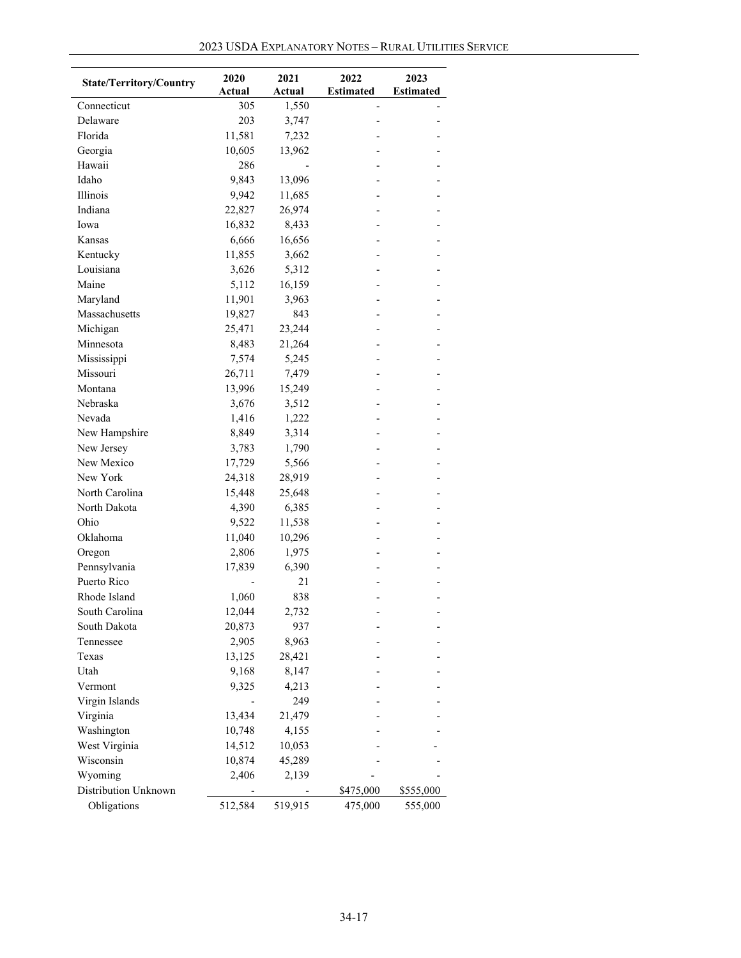| <b>State/Territory/Country</b> | 2020<br>Actual | 2021<br>Actual  | 2022<br><b>Estimated</b> | 2023<br><b>Estimated</b> |
|--------------------------------|----------------|-----------------|--------------------------|--------------------------|
| Connecticut                    | 305            | 1,550           |                          |                          |
| Delaware                       | 203            | 3,747           |                          |                          |
| Florida                        | 11,581         | 7,232           |                          |                          |
| Georgia                        | 10,605         | 13,962          |                          |                          |
| Hawaii                         | 286            |                 |                          |                          |
| Idaho                          | 9,843          | 13,096          |                          |                          |
| Illinois                       | 9,942          | 11,685          |                          |                          |
| Indiana                        | 22,827         | 26,974          |                          |                          |
| Iowa                           | 16,832         | 8,433           |                          |                          |
| Kansas                         | 6,666          | 16,656          |                          |                          |
| Kentucky                       | 11,855         | 3,662           |                          |                          |
| Louisiana                      | 3,626          | 5,312           |                          |                          |
| Maine                          | 5,112          | 16,159          |                          |                          |
| Maryland                       | 11,901         | 3,963           |                          |                          |
| Massachusetts                  | 19,827         | 843             |                          |                          |
| Michigan                       | 25,471         | 23,244          |                          |                          |
| Minnesota                      | 8,483          | 21,264          |                          |                          |
| Mississippi                    | 7,574          | 5,245           |                          |                          |
| Missouri                       | 26,711         | 7,479           |                          |                          |
| Montana                        | 13,996         | 15,249          |                          |                          |
| Nebraska                       | 3,676          | 3,512           |                          |                          |
| Nevada                         | 1,416          | 1,222           |                          |                          |
| New Hampshire                  | 8,849          | 3,314           |                          |                          |
| New Jersey                     | 3,783          | 1,790           |                          |                          |
| New Mexico                     | 17,729         | 5,566           |                          |                          |
| New York                       | 24,318         | 28,919          |                          |                          |
| North Carolina                 | 15,448         | 25,648          |                          |                          |
| North Dakota                   | 4,390          | 6,385           |                          |                          |
| Ohio                           | 9,522          | 11,538          |                          |                          |
| Oklahoma                       | 11,040         | 10,296          |                          |                          |
| Oregon                         | 2,806          | 1,975           |                          |                          |
| Pennsylvania                   | 17,839         | 6,390           |                          |                          |
| Puerto Rico                    |                | 21              |                          |                          |
| Rhode Island                   | 1,060          | 838             |                          |                          |
| South Carolina                 | 12,044         | 2,732           |                          |                          |
| South Dakota                   | 20,873         | 937             |                          |                          |
| Tennessee                      | 2,905          | 8,963           |                          |                          |
| Texas                          | 13,125         | 28,421          |                          |                          |
| Utah                           | 9,168          | 8,147           |                          |                          |
| Vermont                        | 9,325          | 4,213           |                          |                          |
| Virgin Islands                 |                | 249             |                          |                          |
| Virginia                       | 13,434         |                 |                          |                          |
|                                |                | 21,479<br>4,155 |                          |                          |
| Washington                     | 10,748         |                 |                          |                          |
| West Virginia<br>Wisconsin     | 14,512         | 10,053          |                          |                          |
|                                | 10,874         | 45,289          |                          |                          |
| Wyoming                        | 2,406          | 2,139           |                          |                          |
| Distribution Unknown           |                |                 | \$475,000                | \$555,000                |
| Obligations                    | 512,584        | 519,915         | 475,000                  | 555,000                  |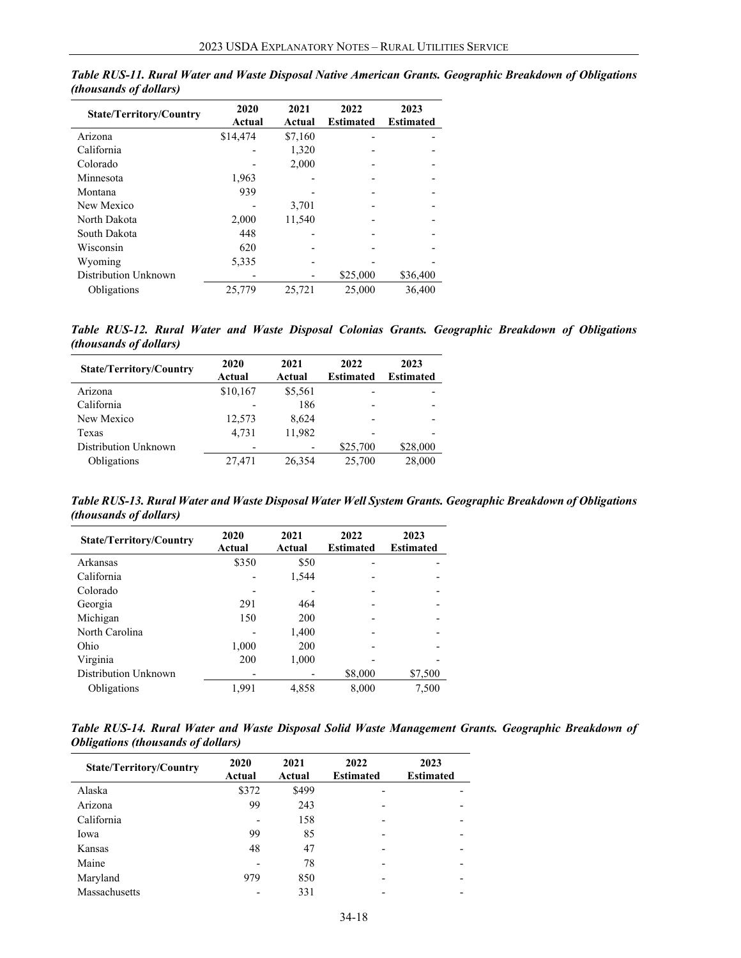| <b>State/Territory/Country</b> | 2020<br>Actual | 2021<br>Actual | 2022<br><b>Estimated</b> | 2023<br><b>Estimated</b> |
|--------------------------------|----------------|----------------|--------------------------|--------------------------|
| Arizona                        | \$14,474       | \$7,160        |                          |                          |
| California                     |                | 1,320          |                          |                          |
| Colorado                       |                | 2,000          |                          |                          |
| Minnesota                      | 1,963          |                |                          |                          |
| Montana                        | 939            |                |                          |                          |
| New Mexico                     |                | 3,701          |                          |                          |
| North Dakota                   | 2,000          | 11,540         |                          |                          |
| South Dakota                   | 448            |                |                          |                          |
| Wisconsin                      | 620            |                |                          |                          |
| Wyoming                        | 5,335          |                |                          |                          |
| Distribution Unknown           |                |                | \$25,000                 | \$36,400                 |
| Obligations                    | 25,779         | 25.721         | 25,000                   | 36,400                   |

*Table RUS-11. Rural Water and Waste Disposal Native American Grants. Geographic Breakdown of Obligations (thousands of dollars)*

*Table RUS-12. Rural Water and Waste Disposal Colonias Grants. Geographic Breakdown of Obligations (thousands of dollars)*

| <b>State/Territory/Country</b> | 2020<br><b>Actual</b> | 2021<br>Actual | 2022<br><b>Estimated</b> | 2023<br><b>Estimated</b> |
|--------------------------------|-----------------------|----------------|--------------------------|--------------------------|
| Arizona                        | \$10,167              | \$5,561        |                          |                          |
| California                     |                       | 186            |                          |                          |
| New Mexico                     | 12,573                | 8,624          |                          |                          |
| Texas                          | 4.731                 | 11,982         |                          |                          |
| Distribution Unknown           |                       |                | \$25,700                 | \$28,000                 |
| Obligations                    | 27,471                | 26.354         | 25,700                   | 28,000                   |

*Table RUS-13. Rural Water and Waste Disposal Water Well System Grants. Geographic Breakdown of Obligations (thousands of dollars)*

| <b>State/Territory/Country</b> | 2020<br>Actual | 2021<br>Actual | 2022<br><b>Estimated</b> | 2023<br><b>Estimated</b> |
|--------------------------------|----------------|----------------|--------------------------|--------------------------|
| Arkansas                       | \$350          | \$50           |                          |                          |
| California                     |                | 1,544          |                          |                          |
| Colorado                       |                |                |                          |                          |
| Georgia                        | 291            | 464            |                          |                          |
| Michigan                       | 150            | 200            |                          |                          |
| North Carolina                 |                | 1,400          |                          |                          |
| Ohio                           | 1,000          | 200            |                          |                          |
| Virginia                       | 200            | 1,000          |                          |                          |
| Distribution Unknown           |                |                | \$8,000                  | \$7,500                  |
| Obligations                    | 1,991          | 4.858          | 8,000                    | 7,500                    |

| Table RUS-14. Rural Water and Waste Disposal Solid Waste Management Grants. Geographic Breakdown of |  |  |  |  |  |  |
|-----------------------------------------------------------------------------------------------------|--|--|--|--|--|--|
| <i><b>Obligations (thousands of dollars)</b></i>                                                    |  |  |  |  |  |  |

| <b>State/Territory/Country</b> | 2020<br>Actual | 2021<br>Actual | 2022<br><b>Estimated</b> | 2023<br><b>Estimated</b> |
|--------------------------------|----------------|----------------|--------------------------|--------------------------|
| Alaska                         | \$372          | \$499          | $\overline{\phantom{0}}$ |                          |
| Arizona                        | 99             | 243            |                          | $\overline{\phantom{0}}$ |
| California                     |                | 158            |                          | $\overline{\phantom{0}}$ |
| Iowa                           | 99             | 85             |                          | -                        |
| Kansas                         | 48             | 47             |                          | $\overline{\phantom{0}}$ |
| Maine                          |                | 78             |                          |                          |
| Maryland                       | 979            | 850            |                          | -                        |
| Massachusetts                  |                | 331            |                          | $\overline{\phantom{0}}$ |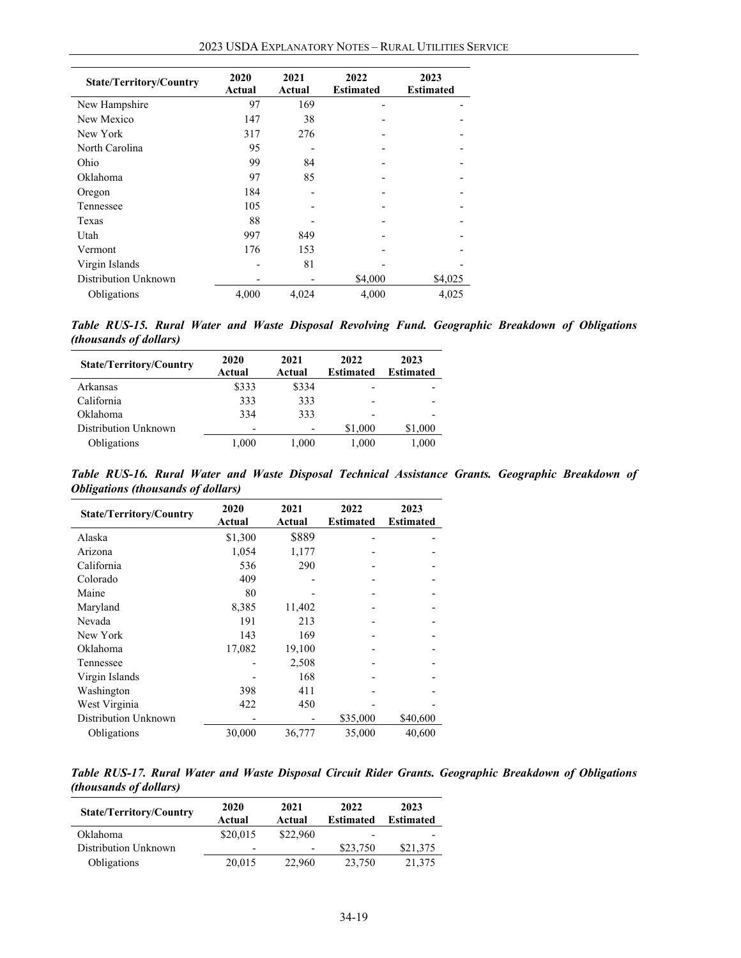| <b>State/Territory/Country</b> | 2020<br>Actual | 2021<br>Actual | 2022<br><b>Estimated</b> | 2023<br><b>Estimated</b> |
|--------------------------------|----------------|----------------|--------------------------|--------------------------|
| New Hampshire                  | 97             | 169            |                          |                          |
| New Mexico                     | 147            | 38             |                          |                          |
| New York                       | 317            | 276            |                          |                          |
| North Carolina                 | 95             |                |                          |                          |
| Ohio                           | 99             | 84             |                          |                          |
| Oklahoma                       | 97             | 85             |                          |                          |
| Oregon                         | 184            |                |                          |                          |
| Tennessee                      | 105            |                |                          |                          |
| Texas                          | 88             |                |                          |                          |
| Utah                           | 997            | 849            |                          |                          |
| Vermont                        | 176            | 153            |                          |                          |
| Virgin Islands                 |                | 81             |                          |                          |
| Distribution Unknown           |                |                | \$4,000                  | \$4,025                  |
| Obligations                    | 4.000          | 4.024          | 4.000                    | 4.025                    |

*Table RUS-15. Rural Water and Waste Disposal Revolving Fund. Geographic Breakdown of Obligations (thousands of dollars)*

| <b>State/Territory/Country</b> | 2020<br>Actual           | 2021<br>Actual           | 2022<br><b>Estimated</b> | 2023<br><b>Estimated</b> |
|--------------------------------|--------------------------|--------------------------|--------------------------|--------------------------|
| Arkansas                       | \$333                    | \$334                    | $\overline{\phantom{0}}$ |                          |
| California                     | 333                      | 333                      | $\overline{\phantom{0}}$ |                          |
| Oklahoma                       | 334                      | 333                      | $\overline{\phantom{0}}$ |                          |
| Distribution Unknown           | $\overline{\phantom{0}}$ | $\overline{\phantom{0}}$ | \$1,000                  | \$1,000                  |
| Obligations                    | 1.000                    | 1.000                    | 1,000                    | 1,000                    |

*Table RUS-16. Rural Water and Waste Disposal Technical Assistance Grants. Geographic Breakdown of Obligations (thousands of dollars)*

| <b>State/Territory/Country</b> | 2020<br>Actual | 2021<br>Actual | 2022<br>Estimated | 2023<br><b>Estimated</b> |  |
|--------------------------------|----------------|----------------|-------------------|--------------------------|--|
| Alaska                         | \$1,300        | \$889          |                   |                          |  |
| Arizona                        | 1,054          | 1,177          |                   |                          |  |
| California                     | 536            | 290            |                   |                          |  |
| Colorado                       | 409            |                |                   |                          |  |
| Maine                          | 80             |                |                   |                          |  |
| Maryland                       | 8,385          | 11,402         |                   |                          |  |
| Nevada                         | 191            | 213            |                   |                          |  |
| New York                       | 143            | 169            |                   |                          |  |
| Oklahoma                       | 17,082         | 19,100         |                   |                          |  |
| Tennessee                      |                | 2,508          |                   |                          |  |
| Virgin Islands                 |                | 168            |                   |                          |  |
| Washington                     | 398            | 411            |                   |                          |  |
| West Virginia                  | 422            | 450            |                   |                          |  |
| Distribution Unknown           |                |                | \$35,000          | \$40,600                 |  |
| Obligations                    | 30,000         | 36,777         | 35,000            | 40,600                   |  |

*Table RUS-17. Rural Water and Waste Disposal Circuit Rider Grants. Geographic Breakdown of Obligations (thousands of dollars)*

| <b>State/Territory/Country</b> | 2020<br>Actual | 2021<br>Actual           | 2022<br><b>Estimated</b> | 2023<br><b>Estimated</b> |
|--------------------------------|----------------|--------------------------|--------------------------|--------------------------|
| Oklahoma                       | \$20,015       | \$22,960                 | $\overline{\phantom{0}}$ |                          |
| Distribution Unknown           | -              | $\overline{\phantom{a}}$ | \$23,750                 | \$21,375                 |
| Obligations                    | 20,015         | 22,960                   | 23,750                   | 21,375                   |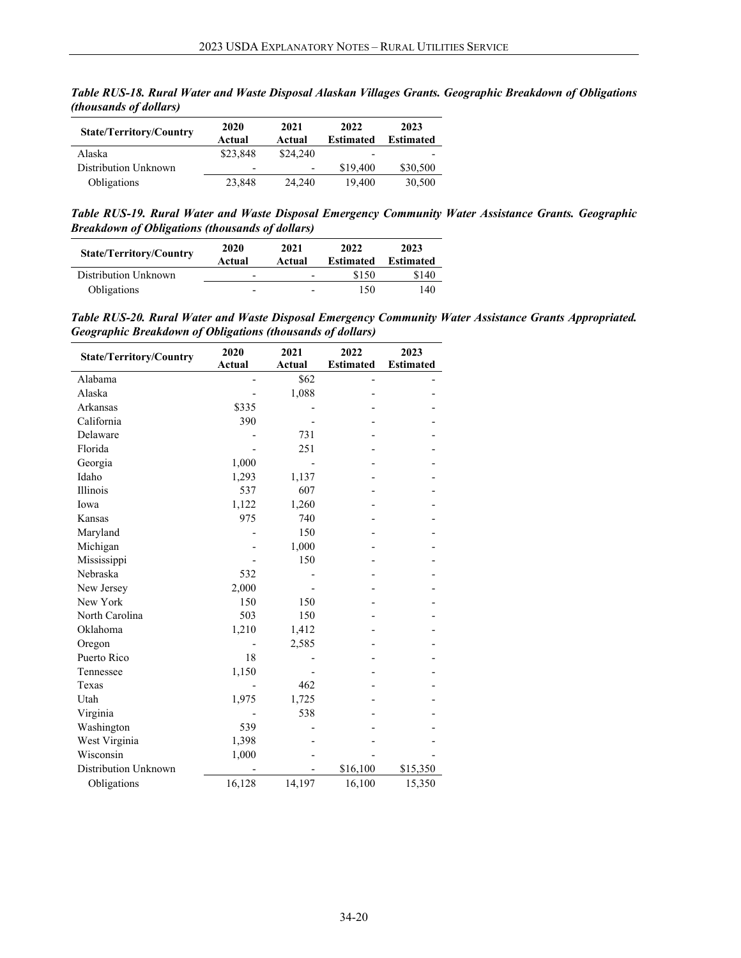|                               |  | Table RUS-18. Rural Water and Waste Disposal Alaskan Villages Grants. Geographic Breakdown of Obligations |  |
|-------------------------------|--|-----------------------------------------------------------------------------------------------------------|--|
| <i>(thousands of dollars)</i> |  |                                                                                                           |  |

| <b>State/Territory/Country</b> | 2020<br>Actual           | 2021<br>Actual           | 2022<br><b>Estimated</b> | 2023<br><b>Estimated</b> |  |
|--------------------------------|--------------------------|--------------------------|--------------------------|--------------------------|--|
| Alaska                         | \$23,848                 | \$24,240                 | -                        |                          |  |
| Distribution Unknown           | $\overline{\phantom{0}}$ | $\overline{\phantom{0}}$ | \$19,400                 | \$30,500                 |  |
| Obligations                    | 23,848                   | 24,240                   | 19.400                   | 30,500                   |  |

*Table RUS-19. Rural Water and Waste Disposal Emergency Community Water Assistance Grants. Geographic Breakdown of Obligations (thousands of dollars)*

| <b>State/Territory/Country</b> | 2020<br>Actual           | 2021<br>Actual           | 2022<br><b>Estimated</b> | 2023<br><b>Estimated</b> |
|--------------------------------|--------------------------|--------------------------|--------------------------|--------------------------|
| Distribution Unknown           | $\overline{\phantom{a}}$ | $\overline{\phantom{0}}$ | \$150                    | \$140                    |
| Obligations                    | $\overline{\phantom{a}}$ | $\overline{\phantom{0}}$ | 150                      | 140                      |

*Table RUS-20. Rural Water and Waste Disposal Emergency Community Water Assistance Grants Appropriated. Geographic Breakdown of Obligations (thousands of dollars)*

| <b>State/Territory/Country</b> | 2020<br><b>Actual</b> | 2021<br>Actual | 2022<br><b>Estimated</b> | 2023<br><b>Estimated</b> |
|--------------------------------|-----------------------|----------------|--------------------------|--------------------------|
| Alabama                        |                       | \$62           |                          |                          |
| Alaska                         |                       | 1,088          |                          |                          |
| Arkansas                       | \$335                 |                |                          |                          |
| California                     | 390                   |                |                          |                          |
| Delaware                       |                       | 731            |                          |                          |
| Florida                        |                       | 251            |                          |                          |
| Georgia                        | 1,000                 |                |                          |                          |
| Idaho                          | 1,293                 | 1,137          |                          |                          |
| Illinois                       | 537                   | 607            |                          |                          |
| Iowa                           | 1,122                 | 1,260          |                          |                          |
| Kansas                         | 975                   | 740            |                          |                          |
| Maryland                       |                       | 150            |                          |                          |
| Michigan                       |                       | 1,000          |                          |                          |
| Mississippi                    |                       | 150            |                          |                          |
| Nebraska                       | 532                   |                |                          |                          |
| New Jersey                     | 2,000                 |                |                          |                          |
| New York                       | 150                   | 150            |                          |                          |
| North Carolina                 | 503                   | 150            |                          |                          |
| Oklahoma                       | 1,210                 | 1,412          |                          |                          |
| Oregon                         |                       | 2,585          |                          |                          |
| Puerto Rico                    | 18                    |                |                          |                          |
| Tennessee                      | 1,150                 |                |                          |                          |
| Texas                          |                       | 462            |                          |                          |
| Utah                           | 1,975                 | 1,725          |                          |                          |
| Virginia                       |                       | 538            |                          |                          |
| Washington                     | 539                   |                |                          |                          |
| West Virginia                  | 1,398                 |                |                          |                          |
| Wisconsin                      | 1,000                 |                |                          |                          |
| Distribution Unknown           |                       |                | \$16,100                 | \$15,350                 |
| Obligations                    | 16,128                | 14,197         | 16,100                   | 15,350                   |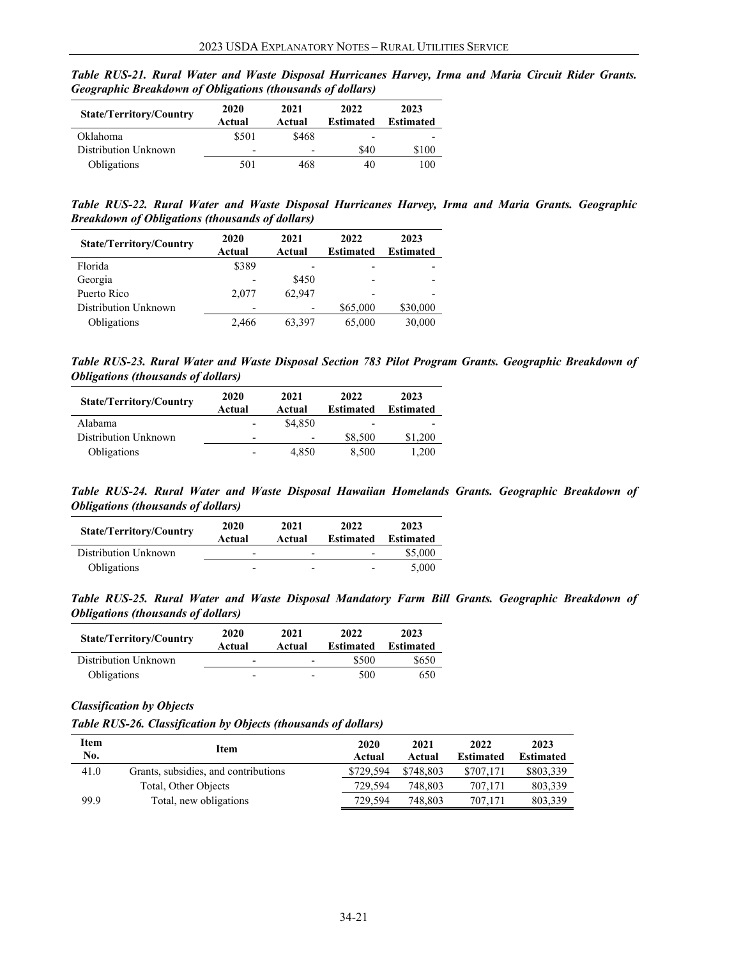| <b>State/Territory/Country</b> | 2020<br>Actual           | 2021<br>Actual           | 2022<br><b>Estimated</b> | 2023<br><b>Estimated</b> |
|--------------------------------|--------------------------|--------------------------|--------------------------|--------------------------|
| Oklahoma                       | \$501                    | \$468                    |                          |                          |
| Distribution Unknown           | $\overline{\phantom{0}}$ | $\overline{\phantom{0}}$ | \$40                     | \$100                    |
| Obligations                    | 501                      | 468                      | 40                       | 100                      |

*Table RUS-21. Rural Water and Waste Disposal Hurricanes Harvey, Irma and Maria Circuit Rider Grants. Geographic Breakdown of Obligations (thousands of dollars)*

*Table RUS-22. Rural Water and Waste Disposal Hurricanes Harvey, Irma and Maria Grants. Geographic Breakdown of Obligations (thousands of dollars)*

| <b>State/Territory/Country</b> | 2020<br>Actual           | 2021<br>Actual           | 2022<br><b>Estimated</b> | 2023<br><b>Estimated</b> |
|--------------------------------|--------------------------|--------------------------|--------------------------|--------------------------|
| Florida                        | \$389                    |                          |                          |                          |
| Georgia                        |                          | \$450                    |                          |                          |
| Puerto Rico                    | 2.077                    | 62.947                   |                          |                          |
| Distribution Unknown           | $\overline{\phantom{0}}$ | $\overline{\phantom{a}}$ | \$65,000                 | \$30,000                 |
| Obligations                    | 2.466                    | 63,397                   | 65,000                   | 30,000                   |

*Table RUS-23. Rural Water and Waste Disposal Section 783 Pilot Program Grants. Geographic Breakdown of Obligations (thousands of dollars)*

| <b>State/Territory/Country</b> | 2020<br>Actual           | 2021<br>Actual           | 2022<br><b>Estimated</b> | 2023<br><b>Estimated</b> |
|--------------------------------|--------------------------|--------------------------|--------------------------|--------------------------|
| Alabama                        | $\overline{\phantom{a}}$ | \$4,850                  | $\overline{\phantom{0}}$ |                          |
| Distribution Unknown           | $\overline{\phantom{a}}$ | $\overline{\phantom{0}}$ | \$8,500                  | \$1,200                  |
| Obligations                    | $\overline{\phantom{a}}$ | 4.850                    | 8,500                    | 1.200                    |

*Table RUS-24. Rural Water and Waste Disposal Hawaiian Homelands Grants. Geographic Breakdown of Obligations (thousands of dollars)*

| <b>State/Territory/Country</b> | 2020<br>Actual           | 2021<br>Actual           | 2022<br><b>Estimated</b> | 2023<br><b>Estimated</b> |
|--------------------------------|--------------------------|--------------------------|--------------------------|--------------------------|
| Distribution Unknown           | $\overline{\phantom{0}}$ | $\overline{\phantom{a}}$ | $\overline{\phantom{0}}$ | \$5,000                  |
| Obligations                    | $\overline{\phantom{0}}$ | $\overline{\phantom{a}}$ | $\overline{\phantom{0}}$ | 5,000                    |

*Table RUS-25. Rural Water and Waste Disposal Mandatory Farm Bill Grants. Geographic Breakdown of Obligations (thousands of dollars)*

| <b>State/Territory/Country</b> | 2020<br>Actual           | 2021<br>Actual           | 2022<br><b>Estimated</b> | 2023<br><b>Estimated</b> |  |
|--------------------------------|--------------------------|--------------------------|--------------------------|--------------------------|--|
| Distribution Unknown           | -                        | $\overline{\phantom{0}}$ | \$500                    | \$650                    |  |
| Obligations                    | $\overline{\phantom{0}}$ | $\overline{\phantom{a}}$ | 500                      | 650                      |  |

## *Classification by Objects*

*Table RUS-26. Classification by Objects (thousands of dollars)*

| Item<br>No. | Item                                 | 2020<br>Actual | 2021<br>Actual | 2022<br><b>Estimated</b> | 2023<br><b>Estimated</b> |
|-------------|--------------------------------------|----------------|----------------|--------------------------|--------------------------|
| 41.0        | Grants, subsidies, and contributions | \$729,594      | \$748,803      | \$707.171                | \$803,339                |
|             | Total, Other Objects                 | 729.594        | 748.803        | 707.171                  | 803,339                  |
| 99.9        | Total, new obligations               | 729,594        | 748.803        | 707.171                  | 803,339                  |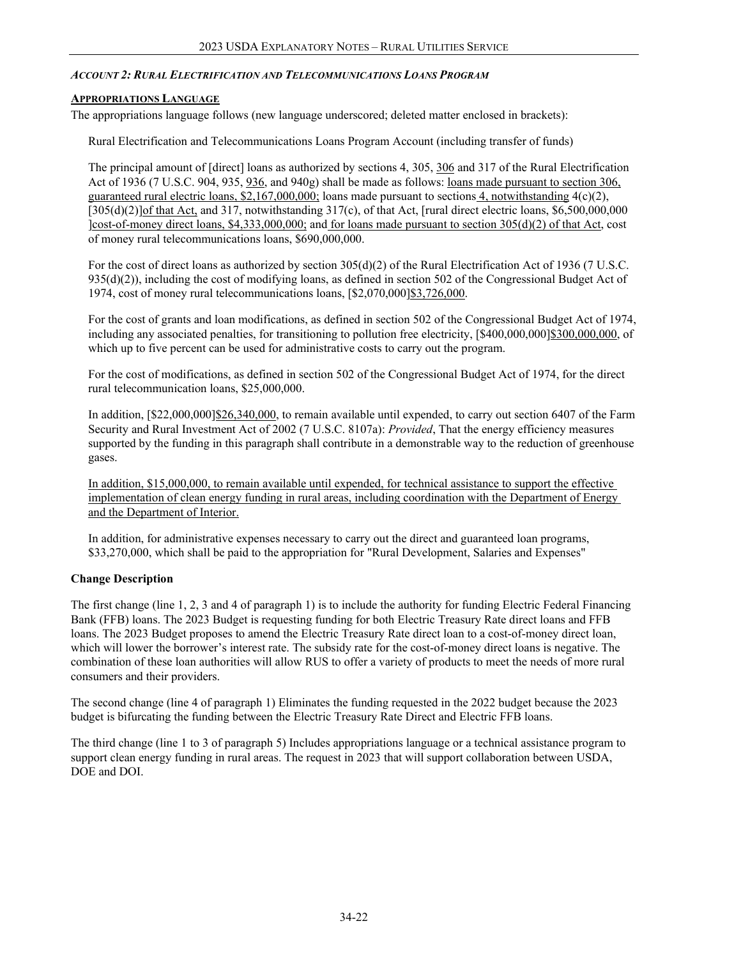# <span id="page-21-0"></span>*ACCOUNT 2: RURAL ELECTRIFICATION AND TELECOMMUNICATIONS LOANS PROGRAM*

# <span id="page-21-1"></span>**APPROPRIATIONS LANGUAGE**

The appropriations language follows (new language underscored; deleted matter enclosed in brackets):

Rural Electrification and Telecommunications Loans Program Account (including transfer of funds)

The principal amount of [direct] loans as authorized by sections 4, 305, 306 and 317 of the Rural Electrification Act of 1936 (7 U.S.C. 904, 935, 936, and 940g) shall be made as follows: loans made pursuant to section 306, guaranteed rural electric loans,  $$2,167,000,000$ ; loans made pursuant to sections 4, notwithstanding  $4(c)(2)$ , [305(d)(2)]of that Act, and 317, notwithstanding 317(c), of that Act, [rural direct electric loans, \$6,500,000,000 ]cost-of-money direct loans, \$4,333,000,000; and for loans made pursuant to section 305(d)(2) of that Act, cost of money rural telecommunications loans, \$690,000,000.

For the cost of direct loans as authorized by section 305(d)(2) of the Rural Electrification Act of 1936 (7 U.S.C. 935(d)(2)), including the cost of modifying loans, as defined in section 502 of the Congressional Budget Act of 1974, cost of money rural telecommunications loans, [\$2,070,000]\$3,726,000.

For the cost of grants and loan modifications, as defined in section 502 of the Congressional Budget Act of 1974, including any associated penalties, for transitioning to pollution free electricity, [\$400,000,000]\$300,000,000, of which up to five percent can be used for administrative costs to carry out the program.

For the cost of modifications, as defined in section 502 of the Congressional Budget Act of 1974, for the direct rural telecommunication loans, \$25,000,000.

In addition, [\$22,000,000]\$26,340,000, to remain available until expended, to carry out section 6407 of the Farm Security and Rural Investment Act of 2002 (7 U.S.C. 8107a): *Provided*, That the energy efficiency measures supported by the funding in this paragraph shall contribute in a demonstrable way to the reduction of greenhouse gases.

In addition, \$15,000,000, to remain available until expended, for technical assistance to support the effective implementation of clean energy funding in rural areas, including coordination with the Department of Energy and the Department of Interior.

In addition, for administrative expenses necessary to carry out the direct and guaranteed loan programs, \$33,270,000, which shall be paid to the appropriation for "Rural Development, Salaries and Expenses"

# **Change Description**

The first change (line 1, 2, 3 and 4 of paragraph 1) is to include the authority for funding Electric Federal Financing Bank (FFB) loans. The 2023 Budget is requesting funding for both Electric Treasury Rate direct loans and FFB loans. The 2023 Budget proposes to amend the Electric Treasury Rate direct loan to a cost-of-money direct loan, which will lower the borrower's interest rate. The subsidy rate for the cost-of-money direct loans is negative. The combination of these loan authorities will allow RUS to offer a variety of products to meet the needs of more rural consumers and their providers.

The second change (line 4 of paragraph 1) Eliminates the funding requested in the 2022 budget because the 2023 budget is bifurcating the funding between the Electric Treasury Rate Direct and Electric FFB loans.

The third change (line 1 to 3 of paragraph 5) Includes appropriations language or a technical assistance program to support clean energy funding in rural areas. The request in 2023 that will support collaboration between USDA, DOE and DOI.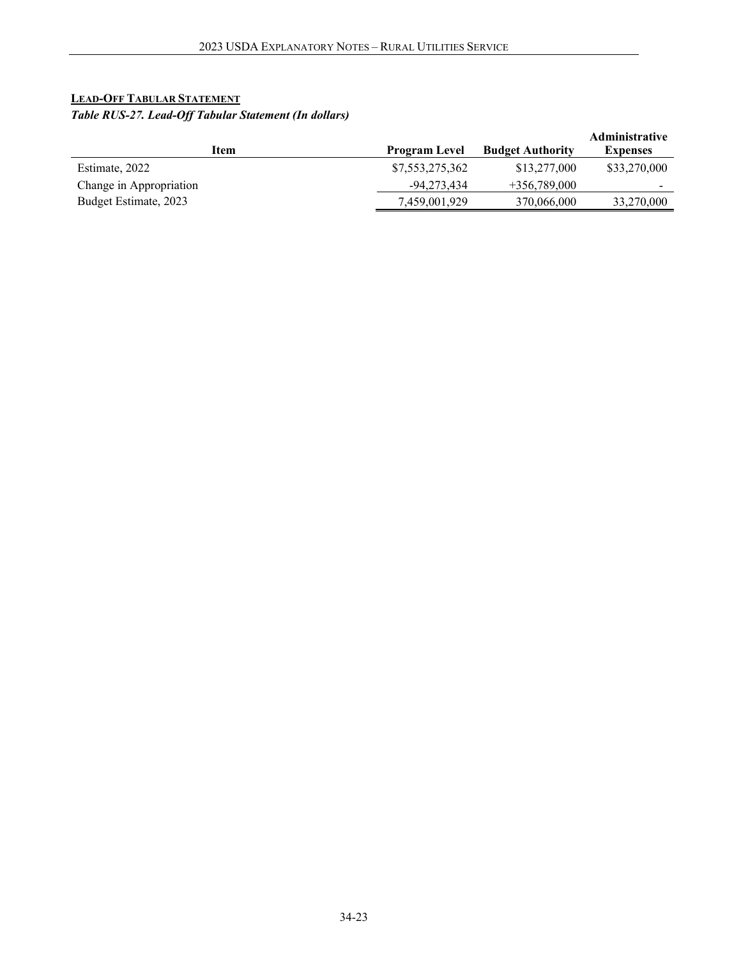# <span id="page-22-0"></span>**LEAD-OFF TABULAR STATEMENT**

*Table RUS-27. Lead-Off Tabular Statement (In dollars)*

| Item                    | <b>Program Level</b> | <b>Budget Authority</b> | <b>Administrative</b><br><b>Expenses</b> |
|-------------------------|----------------------|-------------------------|------------------------------------------|
| Estimate, 2022          | \$7,553,275,362      | \$13,277,000            | \$33,270,000                             |
| Change in Appropriation | -94.273.434          | $+356,789,000$          | $\sim$                                   |
| Budget Estimate, 2023   | 7,459,001,929        | 370,066,000             | 33,270,000                               |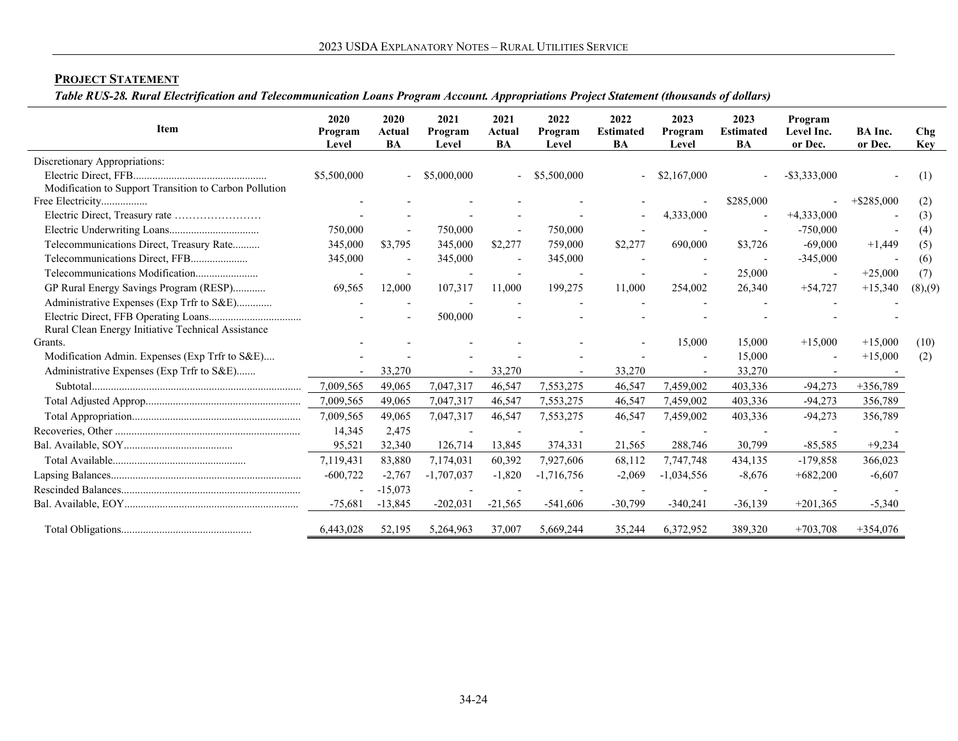# **PROJECT STATEMENT**

*Table RUS-28. Rural Electrification and Telecommunication Loans Program Account. Appropriations Project Statement (thousands of dollars)*

<span id="page-23-0"></span>

|                                                        |                          |                      |                          | . .                  |                          |                                |                          |                                |                                  |                           |                          |
|--------------------------------------------------------|--------------------------|----------------------|--------------------------|----------------------|--------------------------|--------------------------------|--------------------------|--------------------------------|----------------------------------|---------------------------|--------------------------|
| Item                                                   | 2020<br>Program<br>Level | 2020<br>Actual<br>BA | 2021<br>Program<br>Level | 2021<br>Actual<br>BA | 2022<br>Program<br>Level | 2022<br><b>Estimated</b><br>BA | 2023<br>Program<br>Level | 2023<br><b>Estimated</b><br>BA | Program<br>Level Inc.<br>or Dec. | <b>BA</b> Inc.<br>or Dec. | <b>Chg</b><br><b>Key</b> |
| Discretionary Appropriations:                          |                          |                      |                          |                      |                          |                                |                          |                                |                                  |                           |                          |
|                                                        | \$5,500,000              |                      | \$5,000,000              |                      | \$5,500,000              |                                | \$2,167,000              |                                | $-$ \$3,333,000                  |                           | (1)                      |
| Modification to Support Transition to Carbon Pollution |                          |                      |                          |                      |                          |                                |                          |                                |                                  |                           |                          |
| Free Electricity                                       |                          |                      |                          |                      |                          |                                |                          | \$285,000                      |                                  | $+$ \$285,000             | (2)                      |
| Electric Direct, Treasury rate                         |                          |                      |                          |                      |                          |                                | 4,333,000                |                                | $+4,333,000$                     |                           | (3)                      |
|                                                        | 750,000                  |                      | 750,000                  |                      | 750,000                  |                                |                          |                                | $-750,000$                       |                           | (4)                      |
| Telecommunications Direct, Treasury Rate               | 345,000                  | \$3,795              | 345,000                  | \$2,277              | 759,000                  | \$2,277                        | 690,000                  | \$3,726                        | $-69,000$                        | $+1,449$                  | (5)                      |
|                                                        | 345,000                  |                      | 345,000                  |                      | 345,000                  |                                |                          |                                | $-345,000$                       |                           | (6)                      |
| Telecommunications Modification                        |                          |                      |                          |                      |                          |                                |                          | 25,000                         |                                  | $+25,000$                 | (7)                      |
| GP Rural Energy Savings Program (RESP)                 | 69,565                   | 12,000               | 107,317                  | 11,000               | 199,275                  | 11,000                         | 254,002                  | 26,340                         | $+54,727$                        | $+15,340$                 | (8), (9)                 |
| Administrative Expenses (Exp Trfr to S&E)              |                          |                      |                          |                      |                          |                                |                          |                                |                                  |                           |                          |
| Rural Clean Energy Initiative Technical Assistance     |                          |                      | 500,000                  |                      |                          |                                |                          |                                |                                  |                           |                          |
| Grants.                                                |                          |                      |                          |                      |                          |                                | 15,000                   | 15,000                         | $+15,000$                        | $+15,000$                 | (10)                     |
| Modification Admin. Expenses (Exp Trfr to S&E)         |                          |                      |                          |                      |                          |                                |                          | 15,000                         |                                  | $+15,000$                 | (2)                      |
| Administrative Expenses (Exp Trfr to S&E)              |                          | 33,270               |                          | 33,270               |                          | 33,270                         |                          | 33,270                         |                                  |                           |                          |
|                                                        | 7,009,565                | 49,065               | 7,047,317                | 46,547               | 7,553,275                | 46,547                         | 7,459,002                | 403,336                        | $-94,273$                        | $+356,789$                |                          |
|                                                        | 7,009,565                | 49,065               | 7,047,317                | 46,547               | 7,553,275                | 46,547                         | 7,459,002                | 403,336                        | $-94,273$                        | 356,789                   |                          |
|                                                        | 7,009,565                | 49,065               | 7,047,317                | 46,547               | 7,553,275                | 46,547                         | 7,459,002                | 403,336                        | $-94,273$                        | 356,789                   |                          |
|                                                        | 14,345                   | 2,475                |                          |                      |                          |                                |                          |                                |                                  |                           |                          |
|                                                        | 95,521                   | 32,340               | 126,714                  | 13,845               | 374,331                  | 21,565                         | 288,746                  | 30,799                         | $-85,585$                        | $+9,234$                  |                          |
|                                                        | 7,119,431                | 83,880               | 7,174,031                | 60,392               | 7,927,606                | 68,112                         | 7,747,748                | 434,135                        | $-179,858$                       | 366,023                   |                          |
|                                                        | $-600,722$               | $-2,767$             | $-1,707,037$             | $-1,820$             | $-1,716,756$             | $-2,069$                       | $-1,034,556$             | $-8,676$                       | $+682,200$                       | $-6,607$                  |                          |
|                                                        |                          | $-15,073$            |                          |                      |                          |                                |                          |                                |                                  |                           |                          |
|                                                        | $-75,681$                | $-13,845$            | $-202,031$               | $-21,565$            | $-541,606$               | $-30,799$                      | $-340,241$               | $-36,139$                      | $+201,365$                       | $-5,340$                  |                          |
|                                                        | 6,443,028                | 52,195               | 5,264,963                | 37,007               | 5,669,244                | 35,244                         | 6,372,952                | 389,320                        | $+703,708$                       | $+354,076$                |                          |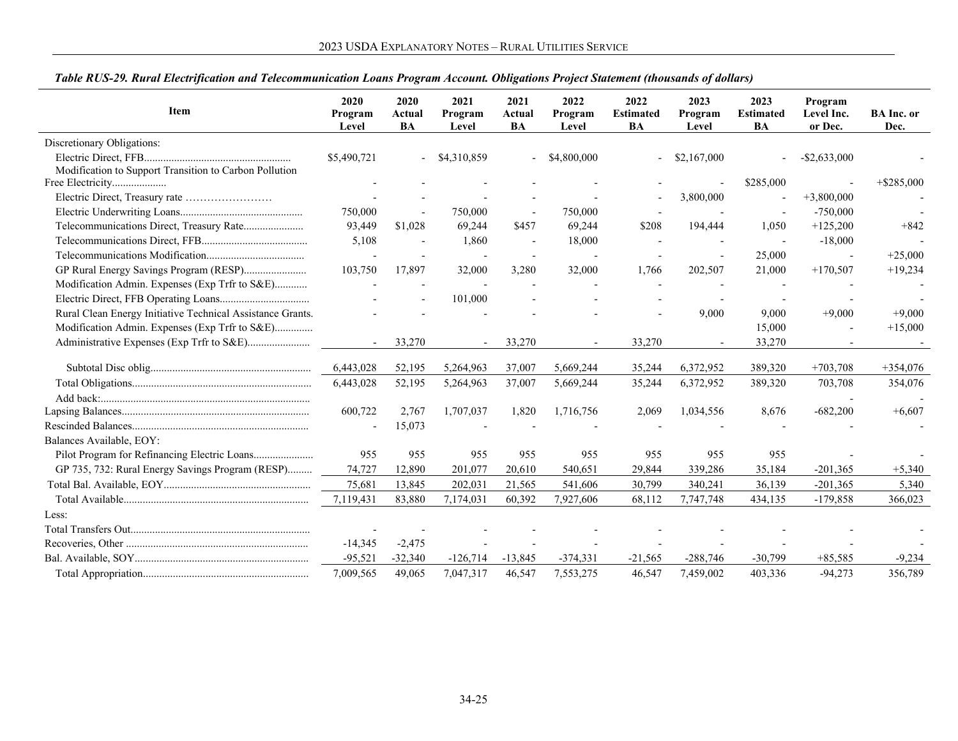| Item                                                       | 2020<br>Program<br>Level | 2020<br>Actual<br>BA     | 2021<br>Program<br>Level | 2021<br>Actual<br><b>BA</b> | 2022<br>Program<br>Level | 2022<br><b>Estimated</b><br>BA | 2023<br>Program<br>Level | 2023<br><b>Estimated</b><br><b>BA</b> | Program<br>Level Inc.<br>or Dec. | <b>BA</b> Inc. or<br>Dec. |
|------------------------------------------------------------|--------------------------|--------------------------|--------------------------|-----------------------------|--------------------------|--------------------------------|--------------------------|---------------------------------------|----------------------------------|---------------------------|
| Discretionary Obligations:                                 |                          |                          |                          |                             |                          |                                |                          |                                       |                                  |                           |
| Modification to Support Transition to Carbon Pollution     | \$5,490,721              |                          | \$4,310,859              |                             | \$4,800,000              |                                | \$2,167,000              |                                       | $-$ \$2,633,000                  |                           |
| Free Electricity                                           |                          |                          |                          |                             |                          |                                |                          | \$285,000                             |                                  | $+$ \$285,000             |
| Electric Direct, Treasury rate                             |                          |                          |                          |                             |                          |                                | 3,800,000                |                                       | $+3,800,000$                     |                           |
|                                                            | 750,000                  |                          | 750,000                  |                             | 750,000                  |                                |                          |                                       | $-750,000$                       |                           |
|                                                            | 93,449                   | \$1,028                  | 69,244                   | \$457                       | 69,244                   | \$208                          | 194,444                  | 1,050                                 | $+125,200$                       | $+842$                    |
|                                                            | 5,108                    |                          | 1,860                    | $\overline{\phantom{a}}$    | 18,000                   | $\overline{\phantom{0}}$       |                          |                                       | $-18,000$                        |                           |
|                                                            |                          |                          |                          |                             |                          |                                |                          | 25,000                                |                                  | $+25,000$                 |
|                                                            | 103,750                  | 17,897                   | 32,000                   | 3,280                       | 32,000                   | 1,766                          | 202,507                  | 21,000                                | $+170,507$                       | $+19,234$                 |
| Modification Admin. Expenses (Exp Trfr to S&E)             |                          | $\overline{\phantom{a}}$ |                          |                             |                          |                                |                          |                                       |                                  |                           |
|                                                            |                          |                          | 101,000                  |                             |                          |                                |                          |                                       |                                  |                           |
| Rural Clean Energy Initiative Technical Assistance Grants. |                          |                          |                          |                             |                          |                                | 9,000                    | 9,000                                 | $+9,000$                         | $+9,000$                  |
| Modification Admin. Expenses (Exp Trfr to S&E)             |                          |                          |                          |                             |                          |                                |                          | 15,000                                |                                  | $+15,000$                 |
|                                                            |                          | 33,270                   |                          | 33,270                      |                          | 33,270                         |                          | 33,270                                |                                  |                           |
|                                                            | 6,443,028                | 52,195                   | 5,264,963                | 37,007                      | 5,669,244                | 35,244                         | 6,372,952                | 389,320                               | $+703,708$                       | $+354,076$                |
|                                                            | 6,443,028                | 52,195                   | 5,264,963                | 37,007                      | 5,669,244                | 35,244                         | 6,372,952                | 389,320                               | 703,708                          | 354,076                   |
|                                                            |                          |                          |                          |                             |                          |                                |                          |                                       |                                  |                           |
|                                                            | 600,722                  | 2,767                    | 1,707,037                | 1,820                       | 1,716,756                | 2,069                          | 1,034,556                | 8,676                                 | $-682,200$                       | $+6,607$                  |
|                                                            |                          | 15,073                   |                          |                             |                          |                                |                          |                                       |                                  |                           |
| Balances Available, EOY:                                   |                          |                          |                          |                             |                          |                                |                          |                                       |                                  |                           |
|                                                            | 955                      | 955                      | 955                      | 955                         | 955                      | 955                            | 955                      | 955                                   |                                  |                           |
| GP 735, 732: Rural Energy Savings Program (RESP)           | 74,727                   | 12,890                   | 201,077                  | 20,610                      | 540,651                  | 29,844                         | 339,286                  | 35,184                                | $-201,365$                       | $+5,340$                  |
|                                                            | 75,681                   | 13,845                   | 202,031                  | 21,565                      | 541,606                  | 30,799                         | 340,241                  | 36,139                                | $-201,365$                       | 5,340                     |
|                                                            | 7,119,431                | 83,880                   | 7,174,031                | 60,392                      | 7,927,606                | 68,112                         | 7,747,748                | 434,135                               | $-179,858$                       | 366,023                   |
| Less:                                                      |                          |                          |                          |                             |                          |                                |                          |                                       |                                  |                           |
|                                                            |                          |                          |                          |                             |                          |                                |                          |                                       |                                  |                           |
|                                                            | $-14,345$                | $-2,475$                 |                          |                             |                          |                                |                          |                                       |                                  |                           |
|                                                            | $-95,521$                | $-32,340$                | $-126,714$               | $-13,845$                   | $-374,331$               | $-21,565$                      | $-288,746$               | $-30,799$                             | $+85,585$                        | $-9,234$                  |
|                                                            | 7,009,565                | 49,065                   | 7,047,317                | 46,547                      | 7,553,275                | 46,547                         | 7,459,002                | 403,336                               | $-94,273$                        | 356,789                   |

*Table RUS-29. Rural Electrification and Telecommunication Loans Program Account. Obligations Project Statement (thousands of dollars)*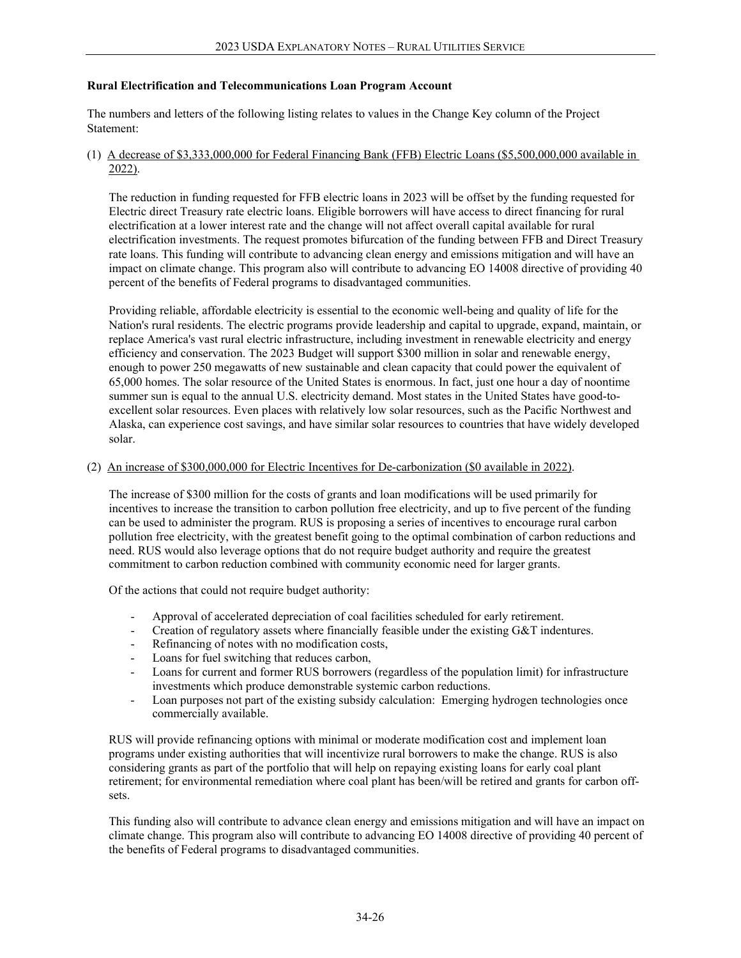## **Rural Electrification and Telecommunications Loan Program Account**

The numbers and letters of the following listing relates to values in the Change Key column of the Project Statement:

(1) A decrease of \$3,333,000,000 for Federal Financing Bank (FFB) Electric Loans (\$5,500,000,000 available in 2022).

The reduction in funding requested for FFB electric loans in 2023 will be offset by the funding requested for Electric direct Treasury rate electric loans. Eligible borrowers will have access to direct financing for rural electrification at a lower interest rate and the change will not affect overall capital available for rural electrification investments. The request promotes bifurcation of the funding between FFB and Direct Treasury rate loans. This funding will contribute to advancing clean energy and emissions mitigation and will have an impact on climate change. This program also will contribute to advancing EO 14008 directive of providing 40 percent of the benefits of Federal programs to disadvantaged communities.

Providing reliable, affordable electricity is essential to the economic well-being and quality of life for the Nation's rural residents. The electric programs provide leadership and capital to upgrade, expand, maintain, or replace America's vast rural electric infrastructure, including investment in renewable electricity and energy efficiency and conservation. The 2023 Budget will support \$300 million in solar and renewable energy, enough to power 250 megawatts of new sustainable and clean capacity that could power the equivalent of 65,000 homes. The solar resource of the United States is enormous. In fact, just one hour a day of noontime summer sun is equal to the annual U.S. electricity demand. Most states in the United States have good-toexcellent solar resources. Even places with relatively low solar resources, such as the Pacific Northwest and Alaska, can experience cost savings, and have similar solar resources to countries that have widely developed solar.

### (2) An increase of \$300,000,000 for Electric Incentives for De-carbonization (\$0 available in 2022).

The increase of \$300 million for the costs of grants and loan modifications will be used primarily for incentives to increase the transition to carbon pollution free electricity, and up to five percent of the funding can be used to administer the program. RUS is proposing a series of incentives to encourage rural carbon pollution free electricity, with the greatest benefit going to the optimal combination of carbon reductions and need. RUS would also leverage options that do not require budget authority and require the greatest commitment to carbon reduction combined with community economic need for larger grants.

Of the actions that could not require budget authority:

- Approval of accelerated depreciation of coal facilities scheduled for early retirement.
- Creation of regulatory assets where financially feasible under the existing G&T indentures.
- Refinancing of notes with no modification costs,
- Loans for fuel switching that reduces carbon,
- Loans for current and former RUS borrowers (regardless of the population limit) for infrastructure investments which produce demonstrable systemic carbon reductions.
- Loan purposes not part of the existing subsidy calculation: Emerging hydrogen technologies once commercially available.

RUS will provide refinancing options with minimal or moderate modification cost and implement loan programs under existing authorities that will incentivize rural borrowers to make the change. RUS is also considering grants as part of the portfolio that will help on repaying existing loans for early coal plant retirement; for environmental remediation where coal plant has been/will be retired and grants for carbon offsets.

This funding also will contribute to advance clean energy and emissions mitigation and will have an impact on climate change. This program also will contribute to advancing EO 14008 directive of providing 40 percent of the benefits of Federal programs to disadvantaged communities.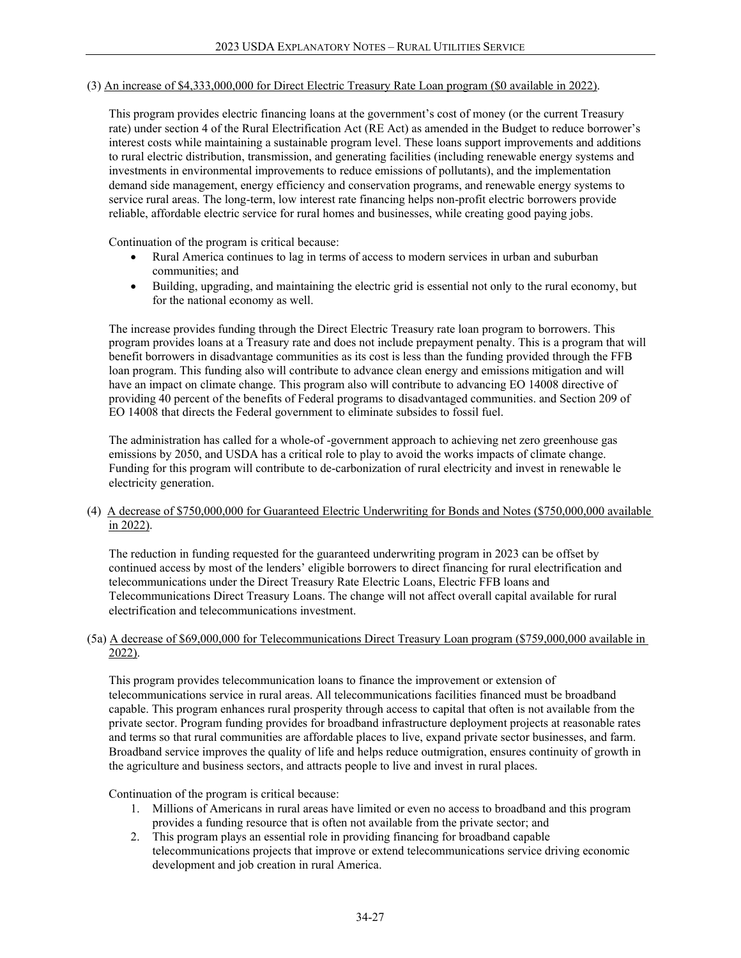## (3) An increase of \$4,333,000,000 for Direct Electric Treasury Rate Loan program (\$0 available in 2022).

This program provides electric financing loans at the government's cost of money (or the current Treasury rate) under section 4 of the Rural Electrification Act (RE Act) as amended in the Budget to reduce borrower's interest costs while maintaining a sustainable program level. These loans support improvements and additions to rural electric distribution, transmission, and generating facilities (including renewable energy systems and investments in environmental improvements to reduce emissions of pollutants), and the implementation demand side management, energy efficiency and conservation programs, and renewable energy systems to service rural areas. The long-term, low interest rate financing helps non-profit electric borrowers provide reliable, affordable electric service for rural homes and businesses, while creating good paying jobs.

Continuation of the program is critical because:

- Rural America continues to lag in terms of access to modern services in urban and suburban communities; and
- Building, upgrading, and maintaining the electric grid is essential not only to the rural economy, but for the national economy as well.

The increase provides funding through the Direct Electric Treasury rate loan program to borrowers. This program provides loans at a Treasury rate and does not include prepayment penalty. This is a program that will benefit borrowers in disadvantage communities as its cost is less than the funding provided through the FFB loan program. This funding also will contribute to advance clean energy and emissions mitigation and will have an impact on climate change. This program also will contribute to advancing EO 14008 directive of providing 40 percent of the benefits of Federal programs to disadvantaged communities. and Section 209 of EO 14008 that directs the Federal government to eliminate subsides to fossil fuel.

The administration has called for a whole-of -government approach to achieving net zero greenhouse gas emissions by 2050, and USDA has a critical role to play to avoid the works impacts of climate change. Funding for this program will contribute to de-carbonization of rural electricity and invest in renewable le electricity generation.

# (4) A decrease of \$750,000,000 for Guaranteed Electric Underwriting for Bonds and Notes (\$750,000,000 available in 2022).

The reduction in funding requested for the guaranteed underwriting program in 2023 can be offset by continued access by most of the lenders' eligible borrowers to direct financing for rural electrification and telecommunications under the Direct Treasury Rate Electric Loans, Electric FFB loans and Telecommunications Direct Treasury Loans. The change will not affect overall capital available for rural electrification and telecommunications investment.

# (5a) A decrease of \$69,000,000 for Telecommunications Direct Treasury Loan program (\$759,000,000 available in 2022).

This program provides telecommunication loans to finance the improvement or extension of telecommunications service in rural areas. All telecommunications facilities financed must be broadband capable. This program enhances rural prosperity through access to capital that often is not available from the private sector. Program funding provides for broadband infrastructure deployment projects at reasonable rates and terms so that rural communities are affordable places to live, expand private sector businesses, and farm. Broadband service improves the quality of life and helps reduce outmigration, ensures continuity of growth in the agriculture and business sectors, and attracts people to live and invest in rural places.

Continuation of the program is critical because:

- 1. Millions of Americans in rural areas have limited or even no access to broadband and this program provides a funding resource that is often not available from the private sector; and
- 2. This program plays an essential role in providing financing for broadband capable telecommunications projects that improve or extend telecommunications service driving economic development and job creation in rural America.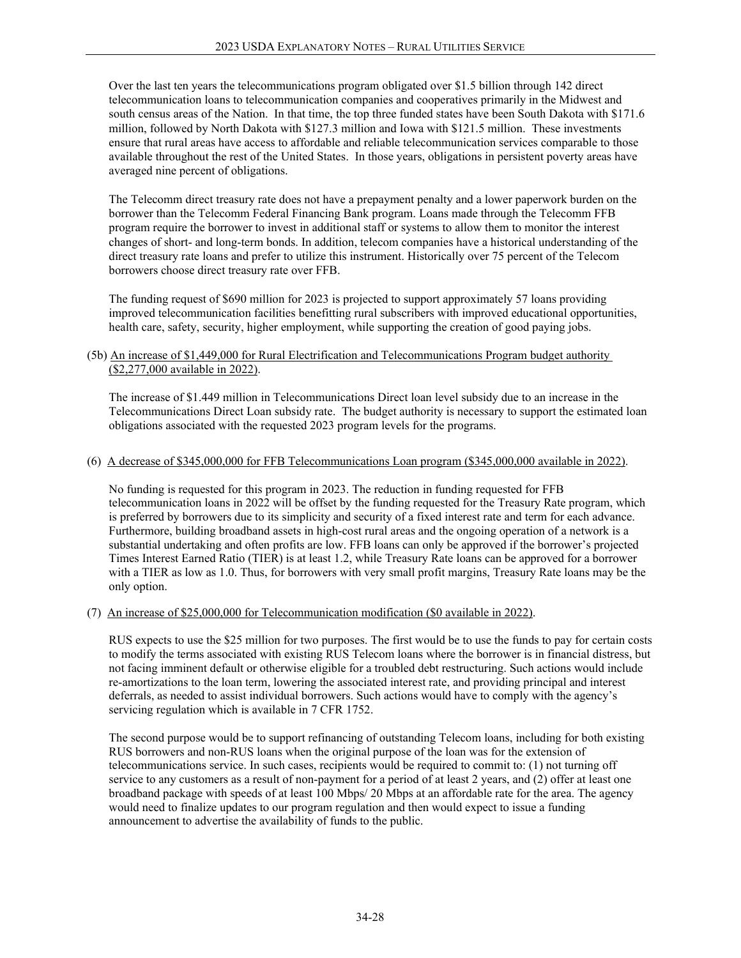Over the last ten years the telecommunications program obligated over \$1.5 billion through 142 direct telecommunication loans to telecommunication companies and cooperatives primarily in the Midwest and south census areas of the Nation. In that time, the top three funded states have been South Dakota with \$171.6 million, followed by North Dakota with \$127.3 million and Iowa with \$121.5 million. These investments ensure that rural areas have access to affordable and reliable telecommunication services comparable to those available throughout the rest of the United States. In those years, obligations in persistent poverty areas have averaged nine percent of obligations.

The Telecomm direct treasury rate does not have a prepayment penalty and a lower paperwork burden on the borrower than the Telecomm Federal Financing Bank program. Loans made through the Telecomm FFB program require the borrower to invest in additional staff or systems to allow them to monitor the interest changes of short- and long-term bonds. In addition, telecom companies have a historical understanding of the direct treasury rate loans and prefer to utilize this instrument. Historically over 75 percent of the Telecom borrowers choose direct treasury rate over FFB.

The funding request of \$690 million for 2023 is projected to support approximately 57 loans providing improved telecommunication facilities benefitting rural subscribers with improved educational opportunities, health care, safety, security, higher employment, while supporting the creation of good paying jobs.

# (5b) An increase of \$1,449,000 for Rural Electrification and Telecommunications Program budget authority (\$2,277,000 available in 2022).

The increase of \$1.449 million in Telecommunications Direct loan level subsidy due to an increase in the Telecommunications Direct Loan subsidy rate. The budget authority is necessary to support the estimated loan obligations associated with the requested 2023 program levels for the programs.

# (6) A decrease of \$345,000,000 for FFB Telecommunications Loan program (\$345,000,000 available in 2022).

No funding is requested for this program in 2023. The reduction in funding requested for FFB telecommunication loans in 2022 will be offset by the funding requested for the Treasury Rate program, which is preferred by borrowers due to its simplicity and security of a fixed interest rate and term for each advance. Furthermore, building broadband assets in high-cost rural areas and the ongoing operation of a network is a substantial undertaking and often profits are low. FFB loans can only be approved if the borrower's projected Times Interest Earned Ratio (TIER) is at least 1.2, while Treasury Rate loans can be approved for a borrower with a TIER as low as 1.0. Thus, for borrowers with very small profit margins, Treasury Rate loans may be the only option.

# (7) An increase of \$25,000,000 for Telecommunication modification (\$0 available in 2022).

RUS expects to use the \$25 million for two purposes. The first would be to use the funds to pay for certain costs to modify the terms associated with existing RUS Telecom loans where the borrower is in financial distress, but not facing imminent default or otherwise eligible for a troubled debt restructuring. Such actions would include re-amortizations to the loan term, lowering the associated interest rate, and providing principal and interest deferrals, as needed to assist individual borrowers. Such actions would have to comply with the agency's servicing regulation which is available in 7 CFR 1752.

The second purpose would be to support refinancing of outstanding Telecom loans, including for both existing RUS borrowers and non-RUS loans when the original purpose of the loan was for the extension of telecommunications service. In such cases, recipients would be required to commit to: (1) not turning off service to any customers as a result of non-payment for a period of at least 2 years, and (2) offer at least one broadband package with speeds of at least 100 Mbps/ 20 Mbps at an affordable rate for the area. The agency would need to finalize updates to our program regulation and then would expect to issue a funding announcement to advertise the availability of funds to the public.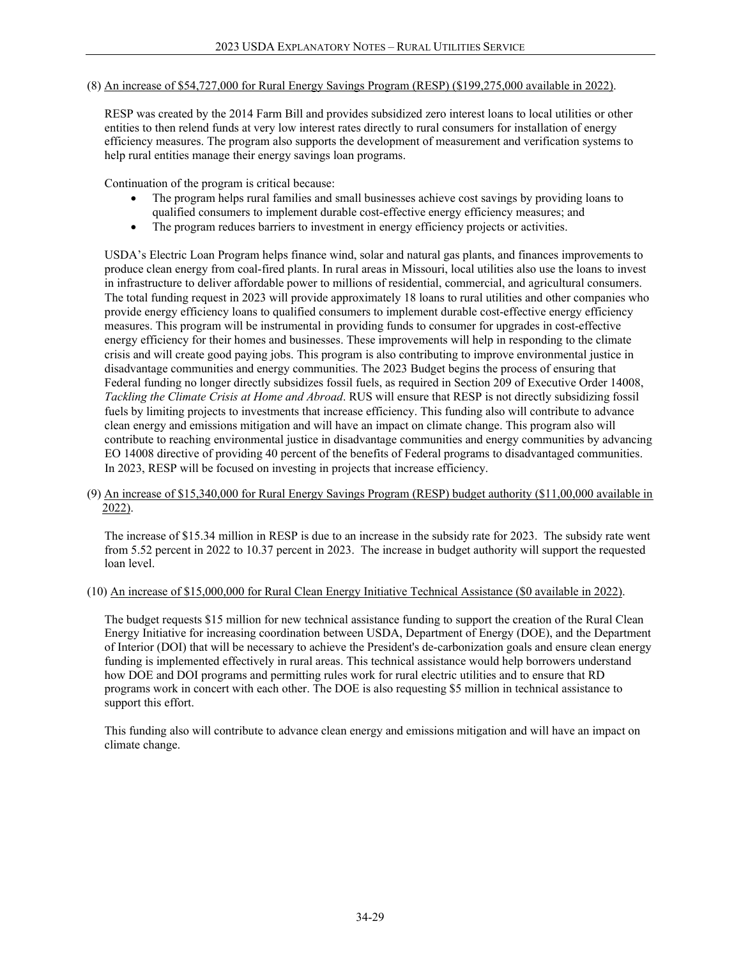### (8) An increase of \$54,727,000 for Rural Energy Savings Program (RESP) (\$199,275,000 available in 2022).

RESP was created by the 2014 Farm Bill and provides subsidized zero interest loans to local utilities or other entities to then relend funds at very low interest rates directly to rural consumers for installation of energy efficiency measures. The program also supports the development of measurement and verification systems to help rural entities manage their energy savings loan programs.

Continuation of the program is critical because:

- The program helps rural families and small businesses achieve cost savings by providing loans to qualified consumers to implement durable cost-effective energy efficiency measures; and
- The program reduces barriers to investment in energy efficiency projects or activities.

USDA's Electric Loan Program helps finance wind, solar and natural gas plants, and finances improvements to produce clean energy from coal-fired plants. In rural areas in Missouri, local utilities also use the loans to invest in infrastructure to deliver affordable power to millions of residential, commercial, and agricultural consumers. The total funding request in 2023 will provide approximately 18 loans to rural utilities and other companies who provide energy efficiency loans to qualified consumers to implement durable cost-effective energy efficiency measures. This program will be instrumental in providing funds to consumer for upgrades in cost-effective energy efficiency for their homes and businesses. These improvements will help in responding to the climate crisis and will create good paying jobs. This program is also contributing to improve environmental justice in disadvantage communities and energy communities. The 2023 Budget begins the process of ensuring that Federal funding no longer directly subsidizes fossil fuels, as required in Section 209 of Executive Order 14008, *Tackling the Climate Crisis at Home and Abroad*. RUS will ensure that RESP is not directly subsidizing fossil fuels by limiting projects to investments that increase efficiency. This funding also will contribute to advance clean energy and emissions mitigation and will have an impact on climate change. This program also will contribute to reaching environmental justice in disadvantage communities and energy communities by advancing EO 14008 directive of providing 40 percent of the benefits of Federal programs to disadvantaged communities. In 2023, RESP will be focused on investing in projects that increase efficiency.

(9) An increase of \$15,340,000 for Rural Energy Savings Program (RESP) budget authority (\$11,00,000 available in 2022).

The increase of \$15.34 million in RESP is due to an increase in the subsidy rate for 2023. The subsidy rate went from 5.52 percent in 2022 to 10.37 percent in 2023. The increase in budget authority will support the requested loan level.

#### (10) An increase of \$15,000,000 for Rural Clean Energy Initiative Technical Assistance (\$0 available in 2022).

The budget requests \$15 million for new technical assistance funding to support the creation of the Rural Clean Energy Initiative for increasing coordination between USDA, Department of Energy (DOE), and the Department of Interior (DOI) that will be necessary to achieve the President's de-carbonization goals and ensure clean energy funding is implemented effectively in rural areas. This technical assistance would help borrowers understand how DOE and DOI programs and permitting rules work for rural electric utilities and to ensure that RD programs work in concert with each other. The DOE is also requesting \$5 million in technical assistance to support this effort.

This funding also will contribute to advance clean energy and emissions mitigation and will have an impact on climate change.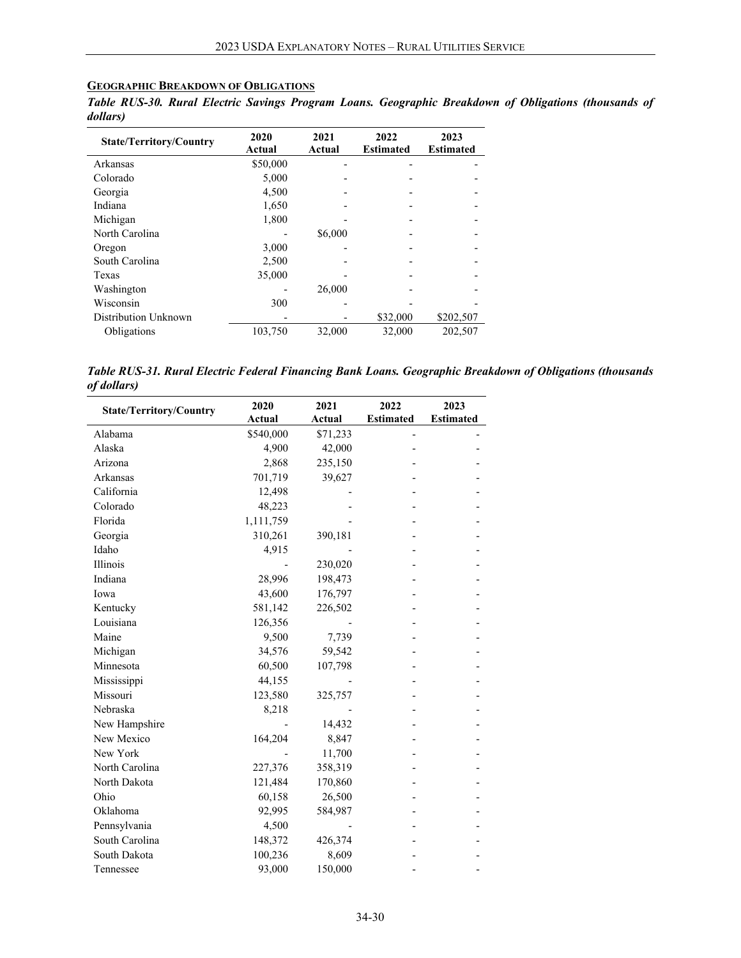# <span id="page-29-0"></span>**GEOGRAPHIC BREAKDOWN OF OBLIGATIONS**

*Table RUS-30. Rural Electric Savings Program Loans. Geographic Breakdown of Obligations (thousands of dollars)*

| <b>State/Territory/Country</b> | 2020<br>Actual | 2021<br>Actual | 2022<br><b>Estimated</b> | 2023<br><b>Estimated</b> |
|--------------------------------|----------------|----------------|--------------------------|--------------------------|
| Arkansas                       | \$50,000       |                |                          |                          |
| Colorado                       | 5,000          |                |                          |                          |
| Georgia                        | 4,500          |                |                          |                          |
| Indiana                        | 1,650          |                |                          |                          |
| Michigan                       | 1,800          |                |                          |                          |
| North Carolina                 |                | \$6,000        |                          |                          |
| Oregon                         | 3,000          |                |                          |                          |
| South Carolina                 | 2,500          |                |                          |                          |
| Texas                          | 35,000         |                |                          |                          |
| Washington                     |                | 26,000         |                          |                          |
| Wisconsin                      | 300            |                |                          |                          |
| Distribution Unknown           |                |                | \$32,000                 | \$202,507                |
| Obligations                    | 103,750        | 32,000         | 32,000                   | 202,507                  |

*Table RUS-31. Rural Electric Federal Financing Bank Loans. Geographic Breakdown of Obligations (thousands of dollars)*

| <b>State/Territory/Country</b> | 2020<br><b>Actual</b> | 2021<br><b>Actual</b> | 2022<br><b>Estimated</b> | 2023<br><b>Estimated</b> |
|--------------------------------|-----------------------|-----------------------|--------------------------|--------------------------|
| Alabama                        | \$540,000             | \$71,233              |                          |                          |
| Alaska                         | 4,900                 | 42,000                |                          |                          |
| Arizona                        | 2,868                 | 235,150               |                          |                          |
| Arkansas                       | 701,719               | 39,627                |                          |                          |
| California                     | 12,498                |                       |                          |                          |
| Colorado                       | 48,223                |                       |                          |                          |
| Florida                        | 1,111,759             |                       |                          |                          |
| Georgia                        | 310,261               | 390,181               |                          |                          |
| Idaho                          | 4,915                 |                       |                          |                          |
| <b>Illinois</b>                |                       | 230,020               |                          |                          |
| Indiana                        | 28,996                | 198,473               |                          |                          |
| Iowa                           | 43,600                | 176,797               |                          |                          |
| Kentucky                       | 581,142               | 226,502               |                          |                          |
| Louisiana                      | 126,356               |                       |                          |                          |
| Maine                          | 9,500                 | 7,739                 |                          |                          |
| Michigan                       | 34,576                | 59,542                |                          |                          |
| Minnesota                      | 60,500                | 107,798               |                          |                          |
| Mississippi                    | 44,155                |                       |                          |                          |
| Missouri                       | 123,580               | 325,757               |                          |                          |
| Nebraska                       | 8,218                 |                       |                          |                          |
| New Hampshire                  |                       | 14,432                |                          |                          |
| New Mexico                     | 164,204               | 8,847                 |                          |                          |
| New York                       |                       | 11,700                |                          |                          |
| North Carolina                 | 227,376               | 358,319               |                          |                          |
| North Dakota                   | 121,484               | 170,860               |                          |                          |
| Ohio                           | 60,158                | 26,500                |                          |                          |
| Oklahoma                       | 92,995                | 584,987               |                          |                          |
| Pennsylvania                   | 4,500                 |                       |                          |                          |
| South Carolina                 | 148,372               | 426,374               |                          |                          |
| South Dakota                   | 100,236               | 8,609                 |                          |                          |
| Tennessee                      | 93,000                | 150,000               |                          |                          |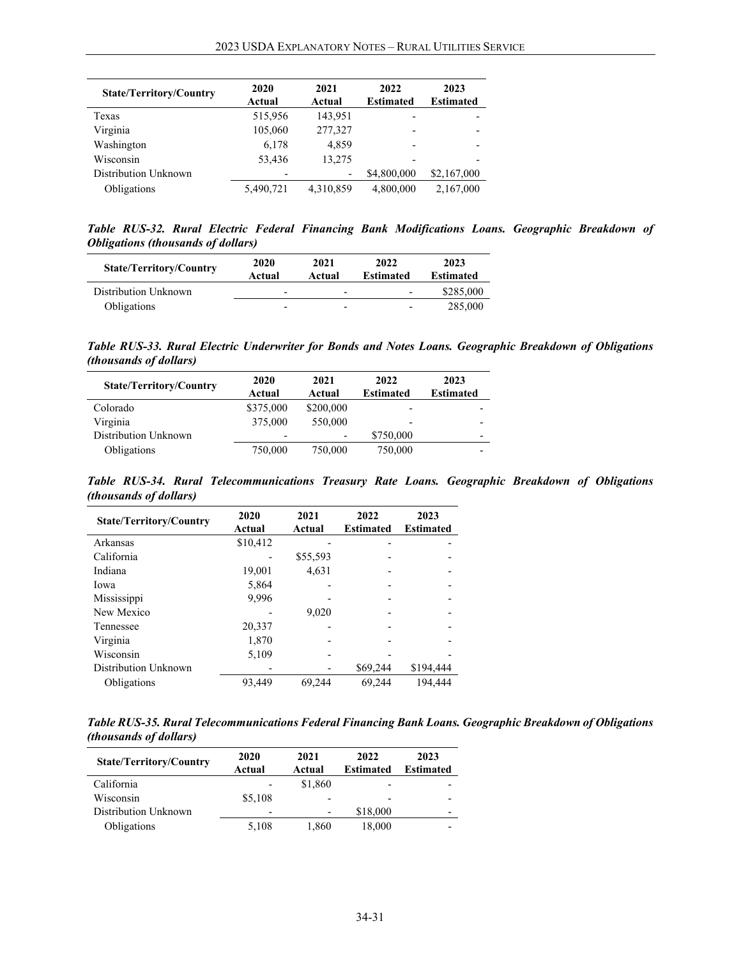| <b>State/Territory/Country</b> | 2020<br>Actual           | 2021<br>Actual  | 2022<br><b>Estimated</b> | 2023<br><b>Estimated</b> |
|--------------------------------|--------------------------|-----------------|--------------------------|--------------------------|
| Texas                          | 515,956                  | 143,951         | $\overline{\phantom{0}}$ |                          |
| Virginia                       | 105,060                  | 277,327         | $\overline{\phantom{0}}$ | -                        |
| Washington                     | 6,178                    | 4.859           |                          |                          |
| Wisconsin                      | 53,436                   | 13.275          | -                        | -                        |
| Distribution Unknown           | $\overline{\phantom{0}}$ | $\qquad \qquad$ | \$4,800,000              | \$2,167,000              |
| Obligations                    | 5,490,721                | 4,310,859       | 4,800,000                | 2,167,000                |

*Table RUS-32. Rural Electric Federal Financing Bank Modifications Loans. Geographic Breakdown of Obligations (thousands of dollars)*  $\overline{\phantom{0}}$ 

| <b>State/Territory/Country</b> | 2020<br>Actual           | 2021<br>Actual           | 2022<br><b>Estimated</b> | 2023<br><b>Estimated</b> |
|--------------------------------|--------------------------|--------------------------|--------------------------|--------------------------|
| Distribution Unknown           | $\overline{\phantom{0}}$ | $\overline{\phantom{a}}$ | $\qquad \qquad$          | \$285,000                |
| Obligations                    | -                        | $\overline{\phantom{0}}$ | $\overline{\phantom{0}}$ | 285,000                  |

*Table RUS-33. Rural Electric Underwriter for Bonds and Notes Loans. Geographic Breakdown of Obligations (thousands of dollars)*

| <b>State/Territory/Country</b> | 2020<br>Actual | 2021<br>Actual | 2022<br><b>Estimated</b> | 2023<br><b>Estimated</b> |
|--------------------------------|----------------|----------------|--------------------------|--------------------------|
| Colorado                       | \$375,000      | \$200,000      |                          |                          |
| Virginia                       | 375,000        | 550,000        | -                        | $\overline{\phantom{0}}$ |
| Distribution Unknown           |                |                | \$750,000                | -                        |
| Obligations                    | 750,000        | 750,000        | 750,000                  | -                        |

*Table RUS-34. Rural Telecommunications Treasury Rate Loans. Geographic Breakdown of Obligations (thousands of dollars)*

| <b>State/Territory/Country</b> | 2020<br>2021<br>Actual<br>Actual |          | 2022<br><b>Estimated</b> | 2023<br><b>Estimated</b> |
|--------------------------------|----------------------------------|----------|--------------------------|--------------------------|
| Arkansas                       | \$10,412                         |          |                          |                          |
| California                     |                                  | \$55,593 |                          |                          |
| Indiana                        | 19,001                           | 4,631    |                          |                          |
| Iowa                           | 5,864                            |          |                          |                          |
| Mississippi                    | 9,996                            |          |                          |                          |
| New Mexico                     |                                  | 9.020    |                          |                          |
| Tennessee                      | 20,337                           |          |                          |                          |
| Virginia                       | 1,870                            |          |                          |                          |
| Wisconsin                      | 5,109                            |          |                          |                          |
| Distribution Unknown           |                                  |          | \$69,244                 | \$194,444                |
| Obligations                    | 93,449                           | 69,244   | 69,244                   | 194.444                  |

*Table RUS-35. Rural Telecommunications Federal Financing Bank Loans. Geographic Breakdown of Obligations (thousands of dollars)*

| <b>State/Territory/Country</b> | 2020<br>Actual           | 2021<br>Actual           | 2022<br><b>Estimated</b> | 2023<br><b>Estimated</b> |
|--------------------------------|--------------------------|--------------------------|--------------------------|--------------------------|
| California                     |                          | \$1,860                  |                          |                          |
| Wisconsin                      | \$5,108                  | $\overline{\phantom{0}}$ | -                        |                          |
| Distribution Unknown           | $\overline{\phantom{0}}$ |                          | \$18,000                 |                          |
| Obligations                    | 5,108                    | 1.860                    | 18,000                   |                          |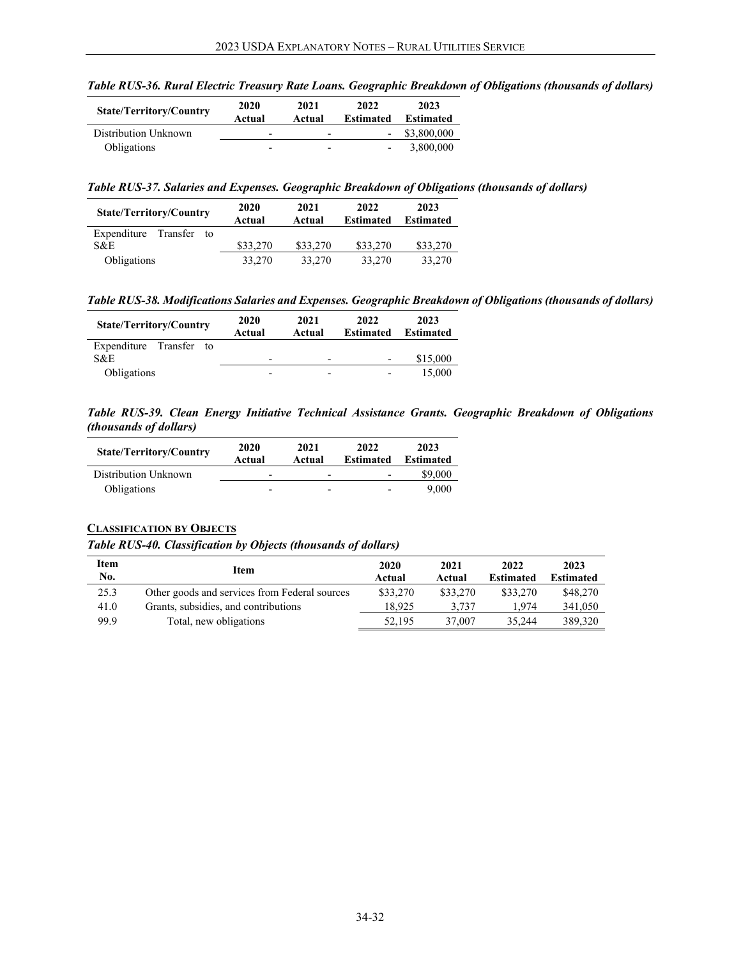| Table RUS-36. Rural Electric Treasury Rate Loans. Geographic Breakdown of Obligations (thousands of dollars) |  |  |  |
|--------------------------------------------------------------------------------------------------------------|--|--|--|
|                                                                                                              |  |  |  |

| <b>State/Territory/Country</b> | 2020<br>Actual           | 2021<br>Actual           | 2022<br><b>Estimated</b> | 2023<br><b>Estimated</b> |
|--------------------------------|--------------------------|--------------------------|--------------------------|--------------------------|
| Distribution Unknown           | -                        | $\overline{\phantom{a}}$ |                          | $-$ \$3,800,000          |
| Obligations                    | $\overline{\phantom{0}}$ | $\overline{\phantom{a}}$ |                          | 3,800,000                |

*Table RUS-37. Salaries and Expenses. Geographic Breakdown of Obligations (thousands of dollars)*

| <b>State/Territory/Country</b> |          | 2020<br>Actual | 2021<br>Actual | 2022<br><b>Estimated</b> | 2023<br><b>Estimated</b> |          |
|--------------------------------|----------|----------------|----------------|--------------------------|--------------------------|----------|
| Expenditure                    | Transfer | to             |                |                          |                          |          |
| S&E                            |          |                | \$33,270       | \$33,270                 | \$33,270                 | \$33,270 |
| Obligations                    |          |                | 33,270         | 33,270                   | 33,270                   | 33,270   |

*Table RUS-38. Modifications Salaries and Expenses. Geographic Breakdown of Obligations (thousands of dollars)*

| <b>State/Territory/Country</b> |  | 2020<br>Actual | 2021<br>Actual           | 2022<br><b>Estimated</b> | 2023<br>Estimated |
|--------------------------------|--|----------------|--------------------------|--------------------------|-------------------|
| Expenditure Transfer to        |  |                |                          |                          |                   |
| S&E                            |  | -              | -                        | $\overline{\phantom{0}}$ | \$15,000          |
| Obligations                    |  | -              | $\overline{\phantom{0}}$ |                          | 15.000            |

*Table RUS-39. Clean Energy Initiative Technical Assistance Grants. Geographic Breakdown of Obligations (thousands of dollars)*

| <b>State/Territory/Country</b> | 2020<br>Actual | 2021<br>Actual           | 2022<br><b>Estimated</b> | 2023<br><b>Estimated</b> |
|--------------------------------|----------------|--------------------------|--------------------------|--------------------------|
| Distribution Unknown           | -              | $\overline{\phantom{a}}$ | $\overline{\phantom{0}}$ | \$9,000                  |
| Obligations                    | -              | $\overline{\phantom{a}}$ | $\overline{\phantom{0}}$ | 9.000                    |

# <span id="page-31-0"></span>**CLASSIFICATION BY OBJECTS**

### *Table RUS-40. Classification by Objects (thousands of dollars)*

| Item<br>No. | Item                                          | 2020<br>Actual | 2021<br>Actual | 2022<br><b>Estimated</b> | 2023<br><b>Estimated</b> |
|-------------|-----------------------------------------------|----------------|----------------|--------------------------|--------------------------|
| 25.3        | Other goods and services from Federal sources | \$33,270       | \$33,270       | \$33,270                 | \$48,270                 |
| 41.0        | Grants, subsidies, and contributions          | 18.925         | 3.737          | 1.974                    | 341,050                  |
| 99.9        | Total, new obligations                        | 52,195         | 37,007         | 35.244                   | 389,320                  |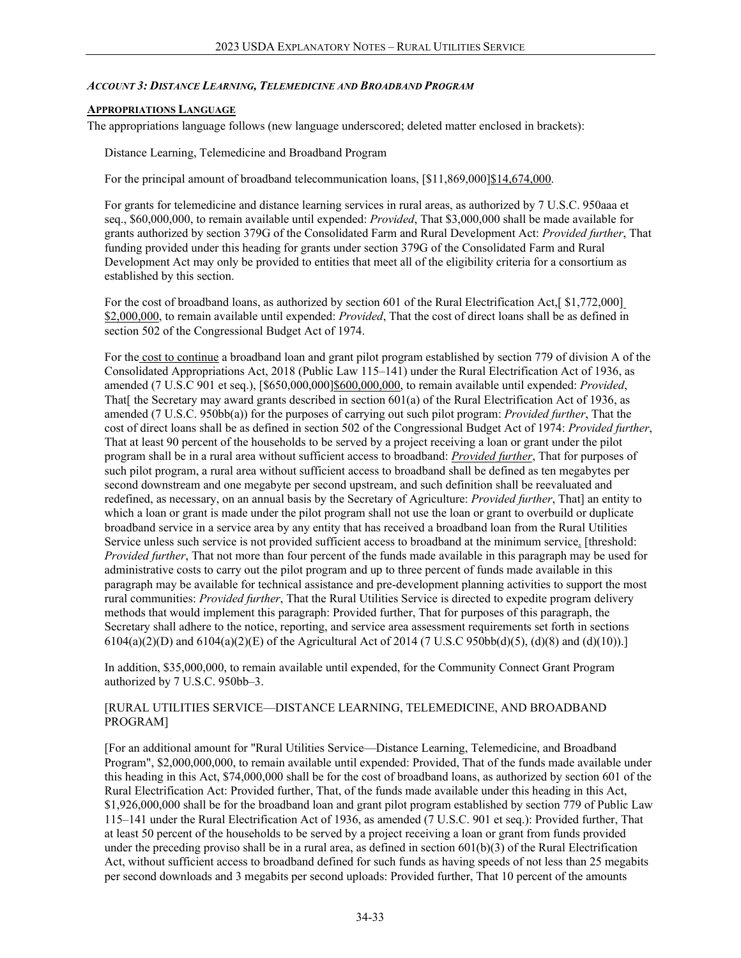### <span id="page-32-0"></span>*ACCOUNT 3: DISTANCE LEARNING, TELEMEDICINE AND BROADBAND PROGRAM*

# <span id="page-32-1"></span>**APPROPRIATIONS LANGUAGE**

The appropriations language follows (new language underscored; deleted matter enclosed in brackets):

Distance Learning, Telemedicine and Broadband Program

For the principal amount of broadband telecommunication loans, [\$11,869,000]\$14,674,000.

For grants for telemedicine and distance learning services in rural areas, as authorized by 7 U.S.C. 950aaa et seq., \$60,000,000, to remain available until expended: *Provided*, That \$3,000,000 shall be made available for grants authorized by section 379G of the Consolidated Farm and Rural Development Act: *Provided further*, That funding provided under this heading for grants under section 379G of the Consolidated Farm and Rural Development Act may only be provided to entities that meet all of the eligibility criteria for a consortium as established by this section.

For the cost of broadband loans, as authorized by section 601 of the Rural Electrification Act, [\$1,772,000] \$2,000,000, to remain available until expended: *Provided*, That the cost of direct loans shall be as defined in section 502 of the Congressional Budget Act of 1974.

For the cost to continue a broadband loan and grant pilot program established by section 779 of division A of the Consolidated Appropriations Act, 2018 (Public Law 115–141) under the Rural Electrification Act of 1936, as amended (7 U.S.C 901 et seq.), [\$650,000,000]\$600,000,000, to remain available until expended: *Provided*, That[ the Secretary may award grants described in section 601(a) of the Rural Electrification Act of 1936, as amended (7 U.S.C. 950bb(a)) for the purposes of carrying out such pilot program: *Provided further*, That the cost of direct loans shall be as defined in section 502 of the Congressional Budget Act of 1974: *Provided further*, That at least 90 percent of the households to be served by a project receiving a loan or grant under the pilot program shall be in a rural area without sufficient access to broadband: *Provided further*, That for purposes of such pilot program, a rural area without sufficient access to broadband shall be defined as ten megabytes per second downstream and one megabyte per second upstream, and such definition shall be reevaluated and redefined, as necessary, on an annual basis by the Secretary of Agriculture: *Provided further*, That] an entity to which a loan or grant is made under the pilot program shall not use the loan or grant to overbuild or duplicate broadband service in a service area by any entity that has received a broadband loan from the Rural Utilities Service unless such service is not provided sufficient access to broadband at the minimum service. [threshold: *Provided further*, That not more than four percent of the funds made available in this paragraph may be used for administrative costs to carry out the pilot program and up to three percent of funds made available in this paragraph may be available for technical assistance and pre-development planning activities to support the most rural communities: *Provided further*, That the Rural Utilities Service is directed to expedite program delivery methods that would implement this paragraph: Provided further, That for purposes of this paragraph, the Secretary shall adhere to the notice, reporting, and service area assessment requirements set forth in sections 6104(a)(2)(D) and 6104(a)(2)(E) of the Agricultural Act of 2014 (7 U.S.C 950bb(d)(5), (d)(8) and (d)(10)).]

In addition, \$35,000,000, to remain available until expended, for the Community Connect Grant Program authorized by 7 U.S.C. 950bb–3.

# [RURAL UTILITIES SERVICE—DISTANCE LEARNING, TELEMEDICINE, AND BROADBAND PROGRAM]

[For an additional amount for "Rural Utilities Service—Distance Learning, Telemedicine, and Broadband Program", \$2,000,000,000, to remain available until expended: Provided, That of the funds made available under this heading in this Act, \$74,000,000 shall be for the cost of broadband loans, as authorized by section 601 of the Rural Electrification Act: Provided further, That, of the funds made available under this heading in this Act, \$1,926,000,000 shall be for the broadband loan and grant pilot program established by section 779 of Public Law 115–141 under the Rural Electrification Act of 1936, as amended (7 U.S.C. 901 et seq.): Provided further, That at least 50 percent of the households to be served by a project receiving a loan or grant from funds provided under the preceding proviso shall be in a rural area, as defined in section  $601(b)(3)$  of the Rural Electrification Act, without sufficient access to broadband defined for such funds as having speeds of not less than 25 megabits per second downloads and 3 megabits per second uploads: Provided further, That 10 percent of the amounts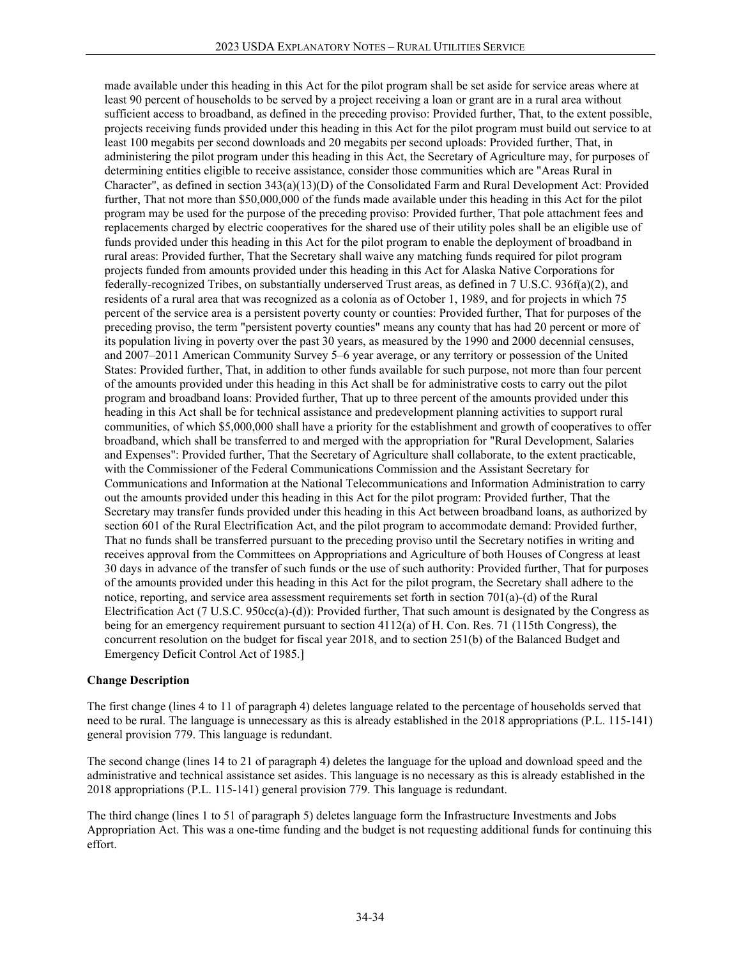made available under this heading in this Act for the pilot program shall be set aside for service areas where at least 90 percent of households to be served by a project receiving a loan or grant are in a rural area without sufficient access to broadband, as defined in the preceding proviso: Provided further, That, to the extent possible, projects receiving funds provided under this heading in this Act for the pilot program must build out service to at least 100 megabits per second downloads and 20 megabits per second uploads: Provided further, That, in administering the pilot program under this heading in this Act, the Secretary of Agriculture may, for purposes of determining entities eligible to receive assistance, consider those communities which are "Areas Rural in Character", as defined in section 343(a)(13)(D) of the Consolidated Farm and Rural Development Act: Provided further, That not more than \$50,000,000 of the funds made available under this heading in this Act for the pilot program may be used for the purpose of the preceding proviso: Provided further, That pole attachment fees and replacements charged by electric cooperatives for the shared use of their utility poles shall be an eligible use of funds provided under this heading in this Act for the pilot program to enable the deployment of broadband in rural areas: Provided further, That the Secretary shall waive any matching funds required for pilot program projects funded from amounts provided under this heading in this Act for Alaska Native Corporations for federally-recognized Tribes, on substantially underserved Trust areas, as defined in 7 U.S.C. 936f(a)(2), and residents of a rural area that was recognized as a colonia as of October 1, 1989, and for projects in which 75 percent of the service area is a persistent poverty county or counties: Provided further, That for purposes of the preceding proviso, the term "persistent poverty counties" means any county that has had 20 percent or more of its population living in poverty over the past 30 years, as measured by the 1990 and 2000 decennial censuses, and 2007–2011 American Community Survey 5–6 year average, or any territory or possession of the United States: Provided further, That, in addition to other funds available for such purpose, not more than four percent of the amounts provided under this heading in this Act shall be for administrative costs to carry out the pilot program and broadband loans: Provided further, That up to three percent of the amounts provided under this heading in this Act shall be for technical assistance and predevelopment planning activities to support rural communities, of which \$5,000,000 shall have a priority for the establishment and growth of cooperatives to offer broadband, which shall be transferred to and merged with the appropriation for "Rural Development, Salaries and Expenses": Provided further, That the Secretary of Agriculture shall collaborate, to the extent practicable, with the Commissioner of the Federal Communications Commission and the Assistant Secretary for Communications and Information at the National Telecommunications and Information Administration to carry out the amounts provided under this heading in this Act for the pilot program: Provided further, That the Secretary may transfer funds provided under this heading in this Act between broadband loans, as authorized by section 601 of the Rural Electrification Act, and the pilot program to accommodate demand: Provided further, That no funds shall be transferred pursuant to the preceding proviso until the Secretary notifies in writing and receives approval from the Committees on Appropriations and Agriculture of both Houses of Congress at least 30 days in advance of the transfer of such funds or the use of such authority: Provided further, That for purposes of the amounts provided under this heading in this Act for the pilot program, the Secretary shall adhere to the notice, reporting, and service area assessment requirements set forth in section 701(a)-(d) of the Rural Electrification Act (7 U.S.C. 950cc(a)-(d)): Provided further, That such amount is designated by the Congress as being for an emergency requirement pursuant to section 4112(a) of H. Con. Res. 71 (115th Congress), the concurrent resolution on the budget for fiscal year 2018, and to section 251(b) of the Balanced Budget and Emergency Deficit Control Act of 1985.]

#### **Change Description**

The first change (lines 4 to 11 of paragraph 4) deletes language related to the percentage of households served that need to be rural. The language is unnecessary as this is already established in the 2018 appropriations (P.L. 115-141) general provision 779. This language is redundant.

The second change (lines 14 to 21 of paragraph 4) deletes the language for the upload and download speed and the administrative and technical assistance set asides. This language is no necessary as this is already established in the 2018 appropriations (P.L. 115-141) general provision 779. This language is redundant.

The third change (lines 1 to 51 of paragraph 5) deletes language form the Infrastructure Investments and Jobs Appropriation Act. This was a one-time funding and the budget is not requesting additional funds for continuing this effort.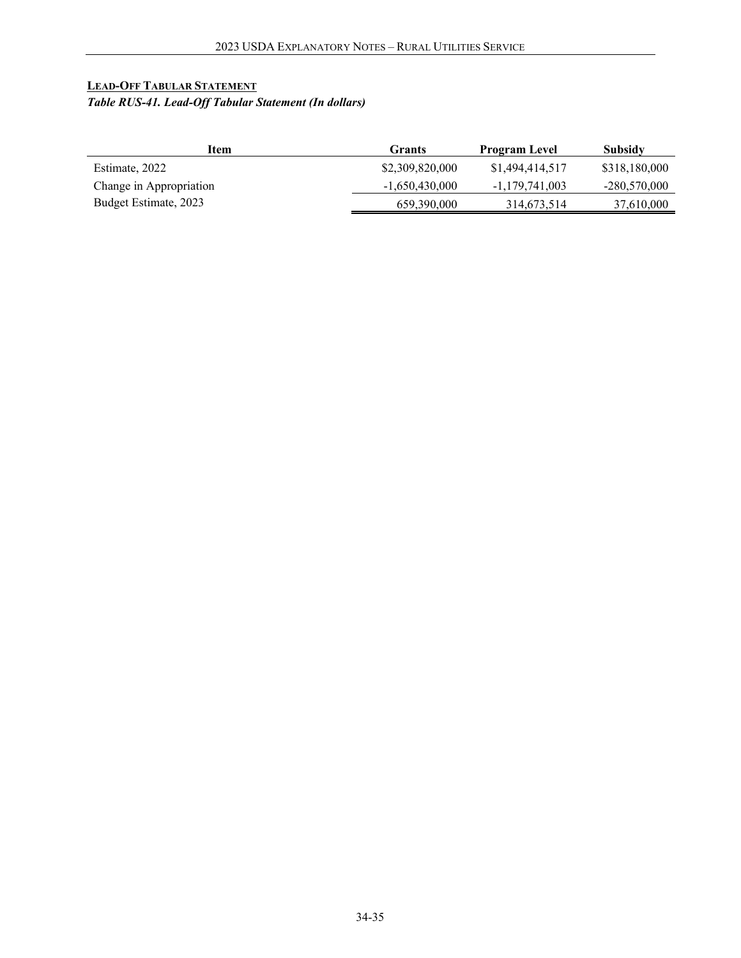# <span id="page-34-0"></span>**LEAD-OFF TABULAR STATEMENT** *Table RUS-41. Lead-Off Tabular Statement (In dollars)*

| Item                    | Grants           | <b>Program Level</b> | Subsidy        |
|-------------------------|------------------|----------------------|----------------|
| Estimate, 2022          | \$2,309,820,000  | \$1,494,414,517      | \$318,180,000  |
| Change in Appropriation | $-1,650,430,000$ | $-1.179.741.003$     | $-280,570,000$ |
| Budget Estimate, 2023   | 659,390,000      | 314,673,514          | 37,610,000     |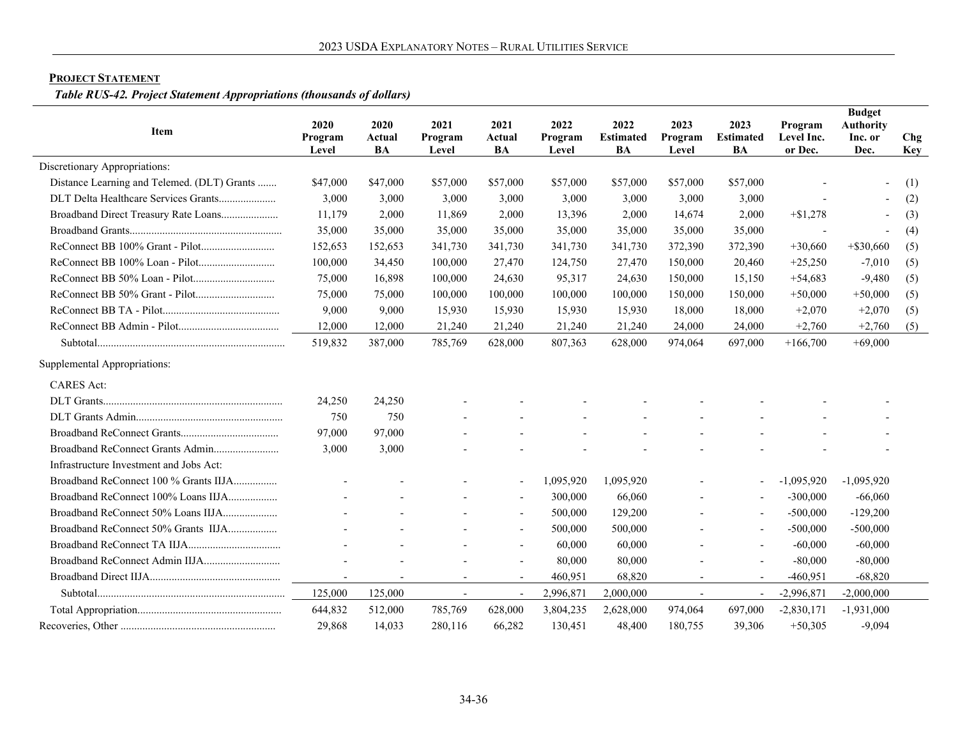# **PROJECT STATEMENT**

*Table RUS-42. Project Statement Appropriations (thousands of dollars)*

<span id="page-35-0"></span>

| <b>Item</b>                                 | 2020<br>Program<br>Level | 2020<br>Actual<br><b>BA</b> | 2021<br>Program<br>Level | 2021<br>Actual<br>BA     | 2022<br>Program<br>Level | 2022<br><b>Estimated</b><br><b>BA</b> | 2023<br>Program<br>Level | 2023<br><b>Estimated</b><br><b>BA</b> | Program<br>Level Inc.<br>or Dec. | <b>Budget</b><br><b>Authority</b><br>Inc. or<br>Dec. | Chg<br><b>Key</b> |
|---------------------------------------------|--------------------------|-----------------------------|--------------------------|--------------------------|--------------------------|---------------------------------------|--------------------------|---------------------------------------|----------------------------------|------------------------------------------------------|-------------------|
| Discretionary Appropriations:               |                          |                             |                          |                          |                          |                                       |                          |                                       |                                  |                                                      |                   |
| Distance Learning and Telemed. (DLT) Grants | \$47,000                 | \$47,000                    | \$57,000                 | \$57,000                 | \$57,000                 | \$57,000                              | \$57,000                 | \$57,000                              |                                  |                                                      | (1)               |
| DLT Delta Healthcare Services Grants        | 3,000                    | 3,000                       | 3,000                    | 3,000                    | 3,000                    | 3,000                                 | 3,000                    | 3,000                                 |                                  |                                                      | (2)               |
| Broadband Direct Treasury Rate Loans        | 11,179                   | 2,000                       | 11,869                   | 2,000                    | 13,396                   | 2,000                                 | 14,674                   | 2,000                                 | $+\$1,278$                       | $\overline{\phantom{0}}$                             | (3)               |
|                                             | 35,000                   | 35,000                      | 35,000                   | 35,000                   | 35,000                   | 35,000                                | 35,000                   | 35,000                                |                                  |                                                      | (4)               |
|                                             | 152,653                  | 152,653                     | 341,730                  | 341,730                  | 341,730                  | 341,730                               | 372,390                  | 372,390                               | $+30,660$                        | $+$ \$30,660                                         | (5)               |
|                                             | 100,000                  | 34,450                      | 100,000                  | 27,470                   | 124,750                  | 27,470                                | 150,000                  | 20,460                                | $+25,250$                        | $-7,010$                                             | (5)               |
|                                             | 75,000                   | 16,898                      | 100,000                  | 24,630                   | 95,317                   | 24,630                                | 150,000                  | 15,150                                | $+54,683$                        | $-9,480$                                             | (5)               |
|                                             | 75,000                   | 75,000                      | 100,000                  | 100,000                  | 100,000                  | 100,000                               | 150,000                  | 150,000                               | $+50,000$                        | $+50,000$                                            | (5)               |
|                                             | 9,000                    | 9,000                       | 15,930                   | 15,930                   | 15,930                   | 15,930                                | 18,000                   | 18,000                                | $+2,070$                         | $+2,070$                                             | (5)               |
|                                             | 12,000                   | 12,000                      | 21,240                   | 21,240                   | 21,240                   | 21,240                                | 24,000                   | 24,000                                | $+2,760$                         | $+2,760$                                             | (5)               |
|                                             | 519,832                  | 387,000                     | 785,769                  | 628,000                  | 807,363                  | 628,000                               | 974,064                  | 697,000                               | $+166,700$                       | $+69,000$                                            |                   |
| Supplemental Appropriations:                |                          |                             |                          |                          |                          |                                       |                          |                                       |                                  |                                                      |                   |
| <b>CARES</b> Act:                           |                          |                             |                          |                          |                          |                                       |                          |                                       |                                  |                                                      |                   |
|                                             | 24,250                   | 24,250                      |                          |                          |                          |                                       |                          |                                       |                                  |                                                      |                   |
|                                             | 750                      | 750                         |                          |                          |                          |                                       |                          |                                       |                                  |                                                      |                   |
|                                             | 97,000                   | 97,000                      |                          |                          |                          |                                       |                          |                                       |                                  |                                                      |                   |
| Broadband ReConnect Grants Admin            | 3,000                    | 3,000                       |                          |                          |                          |                                       |                          |                                       |                                  |                                                      |                   |
| Infrastructure Investment and Jobs Act:     |                          |                             |                          |                          |                          |                                       |                          |                                       |                                  |                                                      |                   |
| Broadband ReConnect 100 % Grants IIJA       |                          |                             |                          |                          | 1,095,920                | 1,095,920                             |                          |                                       | $-1,095,920$                     | $-1,095,920$                                         |                   |
| Broadband ReConnect 100% Loans IIJA         |                          |                             |                          |                          | 300,000                  | 66,060                                |                          |                                       | $-300,000$                       | $-66,060$                                            |                   |
|                                             |                          |                             |                          | $\overline{\phantom{a}}$ | 500,000                  | 129,200                               |                          |                                       | $-500,000$                       | $-129,200$                                           |                   |
| Broadband ReConnect 50% Grants IIJA         |                          |                             |                          | $\overline{\phantom{a}}$ | 500,000                  | 500,000                               |                          | $\overline{\phantom{a}}$              | $-500,000$                       | $-500,000$                                           |                   |
|                                             |                          |                             |                          |                          | 60,000                   | 60,000                                |                          |                                       | $-60,000$                        | $-60,000$                                            |                   |
|                                             |                          |                             |                          | $\overline{\phantom{a}}$ | 80,000                   | 80,000                                |                          |                                       | $-80,000$                        | $-80,000$                                            |                   |
|                                             |                          |                             |                          | $\overline{\phantom{a}}$ | 460,951                  | 68,820                                |                          |                                       | $-460,951$                       | $-68,820$                                            |                   |
|                                             | 125,000                  | 125,000                     |                          |                          | 2,996,871                | 2,000,000                             |                          |                                       | $-2,996,871$                     | $-2,000,000$                                         |                   |
|                                             | 644,832                  | 512,000                     | 785,769                  | 628,000                  | 3,804,235                | 2,628,000                             | 974,064                  | 697,000                               | $-2,830,171$                     | $-1,931,000$                                         |                   |
|                                             | 29,868                   | 14,033                      | 280,116                  | 66,282                   | 130,451                  | 48,400                                | 180,755                  | 39,306                                | $+50,305$                        | $-9,094$                                             |                   |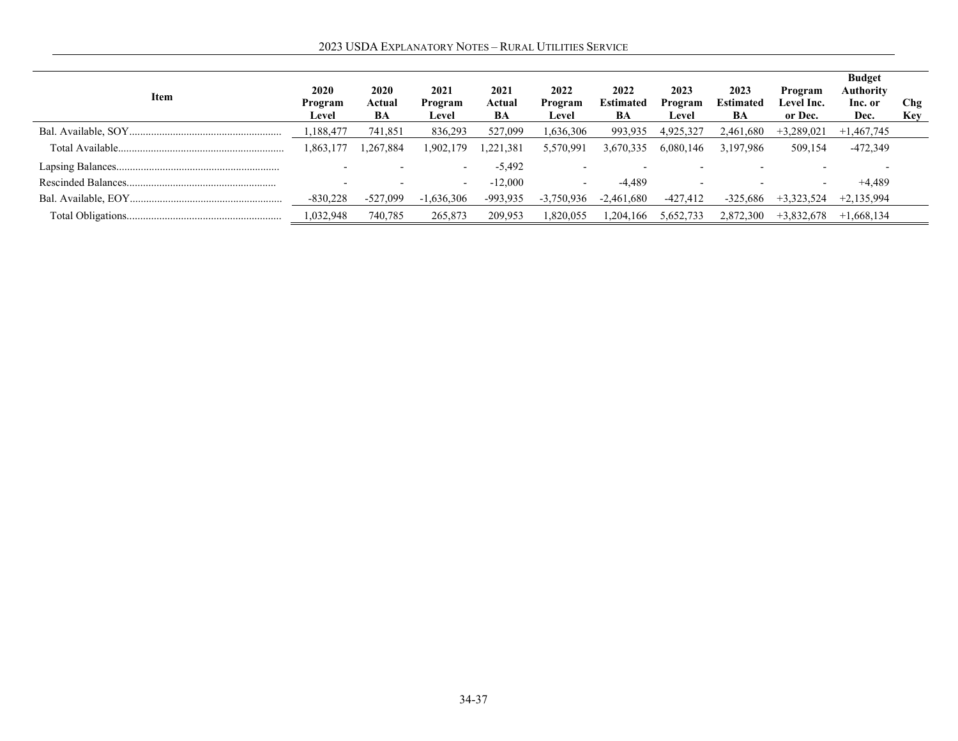| Item | 2020<br>Program<br>Level | 2020<br>Actual<br>BA | 2021<br>Program<br>Level | 2021<br>Actual<br>BA | 2022<br>Program<br>Level | 2022<br><b>Estimated</b><br>BA | 2023<br>Program<br>Level | 2023<br><b>Estimated</b><br>BA | Program<br>Level Inc.<br>or Dec. | <b>Budget</b><br><b>Authority</b><br>Inc. or<br>Dec. | Chg<br>Key |
|------|--------------------------|----------------------|--------------------------|----------------------|--------------------------|--------------------------------|--------------------------|--------------------------------|----------------------------------|------------------------------------------------------|------------|
|      | ,188,477                 | 741,851              | 836,293                  | 527,099              | 1,636,306                | 993,935                        | 4,925,327                | 2,461,680                      | $+3,289,021$                     | $+1,467,745$                                         |            |
|      | 1,863,177                | 1,267,884            | 1,902,179                | .381<br>.221         | 5,570,991                | 3,670,335                      | 6,080,146                | 3,197,986                      | 509,154                          | $-472,349$                                           |            |
|      |                          |                      |                          | $-5,492$             |                          |                                |                          |                                |                                  |                                                      |            |
|      |                          |                      | $\overline{\phantom{0}}$ | $-12,000$            |                          | -4,489                         |                          |                                |                                  | $+4,489$                                             |            |
|      | $-830,228$               | -527,099             | $-1,636,306$             | -993,935             | $-3,750,936$             | $-2,461,680$                   | $-427,412$               | $-325,686$                     | $+3,323,524$                     | $+2,135,994$                                         |            |
|      | 1,032,948                | 740,785              | 265,873                  | 209,953              | 1,820,055                | .204,166                       | 5,652,733                | 2.872.300                      | $+3,832,678$                     | $+1,668,134$                                         |            |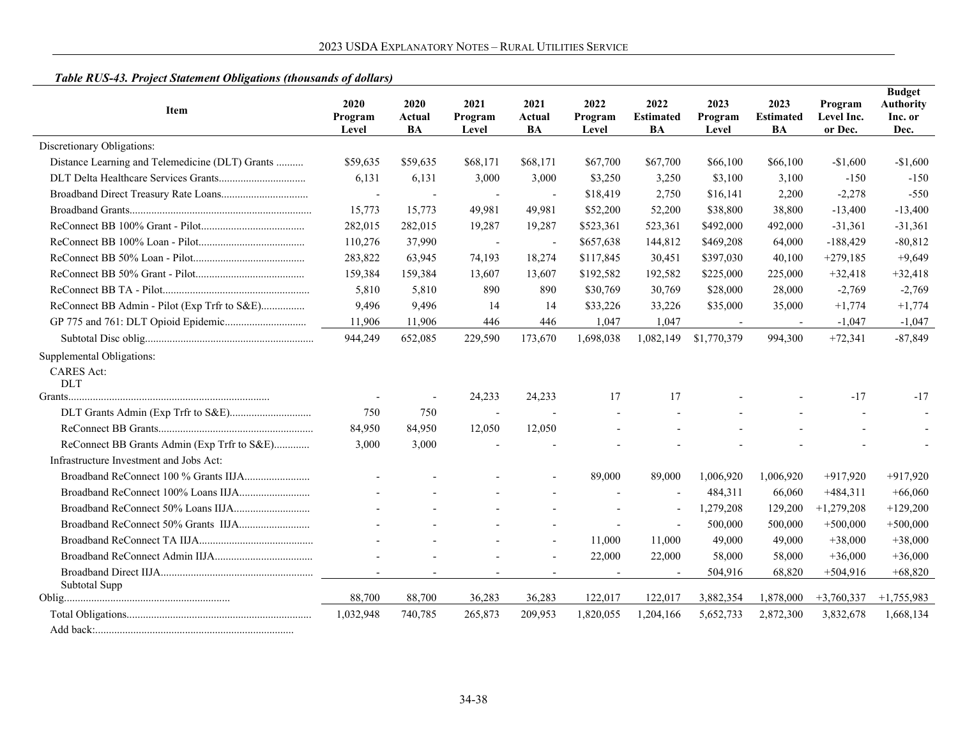# *Table RUS-43. Project Statement Obligations (thousands of dollars)*

| Item                                                         | 2020<br>Program<br>Level | 2020<br>Actual<br>BA     | 2021<br>Program<br>Level | 2021<br>Actual<br>BA     | 2022<br>Program<br>Level | 2022<br><b>Estimated</b><br><b>BA</b> | 2023<br>Program<br>Level | 2023<br><b>Estimated</b><br>BA | Program<br>Level Inc.<br>or Dec. | <b>Budget</b><br><b>Authority</b><br>Inc. or<br>Dec. |
|--------------------------------------------------------------|--------------------------|--------------------------|--------------------------|--------------------------|--------------------------|---------------------------------------|--------------------------|--------------------------------|----------------------------------|------------------------------------------------------|
| Discretionary Obligations:                                   |                          |                          |                          |                          |                          |                                       |                          |                                |                                  |                                                      |
| Distance Learning and Telemedicine (DLT) Grants              | \$59,635                 | \$59,635                 | \$68,171                 | \$68,171                 | \$67,700                 | \$67,700                              | \$66,100                 | \$66,100                       | $-$1,600$                        | $-$1,600$                                            |
|                                                              | 6,131                    | 6,131                    | 3,000                    | 3,000                    | \$3,250                  | 3,250                                 | \$3,100                  | 3,100                          | $-150$                           | $-150$                                               |
|                                                              | $\overline{a}$           | $\overline{a}$           | $\overline{\phantom{a}}$ | $\overline{a}$           | \$18,419                 | 2,750                                 | \$16,141                 | 2,200                          | $-2,278$                         | $-550$                                               |
|                                                              | 15,773                   | 15,773                   | 49,981                   | 49,981                   | \$52,200                 | 52,200                                | \$38,800                 | 38,800                         | $-13,400$                        | $-13,400$                                            |
|                                                              | 282,015                  | 282,015                  | 19,287                   | 19,287                   | \$523,361                | 523,361                               | \$492,000                | 492,000                        | $-31,361$                        | $-31,361$                                            |
|                                                              | 110,276                  | 37,990                   | $\overline{a}$           | $\overline{\phantom{a}}$ | \$657,638                | 144,812                               | \$469,208                | 64,000                         | $-188,429$                       | $-80,812$                                            |
|                                                              | 283,822                  | 63,945                   | 74,193                   | 18,274                   | \$117,845                | 30,451                                | \$397,030                | 40,100                         | $+279,185$                       | $+9,649$                                             |
|                                                              | 159,384                  | 159,384                  | 13,607                   | 13,607                   | \$192,582                | 192,582                               | \$225,000                | 225,000                        | $+32,418$                        | $+32,418$                                            |
|                                                              | 5,810                    | 5,810                    | 890                      | 890                      | \$30,769                 | 30,769                                | \$28,000                 | 28,000                         | $-2,769$                         | $-2,769$                                             |
| ReConnect BB Admin - Pilot (Exp Trfr to S&E)                 | 9,496                    | 9,496                    | 14                       | 14                       | \$33,226                 | 33,226                                | \$35,000                 | 35,000                         | $+1,774$                         | $+1,774$                                             |
|                                                              | 11,906                   | 11,906                   | 446                      | 446                      | 1,047                    | 1,047                                 |                          |                                | $-1,047$                         | $-1,047$                                             |
|                                                              | 944,249                  | 652,085                  | 229,590                  | 173,670                  | 1,698,038                | 1,082,149                             | \$1,770,379              | 994,300                        | $+72,341$                        | $-87,849$                                            |
| Supplemental Obligations:<br><b>CARES</b> Act:<br><b>DLT</b> |                          |                          |                          |                          |                          |                                       |                          |                                |                                  |                                                      |
|                                                              |                          | $\overline{\phantom{a}}$ | 24,233                   | 24,233                   | 17                       | 17                                    |                          |                                | $-17$                            | $-17$                                                |
|                                                              | 750                      | 750                      |                          |                          |                          |                                       |                          |                                |                                  |                                                      |
|                                                              | 84,950                   | 84,950                   | 12,050                   | 12,050                   |                          |                                       |                          |                                |                                  |                                                      |
| ReConnect BB Grants Admin (Exp Trfr to S&E)                  | 3,000                    | 3,000                    |                          |                          |                          |                                       |                          |                                |                                  |                                                      |
| Infrastructure Investment and Jobs Act:                      |                          |                          |                          |                          |                          |                                       |                          |                                |                                  |                                                      |
|                                                              |                          |                          |                          |                          | 89,000                   | 89,000                                | 1,006,920                | 1,006,920                      | $+917,920$                       | $+917,920$                                           |
|                                                              |                          |                          |                          |                          | $\overline{a}$           |                                       | 484,311                  | 66,060                         | $+484,311$                       | $+66,060$                                            |
|                                                              |                          |                          |                          |                          |                          |                                       | 1,279,208                | 129,200                        | $+1,279,208$                     | $+129,200$                                           |
|                                                              |                          |                          |                          |                          |                          | $\overline{\phantom{a}}$              | 500,000                  | 500,000                        | $+500,000$                       | $+500,000$                                           |
|                                                              |                          |                          |                          |                          | 11,000                   | 11,000                                | 49,000                   | 49,000                         | $+38,000$                        | $+38,000$                                            |
|                                                              |                          |                          |                          |                          | 22,000                   | 22,000                                | 58,000                   | 58,000                         | $+36,000$                        | $+36,000$                                            |
|                                                              |                          |                          |                          |                          |                          |                                       | 504,916                  | 68,820                         | $+504,916$                       | $+68,820$                                            |
| Subtotal Supp                                                | 88,700                   | 88,700                   | 36,283                   | 36,283                   | 122,017                  | 122,017                               | 3,882,354                | 1,878,000                      | $+3,760,337$                     | $+1,755,983$                                         |
|                                                              | 1,032,948                | 740,785                  | 265,873                  | 209,953                  | 1,820,055                | 1,204,166                             | 5,652,733                | 2,872,300                      | 3,832,678                        | 1,668,134                                            |
|                                                              |                          |                          |                          |                          |                          |                                       |                          |                                |                                  |                                                      |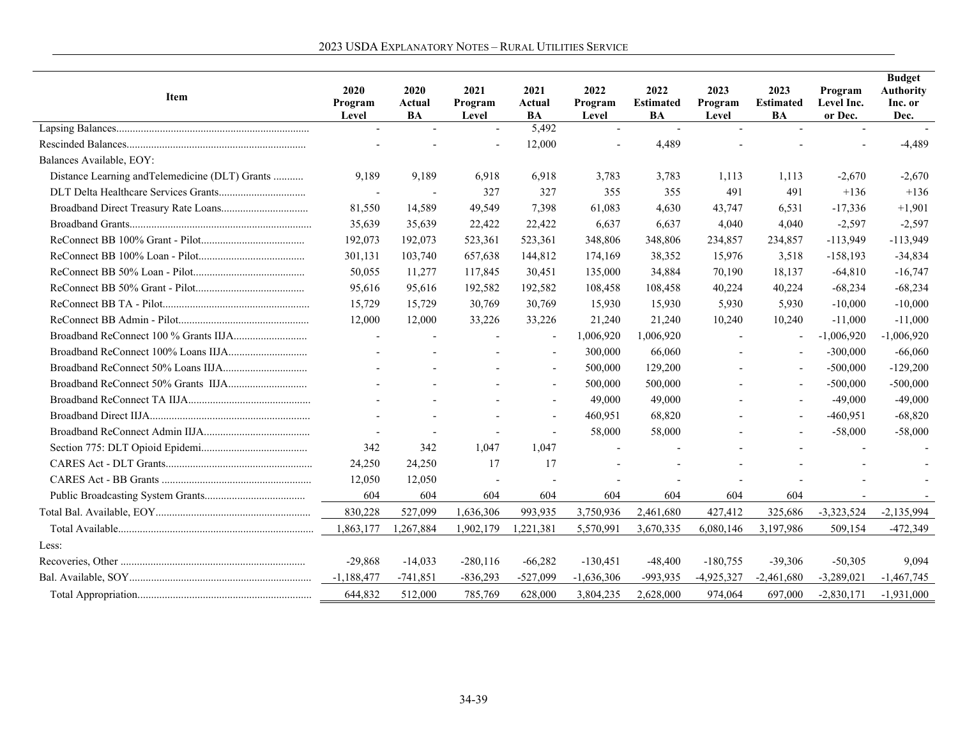| Item                                            | 2020<br>Program<br>Level | 2020<br>Actual<br><b>BA</b> | 2021<br>Program<br>Level | 2021<br>Actual<br><b>BA</b> | 2022<br>Program<br>Level | 2022<br><b>Estimated</b><br>BA | 2023<br>Program<br>Level | 2023<br><b>Estimated</b><br>BA | Program<br>Level Inc.<br>or Dec. | <b>Budget</b><br><b>Authority</b><br>Inc. or<br>Dec. |
|-------------------------------------------------|--------------------------|-----------------------------|--------------------------|-----------------------------|--------------------------|--------------------------------|--------------------------|--------------------------------|----------------------------------|------------------------------------------------------|
|                                                 | $\overline{\phantom{a}}$ | $\sim$                      | $\sim$                   | 5,492                       | $\sim$                   | $\sim$                         | $\overline{\phantom{a}}$ | $\overline{a}$                 | $\overline{a}$                   |                                                      |
|                                                 |                          |                             |                          | 12,000                      |                          | 4,489                          |                          |                                |                                  | $-4,489$                                             |
| Balances Available, EOY:                        |                          |                             |                          |                             |                          |                                |                          |                                |                                  |                                                      |
| Distance Learning and Telemedicine (DLT) Grants | 9.189                    | 9,189                       | 6.918                    | 6,918                       | 3,783                    | 3,783                          | 1,113                    | 1,113                          | $-2,670$                         | $-2,670$                                             |
|                                                 |                          |                             | 327                      | 327                         | 355                      | 355                            | 491                      | 491                            | $+136$                           | $+136$                                               |
|                                                 | 81,550                   | 14,589                      | 49,549                   | 7,398                       | 61,083                   | 4,630                          | 43,747                   | 6,531                          | $-17,336$                        | $+1,901$                                             |
|                                                 | 35,639                   | 35,639                      | 22,422                   | 22,422                      | 6,637                    | 6,637                          | 4,040                    | 4,040                          | $-2,597$                         | $-2,597$                                             |
|                                                 | 192,073                  | 192,073                     | 523,361                  | 523,361                     | 348,806                  | 348,806                        | 234,857                  | 234,857                        | $-113,949$                       | $-113,949$                                           |
|                                                 | 301,131                  | 103,740                     | 657,638                  | 144,812                     | 174,169                  | 38,352                         | 15,976                   | 3,518                          | $-158,193$                       | $-34,834$                                            |
|                                                 | 50,055                   | 11,277                      | 117,845                  | 30,451                      | 135,000                  | 34,884                         | 70,190                   | 18,137                         | $-64,810$                        | $-16,747$                                            |
|                                                 | 95,616                   | 95,616                      | 192,582                  | 192,582                     | 108,458                  | 108,458                        | 40,224                   | 40,224                         | $-68,234$                        | $-68,234$                                            |
|                                                 | 15,729                   | 15,729                      | 30,769                   | 30,769                      | 15,930                   | 15,930                         | 5,930                    | 5,930                          | $-10,000$                        | $-10,000$                                            |
|                                                 | 12,000                   | 12,000                      | 33,226                   | 33,226                      | 21,240                   | 21,240                         | 10,240                   | 10,240                         | $-11,000$                        | $-11,000$                                            |
|                                                 |                          |                             |                          | $\overline{\phantom{a}}$    | 1,006,920                | 1,006,920                      |                          |                                | $-1,006,920$                     | $-1,006,920$                                         |
|                                                 |                          |                             |                          |                             | 300,000                  | 66,060                         |                          |                                | $-300,000$                       | $-66,060$                                            |
|                                                 |                          |                             |                          |                             | 500,000                  | 129,200                        |                          |                                | $-500,000$                       | $-129,200$                                           |
|                                                 |                          |                             |                          |                             | 500,000                  | 500,000                        |                          |                                | $-500,000$                       | $-500,000$                                           |
|                                                 |                          |                             |                          |                             | 49,000                   | 49,000                         |                          |                                | $-49,000$                        | $-49,000$                                            |
|                                                 |                          |                             |                          |                             | 460,951                  | 68,820                         |                          |                                | $-460,951$                       | $-68,820$                                            |
|                                                 |                          |                             |                          |                             | 58,000                   | 58,000                         |                          |                                | $-58,000$                        | $-58,000$                                            |
|                                                 | 342                      | 342                         | 1,047                    | 1,047                       |                          |                                |                          |                                |                                  |                                                      |
|                                                 | 24,250                   | 24,250                      | 17                       | 17                          |                          |                                |                          |                                |                                  |                                                      |
|                                                 | 12,050                   | 12,050                      |                          |                             |                          |                                |                          |                                |                                  |                                                      |
|                                                 | 604                      | 604                         | 604                      | 604                         | 604                      | 604                            | 604                      | 604                            |                                  |                                                      |
|                                                 | 830,228                  | 527,099                     | 1,636,306                | 993,935                     | 3,750,936                | 2,461,680                      | 427,412                  | 325,686                        | $-3,323,524$                     | $-2,135,994$                                         |
|                                                 | 1,863,177                | 1,267,884                   | 1,902,179                | 1,221,381                   | 5,570,991                | 3,670,335                      | 6,080,146                | 3,197,986                      | 509,154                          | $-472,349$                                           |
| Less:                                           |                          |                             |                          |                             |                          |                                |                          |                                |                                  |                                                      |
|                                                 | $-29,868$                | $-14,033$                   | $-280,116$               | $-66,282$                   | $-130,451$               | $-48,400$                      | $-180,755$               | $-39,306$                      | $-50,305$                        | 9,094                                                |
|                                                 | $-1,188,477$             | $-741,851$                  | $-836,293$               | $-527,099$                  | $-1,636,306$             | -993,935                       | $-4,925,327$             | $-2,461,680$                   | $-3,289,021$                     | $-1,467,745$                                         |
|                                                 | 644,832                  | 512,000                     | 785,769                  | 628,000                     | 3,804,235                | 2,628,000                      | 974,064                  | 697,000                        | $-2,830,171$                     | $-1,931,000$                                         |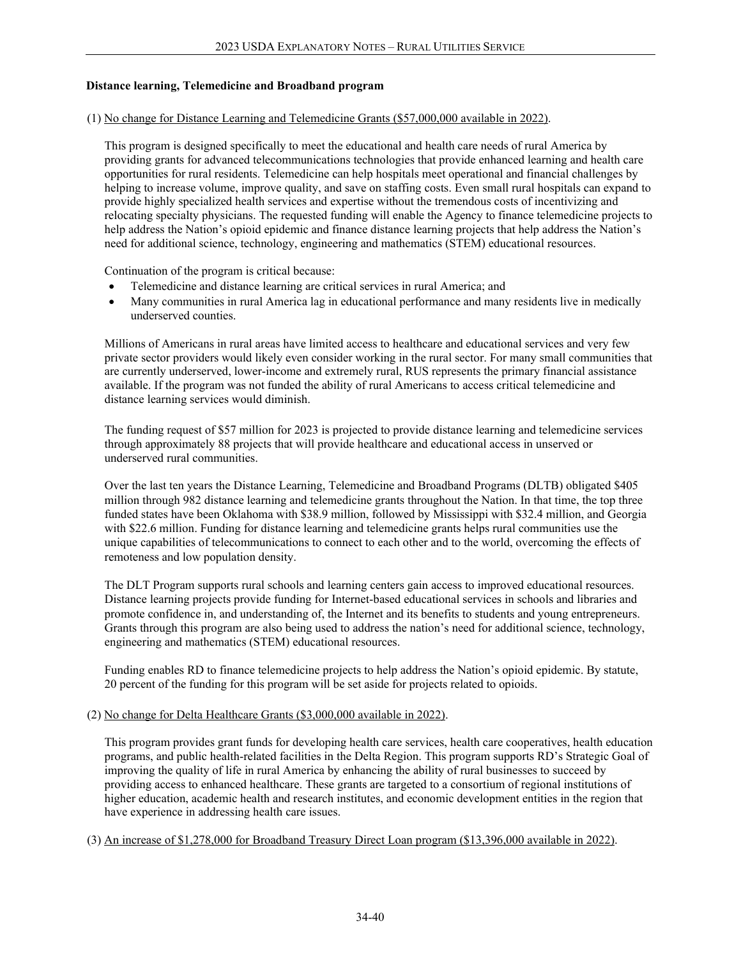# **Distance learning, Telemedicine and Broadband program**

(1) No change for Distance Learning and Telemedicine Grants (\$57,000,000 available in 2022).

This program is designed specifically to meet the educational and health care needs of rural America by providing grants for advanced telecommunications technologies that provide enhanced learning and health care opportunities for rural residents. Telemedicine can help hospitals meet operational and financial challenges by helping to increase volume, improve quality, and save on staffing costs. Even small rural hospitals can expand to provide highly specialized health services and expertise without the tremendous costs of incentivizing and relocating specialty physicians. The requested funding will enable the Agency to finance telemedicine projects to help address the Nation's opioid epidemic and finance distance learning projects that help address the Nation's need for additional science, technology, engineering and mathematics (STEM) educational resources.

Continuation of the program is critical because:

- Telemedicine and distance learning are critical services in rural America; and
- Many communities in rural America lag in educational performance and many residents live in medically underserved counties.

Millions of Americans in rural areas have limited access to healthcare and educational services and very few private sector providers would likely even consider working in the rural sector. For many small communities that are currently underserved, lower-income and extremely rural, RUS represents the primary financial assistance available. If the program was not funded the ability of rural Americans to access critical telemedicine and distance learning services would diminish.

The funding request of \$57 million for 2023 is projected to provide distance learning and telemedicine services through approximately 88 projects that will provide healthcare and educational access in unserved or underserved rural communities.

Over the last ten years the Distance Learning, Telemedicine and Broadband Programs (DLTB) obligated \$405 million through 982 distance learning and telemedicine grants throughout the Nation. In that time, the top three funded states have been Oklahoma with \$38.9 million, followed by Mississippi with \$32.4 million, and Georgia with \$22.6 million. Funding for distance learning and telemedicine grants helps rural communities use the unique capabilities of telecommunications to connect to each other and to the world, overcoming the effects of remoteness and low population density.

The DLT Program supports rural schools and learning centers gain access to improved educational resources. Distance learning projects provide funding for Internet-based educational services in schools and libraries and promote confidence in, and understanding of, the Internet and its benefits to students and young entrepreneurs. Grants through this program are also being used to address the nation's need for additional science, technology, engineering and mathematics (STEM) educational resources.

Funding enables RD to finance telemedicine projects to help address the Nation's opioid epidemic. By statute, 20 percent of the funding for this program will be set aside for projects related to opioids.

# (2) No change for Delta Healthcare Grants (\$3,000,000 available in 2022).

This program provides grant funds for developing health care services, health care cooperatives, health education programs, and public health-related facilities in the Delta Region. This program supports RD's Strategic Goal of improving the quality of life in rural America by enhancing the ability of rural businesses to succeed by providing access to enhanced healthcare. These grants are targeted to a consortium of regional institutions of higher education, academic health and research institutes, and economic development entities in the region that have experience in addressing health care issues.

(3) An increase of \$1,278,000 for Broadband Treasury Direct Loan program (\$13,396,000 available in 2022).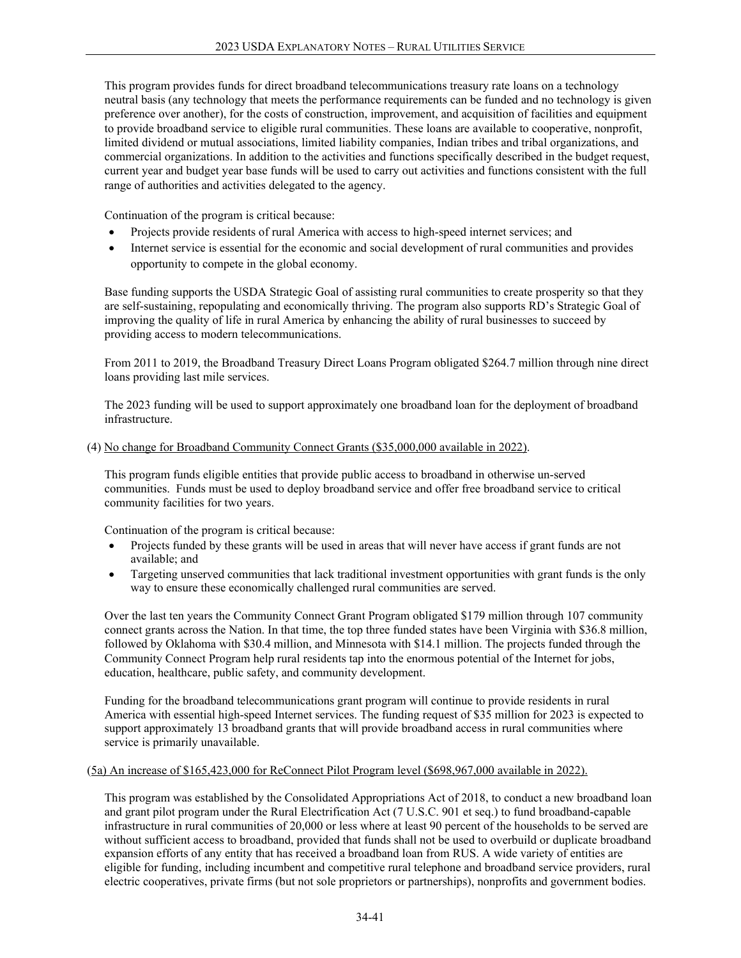This program provides funds for direct broadband telecommunications treasury rate loans on a technology neutral basis (any technology that meets the performance requirements can be funded and no technology is given preference over another), for the costs of construction, improvement, and acquisition of facilities and equipment to provide broadband service to eligible rural communities. These loans are available to cooperative, nonprofit, limited dividend or mutual associations, limited liability companies, Indian tribes and tribal organizations, and commercial organizations. In addition to the activities and functions specifically described in the budget request, current year and budget year base funds will be used to carry out activities and functions consistent with the full range of authorities and activities delegated to the agency.

Continuation of the program is critical because:

- Projects provide residents of rural America with access to high-speed internet services; and
- Internet service is essential for the economic and social development of rural communities and provides opportunity to compete in the global economy.

Base funding supports the USDA Strategic Goal of assisting rural communities to create prosperity so that they are self-sustaining, repopulating and economically thriving. The program also supports RD's Strategic Goal of improving the quality of life in rural America by enhancing the ability of rural businesses to succeed by providing access to modern telecommunications.

From 2011 to 2019, the Broadband Treasury Direct Loans Program obligated \$264.7 million through nine direct loans providing last mile services.

The 2023 funding will be used to support approximately one broadband loan for the deployment of broadband infrastructure.

#### (4) No change for Broadband Community Connect Grants (\$35,000,000 available in 2022).

This program funds eligible entities that provide public access to broadband in otherwise un-served communities. Funds must be used to deploy broadband service and offer free broadband service to critical community facilities for two years.

Continuation of the program is critical because:

- Projects funded by these grants will be used in areas that will never have access if grant funds are not available; and
- Targeting unserved communities that lack traditional investment opportunities with grant funds is the only way to ensure these economically challenged rural communities are served.

Over the last ten years the Community Connect Grant Program obligated \$179 million through 107 community connect grants across the Nation. In that time, the top three funded states have been Virginia with \$36.8 million, followed by Oklahoma with \$30.4 million, and Minnesota with \$14.1 million. The projects funded through the Community Connect Program help rural residents tap into the enormous potential of the Internet for jobs, education, healthcare, public safety, and community development.

Funding for the broadband telecommunications grant program will continue to provide residents in rural America with essential high-speed Internet services. The funding request of \$35 million for 2023 is expected to support approximately 13 broadband grants that will provide broadband access in rural communities where service is primarily unavailable.

# (5a) An increase of \$165,423,000 for ReConnect Pilot Program level (\$698,967,000 available in 2022).

This program was established by the Consolidated Appropriations Act of 2018, to conduct a new broadband loan and grant pilot program under the Rural Electrification Act (7 U.S.C. 901 et seq.) to fund broadband-capable infrastructure in rural communities of 20,000 or less where at least 90 percent of the households to be served are without sufficient access to broadband, provided that funds shall not be used to overbuild or duplicate broadband expansion efforts of any entity that has received a broadband loan from RUS. A wide variety of entities are eligible for funding, including incumbent and competitive rural telephone and broadband service providers, rural electric cooperatives, private firms (but not sole proprietors or partnerships), nonprofits and government bodies.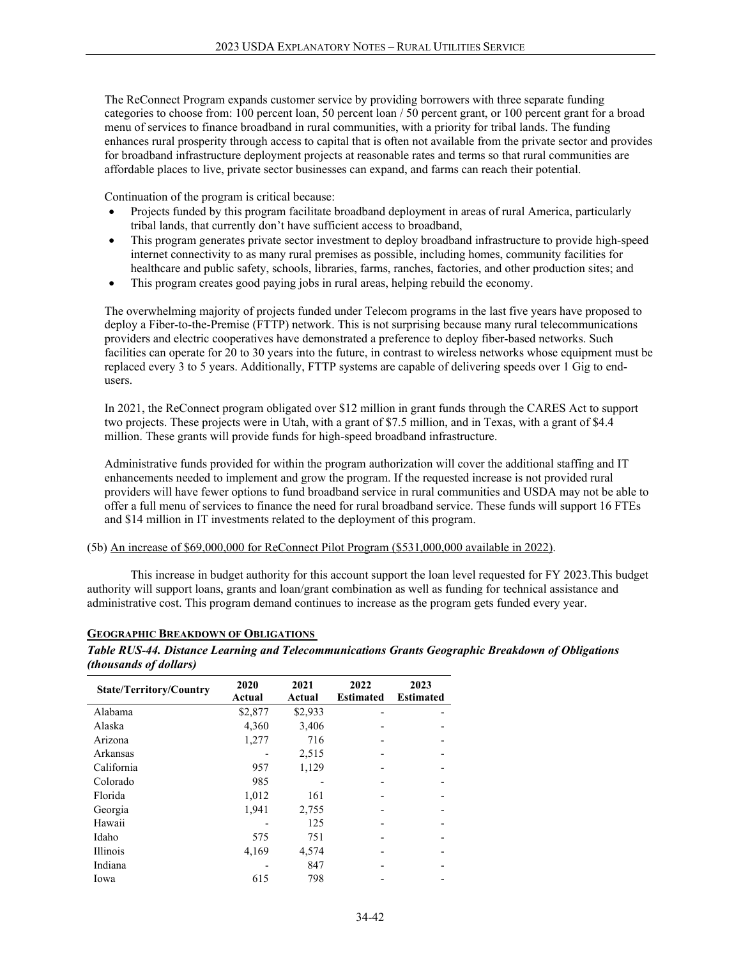The ReConnect Program expands customer service by providing borrowers with three separate funding categories to choose from: 100 percent loan, 50 percent loan / 50 percent grant, or 100 percent grant for a broad menu of services to finance broadband in rural communities, with a priority for tribal lands. The funding enhances rural prosperity through access to capital that is often not available from the private sector and provides for broadband infrastructure deployment projects at reasonable rates and terms so that rural communities are affordable places to live, private sector businesses can expand, and farms can reach their potential.

Continuation of the program is critical because:

- Projects funded by this program facilitate broadband deployment in areas of rural America, particularly tribal lands, that currently don't have sufficient access to broadband,
- This program generates private sector investment to deploy broadband infrastructure to provide high-speed internet connectivity to as many rural premises as possible, including homes, community facilities for healthcare and public safety, schools, libraries, farms, ranches, factories, and other production sites; and
- This program creates good paying jobs in rural areas, helping rebuild the economy.

The overwhelming majority of projects funded under Telecom programs in the last five years have proposed to deploy a Fiber-to-the-Premise (FTTP) network. This is not surprising because many rural telecommunications providers and electric cooperatives have demonstrated a preference to deploy fiber-based networks. Such facilities can operate for 20 to 30 years into the future, in contrast to wireless networks whose equipment must be replaced every 3 to 5 years. Additionally, FTTP systems are capable of delivering speeds over 1 Gig to endusers.

In 2021, the ReConnect program obligated over \$12 million in grant funds through the CARES Act to support two projects. These projects were in Utah, with a grant of \$7.5 million, and in Texas, with a grant of \$4.4 million. These grants will provide funds for high-speed broadband infrastructure.

Administrative funds provided for within the program authorization will cover the additional staffing and IT enhancements needed to implement and grow the program. If the requested increase is not provided rural providers will have fewer options to fund broadband service in rural communities and USDA may not be able to offer a full menu of services to finance the need for rural broadband service. These funds will support 16 FTEs and \$14 million in IT investments related to the deployment of this program.

#### (5b) An increase of \$69,000,000 for ReConnect Pilot Program (\$531,000,000 available in 2022).

This increase in budget authority for this account support the loan level requested for FY 2023.This budget authority will support loans, grants and loan/grant combination as well as funding for technical assistance and administrative cost. This program demand continues to increase as the program gets funded every year.

### <span id="page-41-0"></span>**GEOGRAPHIC BREAKDOWN OF OBLIGATIONS**

*Table RUS-44. Distance Learning and Telecommunications Grants Geographic Breakdown of Obligations (thousands of dollars)*

| <b>State/Territory/Country</b> | 2020<br>Actual | 2021<br>Actual | 2022<br><b>Estimated</b> | 2023<br><b>Estimated</b> |
|--------------------------------|----------------|----------------|--------------------------|--------------------------|
| Alabama                        | \$2,877        | \$2,933        |                          |                          |
| Alaska                         | 4,360          | 3,406          |                          |                          |
| Arizona                        | 1,277          | 716            |                          |                          |
| Arkansas                       |                | 2,515          |                          |                          |
| California                     | 957            | 1,129          |                          |                          |
| Colorado                       | 985            |                |                          |                          |
| Florida                        | 1,012          | 161            |                          |                          |
| Georgia                        | 1,941          | 2,755          |                          |                          |
| Hawaii                         |                | 125            |                          |                          |
| Idaho                          | 575            | 751            |                          |                          |
| Illinois                       | 4,169          | 4,574          |                          |                          |
| Indiana                        |                | 847            |                          |                          |
| Iowa                           | 615            | 798            |                          |                          |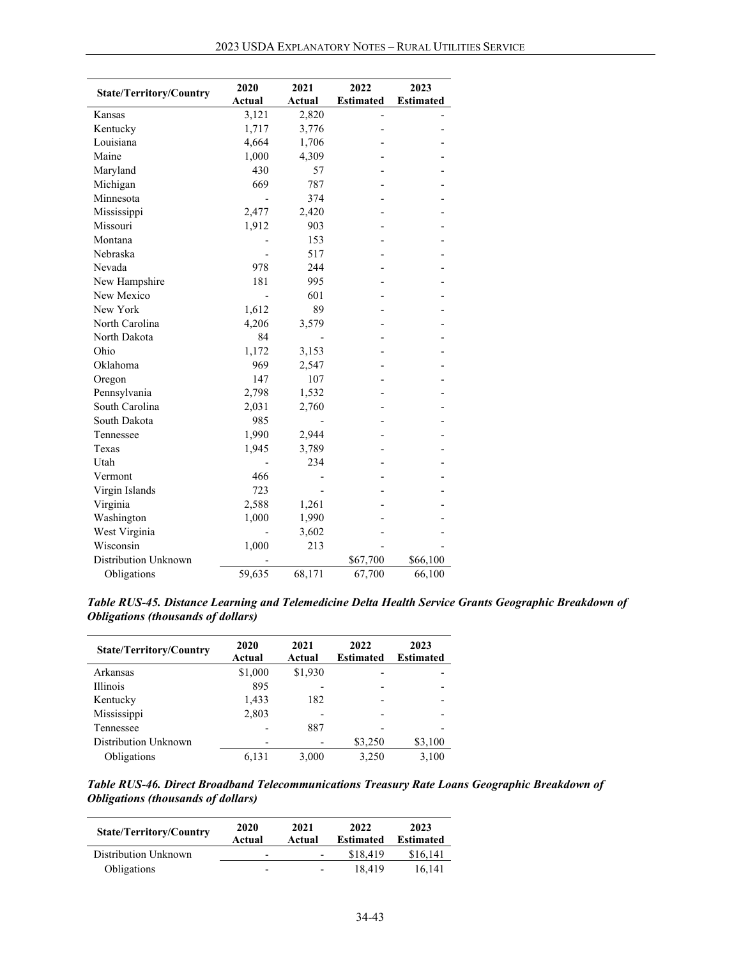| <b>State/Territory/Country</b> | 2020   | 2021   | 2022             | 2023             |
|--------------------------------|--------|--------|------------------|------------------|
|                                | Actual | Actual | <b>Estimated</b> | <b>Estimated</b> |
| Kansas                         | 3,121  | 2,820  |                  |                  |
| Kentucky                       | 1,717  | 3,776  |                  |                  |
| Louisiana                      | 4,664  | 1,706  |                  |                  |
| Maine                          | 1,000  | 4,309  |                  |                  |
| Maryland                       | 430    | 57     |                  |                  |
| Michigan                       | 669    | 787    |                  |                  |
| Minnesota                      |        | 374    |                  |                  |
| Mississippi                    | 2,477  | 2,420  |                  |                  |
| Missouri                       | 1,912  | 903    |                  |                  |
| Montana                        |        | 153    |                  |                  |
| Nebraska                       |        | 517    |                  |                  |
| Nevada                         | 978    | 244    |                  |                  |
| New Hampshire                  | 181    | 995    |                  |                  |
| New Mexico                     |        | 601    |                  |                  |
| New York                       | 1,612  | 89     |                  |                  |
| North Carolina                 | 4,206  | 3,579  |                  |                  |
| North Dakota                   | 84     |        |                  |                  |
| Ohio                           | 1,172  | 3,153  |                  |                  |
| Oklahoma                       | 969    | 2,547  |                  |                  |
| Oregon                         | 147    | 107    |                  |                  |
| Pennsylvania                   | 2,798  | 1,532  |                  |                  |
| South Carolina                 | 2,031  | 2,760  |                  |                  |
| South Dakota                   | 985    |        |                  |                  |
| Tennessee                      | 1,990  | 2,944  |                  |                  |
| Texas                          | 1,945  | 3,789  |                  |                  |
| Utah                           |        | 234    |                  |                  |
| Vermont                        | 466    |        |                  |                  |
| Virgin Islands                 | 723    |        |                  |                  |
| Virginia                       | 2,588  | 1,261  |                  |                  |
| Washington                     | 1,000  | 1,990  |                  |                  |
| West Virginia                  |        | 3,602  |                  |                  |
| Wisconsin                      | 1,000  | 213    |                  |                  |
| Distribution Unknown           |        |        | \$67,700         | \$66,100         |
| Obligations                    | 59,635 | 68,171 | 67,700           | 66,100           |

| Table RUS-45. Distance Learning and Telemedicine Delta Health Service Grants Geographic Breakdown of |  |  |
|------------------------------------------------------------------------------------------------------|--|--|
| <i><b>Obligations (thousands of dollars)</b></i>                                                     |  |  |

| <b>State/Territory/Country</b> | 2020<br>Actual | 2021<br>Actual | 2022<br><b>Estimated</b> | 2023<br><b>Estimated</b> |
|--------------------------------|----------------|----------------|--------------------------|--------------------------|
| Arkansas                       | \$1,000        | \$1,930        |                          |                          |
| <b>Illinois</b>                | 895            |                |                          |                          |
| Kentucky                       | 1,433          | 182            |                          |                          |
| Mississippi                    | 2,803          |                |                          |                          |
| Tennessee                      |                | 887            |                          |                          |
| Distribution Unknown           |                |                | \$3,250                  | \$3,100                  |
| Obligations                    | 6.131          | 3,000          | 3,250                    | 3,100                    |

*Table RUS-46. Direct Broadband Telecommunications Treasury Rate Loans Geographic Breakdown of Obligations (thousands of dollars)*

| <b>State/Territory/Country</b> | 2020<br>Actual           | 2021<br>Actual           | 2022<br><b>Estimated</b> | 2023<br><b>Estimated</b> |
|--------------------------------|--------------------------|--------------------------|--------------------------|--------------------------|
| Distribution Unknown           | -                        | $\overline{\phantom{a}}$ | \$18,419                 | \$16,141                 |
| Obligations                    | $\overline{\phantom{0}}$ | $\overline{\phantom{a}}$ | 18.419                   | 16.141                   |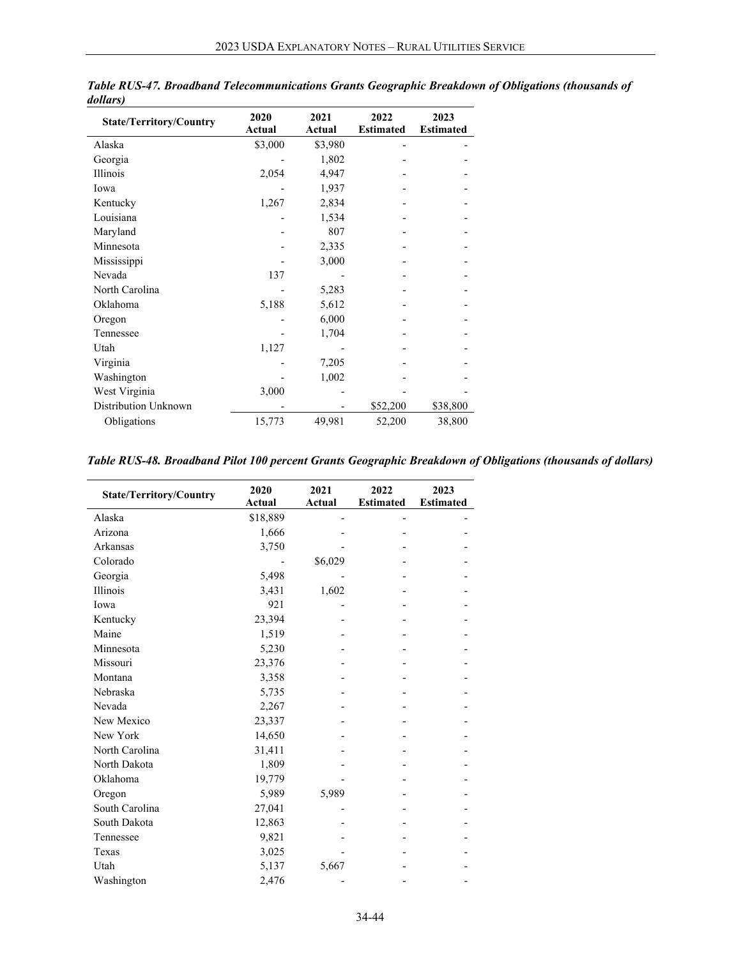| <b>State/Territory/Country</b> | 2020<br>Actual | 2021<br>Actual | 2022<br><b>Estimated</b> | 2023<br><b>Estimated</b> |
|--------------------------------|----------------|----------------|--------------------------|--------------------------|
|                                |                |                |                          |                          |
| Alaska                         | \$3,000        | \$3,980        |                          |                          |
| Georgia                        |                | 1,802          |                          |                          |
| Illinois                       | 2,054          | 4,947          |                          |                          |
| Iowa                           |                | 1,937          |                          |                          |
| Kentucky                       | 1,267          | 2,834          |                          |                          |
| Louisiana                      |                | 1,534          |                          |                          |
| Maryland                       |                | 807            |                          |                          |
| Minnesota                      |                | 2,335          |                          |                          |
| Mississippi                    |                | 3,000          |                          |                          |
| Nevada                         | 137            |                |                          |                          |
| North Carolina                 |                | 5,283          |                          |                          |
| Oklahoma                       | 5,188          | 5,612          |                          |                          |
| Oregon                         |                | 6,000          |                          |                          |
| Tennessee                      |                | 1,704          |                          |                          |
| Utah                           | 1,127          |                |                          |                          |
| Virginia                       |                | 7,205          |                          |                          |
| Washington                     |                | 1,002          |                          |                          |
| West Virginia                  | 3,000          |                |                          |                          |
| Distribution Unknown           |                |                | \$52,200                 | \$38,800                 |
| Obligations                    | 15,773         | 49,981         | 52,200                   | 38,800                   |

*Table RUS-47. Broadband Telecommunications Grants Geographic Breakdown of Obligations (thousands of dollars)*

*Table RUS-48. Broadband Pilot 100 percent Grants Geographic Breakdown of Obligations (thousands of dollars)*

| <b>State/Territory/Country</b> | 2020<br>Actual | 2021<br>Actual | 2022<br><b>Estimated</b> | 2023<br><b>Estimated</b> |
|--------------------------------|----------------|----------------|--------------------------|--------------------------|
| Alaska                         | \$18,889       |                |                          |                          |
| Arizona                        | 1,666          |                |                          |                          |
| Arkansas                       | 3,750          |                |                          |                          |
| Colorado                       |                | \$6,029        |                          |                          |
| Georgia                        | 5,498          |                |                          |                          |
| Illinois                       | 3,431          | 1,602          |                          |                          |
| Iowa                           | 921            |                |                          |                          |
| Kentucky                       | 23,394         |                |                          |                          |
| Maine                          | 1,519          |                |                          |                          |
| Minnesota                      | 5,230          |                |                          |                          |
| Missouri                       | 23,376         |                |                          |                          |
| Montana                        | 3,358          |                |                          |                          |
| Nebraska                       | 5,735          |                |                          |                          |
| Nevada                         | 2,267          |                |                          |                          |
| New Mexico                     | 23,337         |                |                          |                          |
| New York                       | 14,650         |                |                          |                          |
| North Carolina                 | 31,411         |                |                          |                          |
| North Dakota                   | 1,809          |                |                          |                          |
| Oklahoma                       | 19,779         |                |                          |                          |
| Oregon                         | 5,989          | 5,989          |                          |                          |
| South Carolina                 | 27,041         |                |                          |                          |
| South Dakota                   | 12,863         |                |                          |                          |
| Tennessee                      | 9,821          |                |                          |                          |
| Texas                          | 3,025          |                |                          |                          |
| Utah                           | 5,137          | 5,667          |                          |                          |
| Washington                     | 2,476          |                |                          |                          |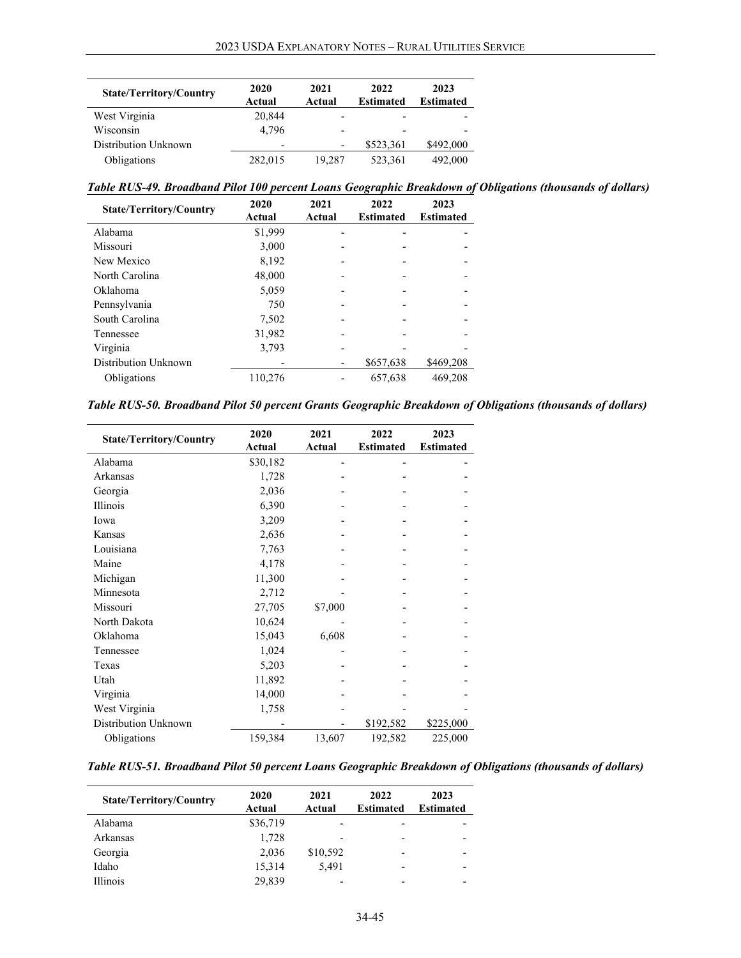| <b>State/Territory/Country</b> | 2020<br>Actual           | 2021<br>Actual | 2022<br><b>Estimated</b> | 2023<br><b>Estimated</b> |
|--------------------------------|--------------------------|----------------|--------------------------|--------------------------|
| West Virginia                  | 20,844                   |                |                          |                          |
| Wisconsin                      | 4.796                    |                |                          |                          |
| Distribution Unknown           | $\overline{\phantom{a}}$ |                | \$523,361                | \$492,000                |
| Obligations                    | 282,015                  | 19,287         | 523,361                  | 492,000                  |

*Table RUS-49. Broadband Pilot 100 percent Loans Geographic Breakdown of Obligations (thousands of dollars)*

| <b>State/Territory/Country</b> | 2020<br>Actual | 2021<br>Actual | 2022<br><b>Estimated</b> | 2023<br><b>Estimated</b> |
|--------------------------------|----------------|----------------|--------------------------|--------------------------|
| Alabama                        | \$1,999        |                |                          |                          |
| Missouri                       | 3,000          |                |                          |                          |
| New Mexico                     | 8,192          |                |                          |                          |
| North Carolina                 | 48,000         |                |                          |                          |
| Oklahoma                       | 5,059          |                |                          |                          |
| Pennsylvania                   | 750            |                |                          |                          |
| South Carolina                 | 7,502          |                |                          |                          |
| Tennessee                      | 31,982         |                |                          |                          |
| Virginia                       | 3,793          |                |                          |                          |
| Distribution Unknown           |                |                | \$657,638                | \$469,208                |
| Obligations                    | 110,276        |                | 657,638                  | 469,208                  |

*Table RUS-50. Broadband Pilot 50 percent Grants Geographic Breakdown of Obligations (thousands of dollars)*

| <b>State/Territory/Country</b> | 2020<br>Actual | 2021<br>Actual | 2022<br><b>Estimated</b> | 2023<br><b>Estimated</b> |
|--------------------------------|----------------|----------------|--------------------------|--------------------------|
| Alabama                        | \$30,182       |                |                          |                          |
| Arkansas                       | 1,728          |                |                          |                          |
| Georgia                        | 2,036          |                |                          |                          |
| Illinois                       | 6,390          |                |                          |                          |
| Iowa                           | 3,209          |                |                          |                          |
| Kansas                         | 2,636          |                |                          |                          |
| Louisiana                      | 7,763          |                |                          |                          |
| Maine                          | 4,178          |                |                          |                          |
| Michigan                       | 11,300         |                |                          |                          |
| Minnesota                      | 2,712          |                |                          |                          |
| Missouri                       | 27,705         | \$7,000        |                          |                          |
| North Dakota                   | 10,624         |                |                          |                          |
| Oklahoma                       | 15,043         | 6,608          |                          |                          |
| Tennessee                      | 1,024          |                |                          |                          |
| Texas                          | 5,203          |                |                          |                          |
| Utah                           | 11,892         |                |                          |                          |
| Virginia                       | 14,000         |                |                          |                          |
| West Virginia                  | 1,758          |                |                          |                          |
| Distribution Unknown           |                |                | \$192,582                | \$225,000                |
| Obligations                    | 159,384        | 13,607         | 192,582                  | 225,000                  |

*Table RUS-51. Broadband Pilot 50 percent Loans Geographic Breakdown of Obligations (thousands of dollars)*

| <b>State/Territory/Country</b> | 2020<br><b>Actual</b> | 2021<br>Actual | 2022<br><b>Estimated</b> | 2023<br><b>Estimated</b> |
|--------------------------------|-----------------------|----------------|--------------------------|--------------------------|
| Alabama                        | \$36,719              |                |                          |                          |
| Arkansas                       | 1,728                 |                | $\overline{\phantom{0}}$ |                          |
| Georgia                        | 2,036                 | \$10,592       | $\overline{\phantom{0}}$ |                          |
| Idaho                          | 15,314                | 5,491          | $\overline{\phantom{0}}$ |                          |
| <b>Illinois</b>                | 29,839                |                |                          |                          |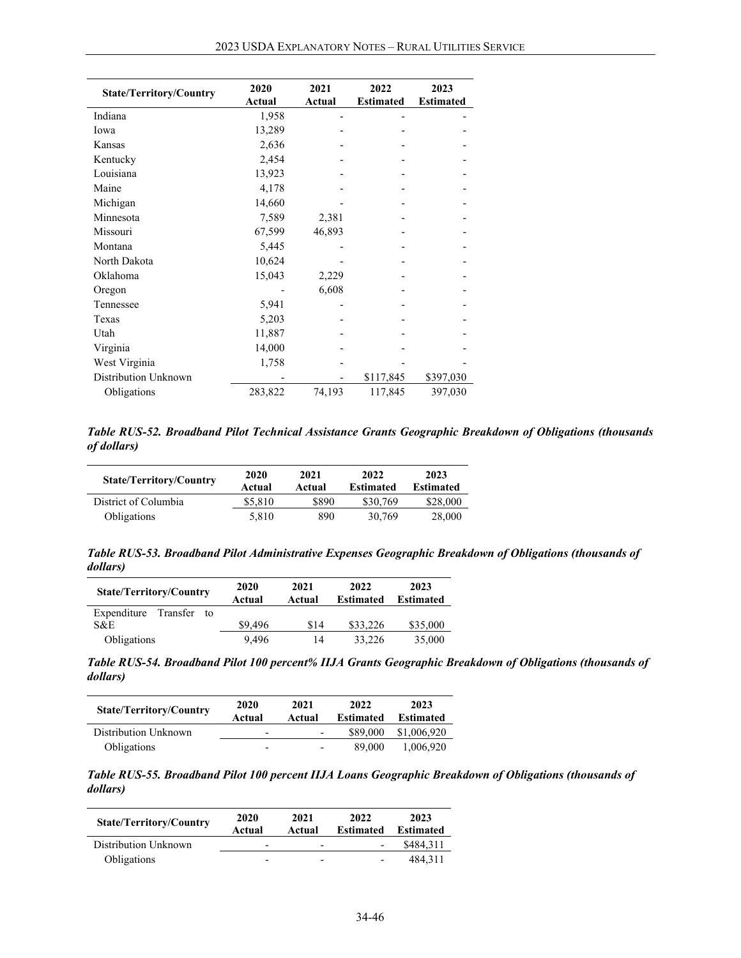| <b>State/Territory/Country</b> | 2020<br>Actual | 2021<br>Actual | 2022<br><b>Estimated</b> | 2023<br><b>Estimated</b> |
|--------------------------------|----------------|----------------|--------------------------|--------------------------|
| Indiana                        | 1,958          |                |                          |                          |
| Iowa                           | 13,289         |                |                          |                          |
| Kansas                         | 2,636          |                |                          |                          |
| Kentucky                       | 2,454          |                |                          |                          |
| Louisiana                      | 13,923         |                |                          |                          |
| Maine                          | 4,178          |                |                          |                          |
| Michigan                       | 14,660         |                |                          |                          |
| Minnesota                      | 7,589          | 2,381          |                          |                          |
| Missouri                       | 67,599         | 46,893         |                          |                          |
| Montana                        | 5,445          |                |                          |                          |
| North Dakota                   | 10,624         |                |                          |                          |
| Oklahoma                       | 15,043         | 2,229          |                          |                          |
| Oregon                         |                | 6,608          |                          |                          |
| Tennessee                      | 5,941          |                |                          |                          |
| Texas                          | 5,203          |                |                          |                          |
| Utah                           | 11,887         |                |                          |                          |
| Virginia                       | 14,000         |                |                          |                          |
| West Virginia                  | 1,758          |                |                          |                          |
| Distribution Unknown           |                |                | \$117,845                | \$397,030                |
| Obligations                    | 283,822        | 74,193         | 117,845                  | 397,030                  |

*Table RUS-52. Broadband Pilot Technical Assistance Grants Geographic Breakdown of Obligations (thousands of dollars)*

| <b>State/Territory/Country</b> | 2020<br>Actual | 2021<br>Actual | 2022<br><b>Estimated</b> | 2023<br><b>Estimated</b> |
|--------------------------------|----------------|----------------|--------------------------|--------------------------|
| District of Columbia           | \$5,810        | \$890          | \$30,769                 | \$28,000                 |
| Obligations                    | 5.810          | 890            | 30,769                   | 28,000                   |

*Table RUS-53. Broadband Pilot Administrative Expenses Geographic Breakdown of Obligations (thousands of dollars)*

| <b>State/Territory/Country</b> |  | 2020<br>Actual | 2021<br>Actual | 2022<br><b>Estimated</b> | 2023<br><b>Estimated</b> |          |
|--------------------------------|--|----------------|----------------|--------------------------|--------------------------|----------|
| Expenditure Transfer           |  | to             |                |                          |                          |          |
| S&E                            |  |                | \$9,496        | \$14                     | \$33,226                 | \$35,000 |
| Obligations                    |  |                | 9.496          | 14                       | 33.226                   | 35,000   |

*Table RUS-54. Broadband Pilot 100 percent% IIJA Grants Geographic Breakdown of Obligations (thousands of dollars)*

| <b>State/Territory/Country</b> | 2020<br>Actual           | 2021<br>Actual           | 2022<br><b>Estimated</b> | 2023<br><b>Estimated</b> |
|--------------------------------|--------------------------|--------------------------|--------------------------|--------------------------|
| Distribution Unknown           | $\overline{\phantom{a}}$ | $\overline{\phantom{0}}$ | \$89,000                 | \$1,006,920              |
| Obligations                    | $\overline{\phantom{a}}$ | $\overline{\phantom{a}}$ | 89,000                   | 1.006.920                |

*Table RUS-55. Broadband Pilot 100 percent IIJA Loans Geographic Breakdown of Obligations (thousands of dollars)*

| <b>State/Territory/Country</b> | 2020<br>Actual           | 2021<br>Actual           | 2022<br><b>Estimated</b> | 2023<br><b>Estimated</b> |
|--------------------------------|--------------------------|--------------------------|--------------------------|--------------------------|
| Distribution Unknown           | -                        | $\overline{\phantom{0}}$ | $\overline{\phantom{0}}$ | \$484.311                |
| Obligations                    | $\overline{\phantom{0}}$ | $\overline{\phantom{0}}$ |                          | 484.311                  |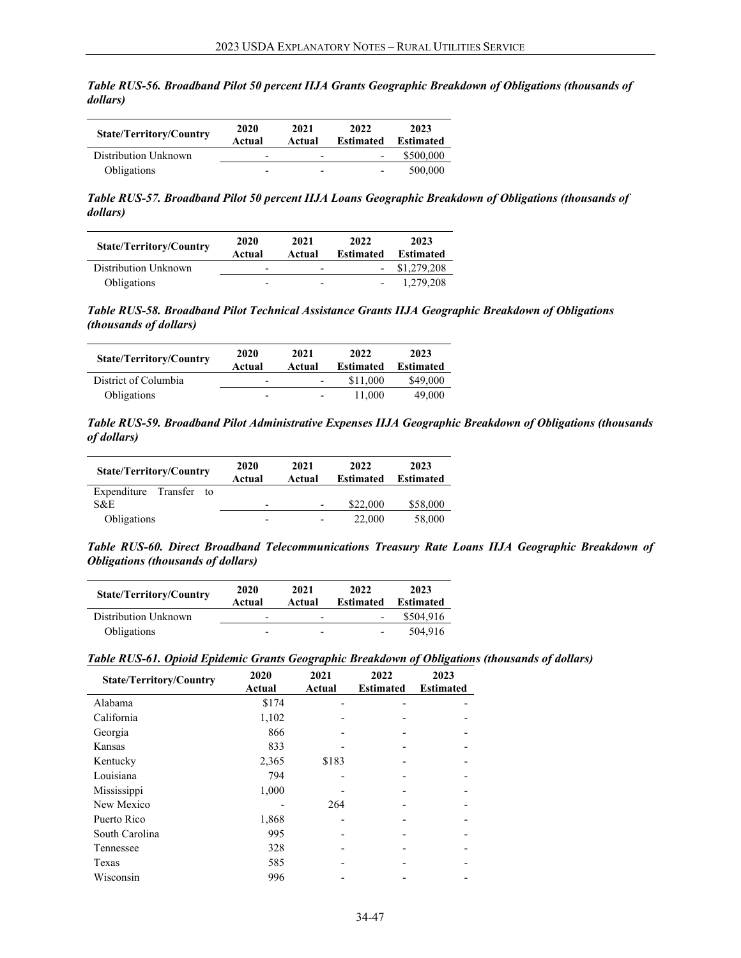|                  | Table RUS-56. Broadband Pilot 50 percent IIJA Grants Geographic Breakdown of Obligations (thousands of |  |  |  |
|------------------|--------------------------------------------------------------------------------------------------------|--|--|--|
| <i>dollars</i> ) |                                                                                                        |  |  |  |

| <b>State/Territory/Country</b> | 2020<br>Actual           | 2021<br>Actual           | 2022<br><b>Estimated</b> | 2023<br><b>Estimated</b> |
|--------------------------------|--------------------------|--------------------------|--------------------------|--------------------------|
| Distribution Unknown           | $\overline{\phantom{a}}$ | $\overline{\phantom{a}}$ |                          | \$500,000                |
| Obligations                    | $\overline{\phantom{a}}$ | $\overline{\phantom{a}}$ | $\overline{\phantom{0}}$ | 500,000                  |

*Table RUS-57. Broadband Pilot 50 percent IIJA Loans Geographic Breakdown of Obligations (thousands of dollars)*

| <b>State/Territory/Country</b> | 2020<br>Actual           | 2021<br>Actual           | 2022<br><b>Estimated</b> | 2023<br><b>Estimated</b> |
|--------------------------------|--------------------------|--------------------------|--------------------------|--------------------------|
| Distribution Unknown           | $\overline{\phantom{a}}$ | $\overline{\phantom{0}}$ |                          | \$1,279,208              |
| Obligations                    | $\overline{\phantom{a}}$ | $\overline{\phantom{a}}$ |                          | 1,279,208                |

*Table RUS-58. Broadband Pilot Technical Assistance Grants IIJA Geographic Breakdown of Obligations (thousands of dollars)*

| <b>State/Territory/Country</b> | 2020<br>Actual           | 2021<br>Actual           | 2022<br><b>Estimated</b> | 2023<br><b>Estimated</b> |
|--------------------------------|--------------------------|--------------------------|--------------------------|--------------------------|
| District of Columbia           | $\overline{\phantom{0}}$ | $\overline{\phantom{a}}$ | \$11,000                 | \$49,000                 |
| Obligations                    | $\overline{\phantom{0}}$ | $\overline{\phantom{a}}$ | 11,000                   | 49,000                   |

*Table RUS-59. Broadband Pilot Administrative Expenses IIJA Geographic Breakdown of Obligations (thousands of dollars)*

| <b>State/Territory/Country</b> |  | 2020<br>Actual           | 2021<br>Actual           | 2022<br><b>Estimated</b> | 2023<br><b>Estimated</b> |
|--------------------------------|--|--------------------------|--------------------------|--------------------------|--------------------------|
| Expenditure Transfer to        |  |                          |                          |                          |                          |
| S&E                            |  | -                        | $\blacksquare$           | \$22,000                 | \$58,000                 |
| Obligations                    |  | $\overline{\phantom{0}}$ | $\overline{\phantom{a}}$ | 22,000                   | 58,000                   |

*Table RUS-60. Direct Broadband Telecommunications Treasury Rate Loans IIJA Geographic Breakdown of Obligations (thousands of dollars)*

| <b>State/Territory/Country</b> | 2020<br>Actual           | 2021<br>Actual           | 2022<br><b>Estimated</b> | 2023<br><b>Estimated</b> |
|--------------------------------|--------------------------|--------------------------|--------------------------|--------------------------|
| Distribution Unknown           | -                        | $\overline{\phantom{a}}$ | $\overline{\phantom{a}}$ | \$504.916                |
| Obligations                    | $\overline{\phantom{0}}$ | $\overline{\phantom{a}}$ | $\overline{\phantom{a}}$ | 504.916                  |

*Table RUS-61. Opioid Epidemic Grants Geographic Breakdown of Obligations (thousands of dollars)*

| <b>State/Territory/Country</b> | 2020<br>Actual | 2021<br>Actual | 2022<br><b>Estimated</b> | 2023<br><b>Estimated</b> |
|--------------------------------|----------------|----------------|--------------------------|--------------------------|
| Alabama                        | \$174          |                |                          |                          |
| California                     | 1,102          |                |                          |                          |
| Georgia                        | 866            |                |                          |                          |
| Kansas                         | 833            |                |                          |                          |
| Kentucky                       | 2,365          | \$183          |                          |                          |
| Louisiana                      | 794            |                |                          |                          |
| Mississippi                    | 1,000          |                |                          |                          |
| New Mexico                     |                | 264            |                          |                          |
| Puerto Rico                    | 1,868          |                |                          |                          |
| South Carolina                 | 995            |                |                          |                          |
| Tennessee                      | 328            |                |                          |                          |
| Texas                          | 585            |                |                          |                          |
| Wisconsin                      | 996            |                |                          |                          |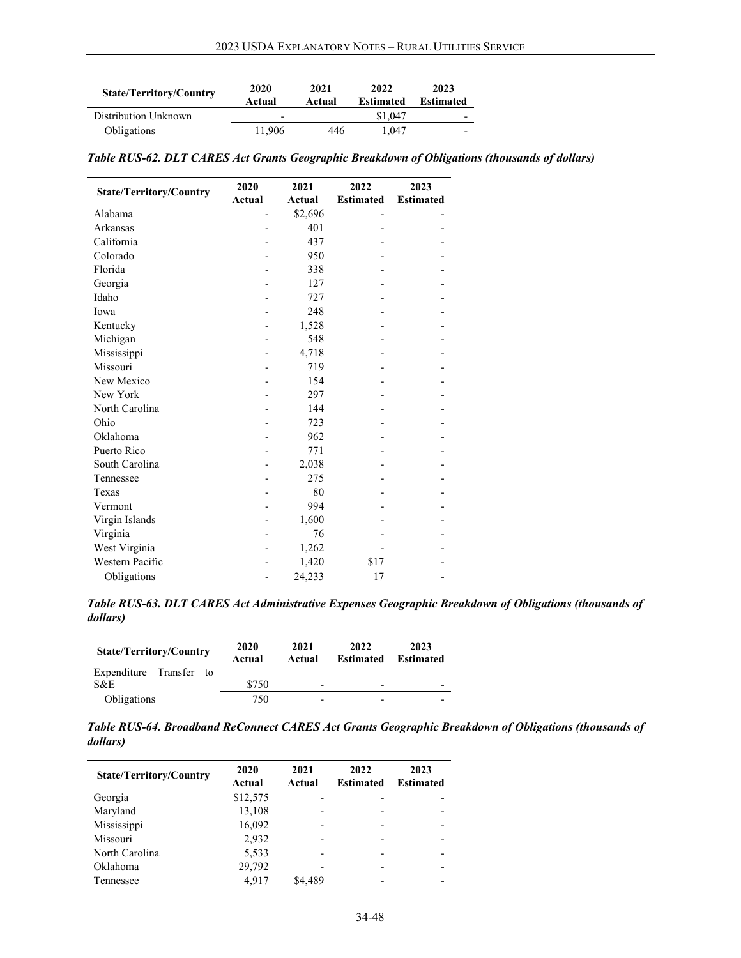| <b>State/Territory/Country</b> | 2020<br>Actual           | 2021<br>Actual | 2022<br><b>Estimated</b> | 2023<br><b>Estimated</b> |
|--------------------------------|--------------------------|----------------|--------------------------|--------------------------|
| Distribution Unknown           | $\overline{\phantom{0}}$ |                | \$1,047                  | $\overline{\phantom{a}}$ |
| Obligations                    | 11.906                   | 446            | 1.047                    | $\overline{\phantom{0}}$ |

*Table RUS-62. DLT CARES Act Grants Geographic Breakdown of Obligations (thousands of dollars)*

| <b>State/Territory/Country</b> | 2020   | 2021    | 2022             | 2023             |
|--------------------------------|--------|---------|------------------|------------------|
|                                | Actual | Actual  | <b>Estimated</b> | <b>Estimated</b> |
| Alabama                        |        | \$2,696 |                  |                  |
| Arkansas                       |        | 401     |                  |                  |
| California                     |        | 437     |                  |                  |
| Colorado                       |        | 950     |                  |                  |
| Florida                        |        | 338     |                  |                  |
| Georgia                        |        | 127     |                  |                  |
| Idaho                          |        | 727     |                  |                  |
| Iowa                           |        | 248     |                  |                  |
| Kentucky                       |        | 1,528   |                  |                  |
| Michigan                       |        | 548     |                  |                  |
| Mississippi                    |        | 4,718   |                  |                  |
| Missouri                       |        | 719     |                  |                  |
| New Mexico                     |        | 154     |                  |                  |
| New York                       |        | 297     |                  |                  |
| North Carolina                 |        | 144     |                  |                  |
| Ohio                           |        | 723     |                  |                  |
| Oklahoma                       |        | 962     |                  |                  |
| Puerto Rico                    |        | 771     |                  |                  |
| South Carolina                 |        | 2,038   |                  |                  |
| Tennessee                      |        | 275     |                  |                  |
| Texas                          |        | 80      |                  |                  |
| Vermont                        |        | 994     |                  |                  |
| Virgin Islands                 |        | 1,600   |                  |                  |
| Virginia                       |        | 76      |                  |                  |
| West Virginia                  |        | 1,262   |                  |                  |
| Western Pacific                |        | 1,420   | \$17             |                  |
| Obligations                    |        | 24,233  | 17               |                  |

*Table RUS-63. DLT CARES Act Administrative Expenses Geographic Breakdown of Obligations (thousands of dollars)*

| <b>State/Territory/Country</b> | 2020<br>Actual | 2021<br>Actual           | 2022<br><b>Estimated</b> | 2023<br><b>Estimated</b> |
|--------------------------------|----------------|--------------------------|--------------------------|--------------------------|
| Expenditure Transfer to        |                |                          |                          |                          |
| S&E                            | \$750          | $\overline{\phantom{0}}$ | $\overline{\phantom{0}}$ |                          |
| Obligations                    | 750            | $\overline{\phantom{0}}$ | $\overline{\phantom{0}}$ |                          |

*Table RUS-64. Broadband ReConnect CARES Act Grants Geographic Breakdown of Obligations (thousands of dollars)*

| <b>State/Territory/Country</b> | 2020<br><b>Actual</b> | 2021<br>Actual | 2022<br><b>Estimated</b> | 2023<br><b>Estimated</b> |
|--------------------------------|-----------------------|----------------|--------------------------|--------------------------|
| Georgia                        | \$12,575              |                |                          |                          |
| Maryland                       | 13,108                |                |                          |                          |
| Mississippi                    | 16,092                | ۰              |                          |                          |
| Missouri                       | 2,932                 |                |                          |                          |
| North Carolina                 | 5,533                 | ۰              |                          |                          |
| Oklahoma                       | 29,792                |                |                          |                          |
| Tennessee                      | 4.917                 | \$4.489        |                          |                          |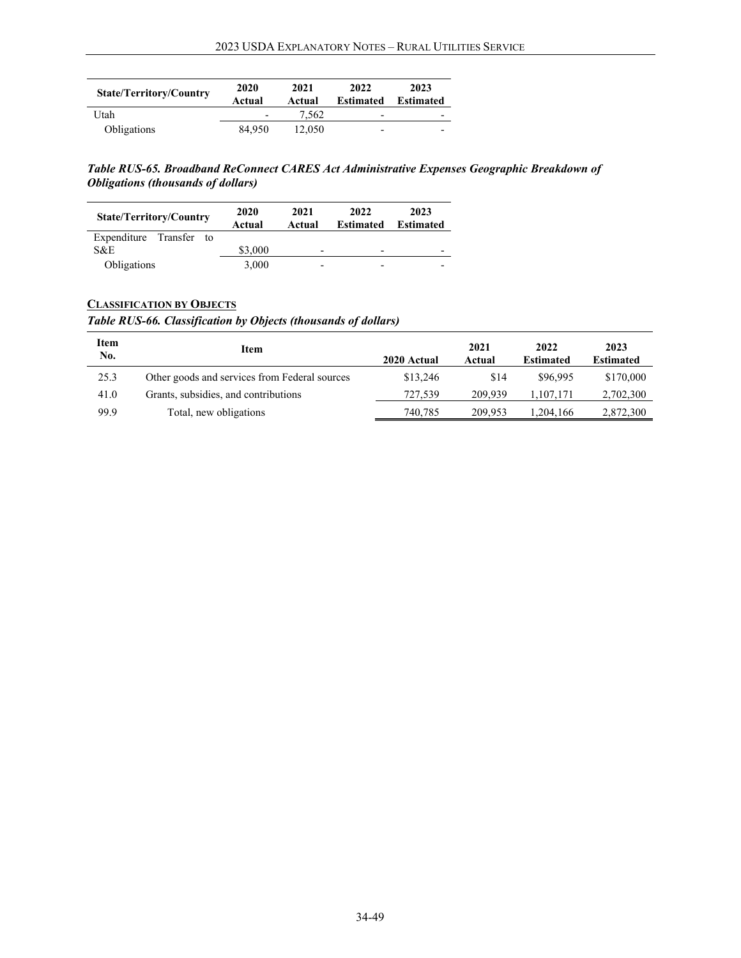| <b>State/Territory/Country</b> | 2020<br>Actual           | 2021<br>Actual | 2022<br><b>Estimated</b> | 2023<br><b>Estimated</b> |
|--------------------------------|--------------------------|----------------|--------------------------|--------------------------|
| Utah                           | $\overline{\phantom{a}}$ | 7.562          | $\overline{\phantom{0}}$ | $\overline{\phantom{0}}$ |
| Obligations                    | 84.950                   | 12.050         | $\overline{\phantom{0}}$ | $\overline{\phantom{0}}$ |

*Table RUS-65. Broadband ReConnect CARES Act Administrative Expenses Geographic Breakdown of Obligations (thousands of dollars)*

| <b>State/Territory/Country</b> | 2020<br>Actual | 2021<br>Actual           | 2022<br><b>Estimated</b> | 2023<br><b>Estimated</b> |
|--------------------------------|----------------|--------------------------|--------------------------|--------------------------|
| Expenditure Transfer to        |                |                          |                          |                          |
| S&E                            | \$3,000        | $\overline{\phantom{0}}$ | $\overline{\phantom{0}}$ |                          |
| Obligations                    | 3,000          | $\overline{\phantom{0}}$ | $\overline{\phantom{0}}$ |                          |

# <span id="page-48-0"></span>**CLASSIFICATION BY OBJECTS**

# *Table RUS-66. Classification by Objects (thousands of dollars)*

| <b>Item</b><br>No. | Item                                          | 2020 Actual | 2021<br>Actual | 2022<br><b>Estimated</b> | 2023<br><b>Estimated</b> |
|--------------------|-----------------------------------------------|-------------|----------------|--------------------------|--------------------------|
| 25.3               | Other goods and services from Federal sources | \$13,246    | \$14           | \$96,995                 | \$170,000                |
| 41.0               | Grants, subsidies, and contributions          | 727,539     | 209.939        | 1.107.171                | 2,702,300                |
| 99.9               | Total, new obligations                        | 740.785     | 209.953        | 1.204.166                | 2,872,300                |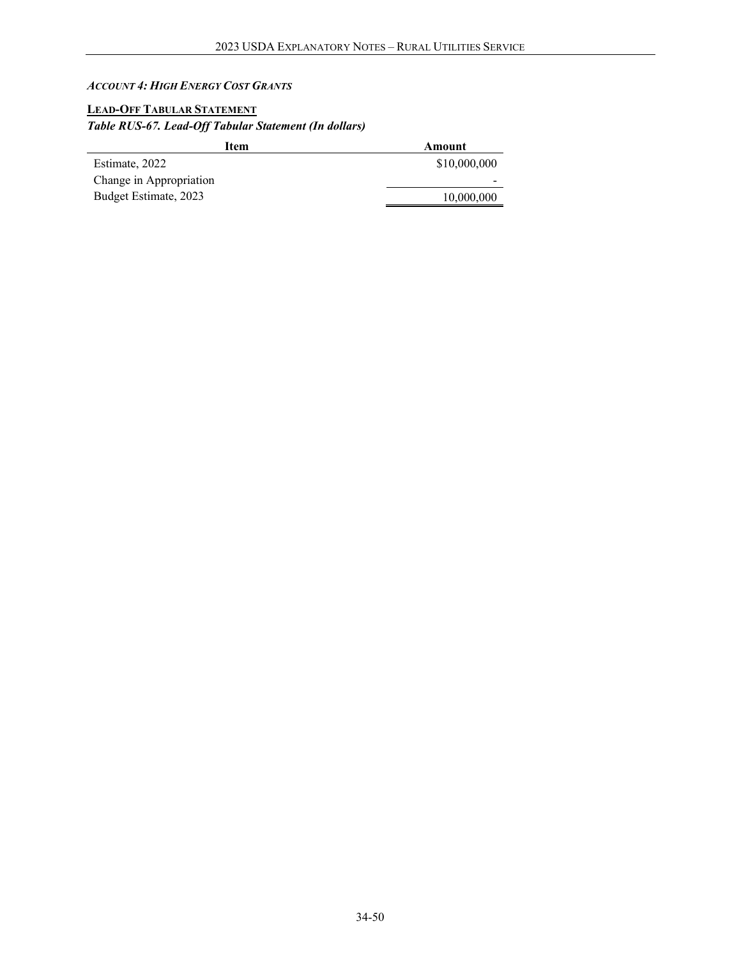# <span id="page-49-0"></span>*ACCOUNT 4: HIGH ENERGY COST GRANTS*

# <span id="page-49-1"></span>**LEAD-OFF TABULAR STATEMENT** *Table RUS-67. Lead-Off Tabular Statement (In dollars)*

| Item                    | Amount       |
|-------------------------|--------------|
| Estimate, 2022          | \$10,000,000 |
| Change in Appropriation |              |
| Budget Estimate, 2023   | 10,000,000   |
|                         |              |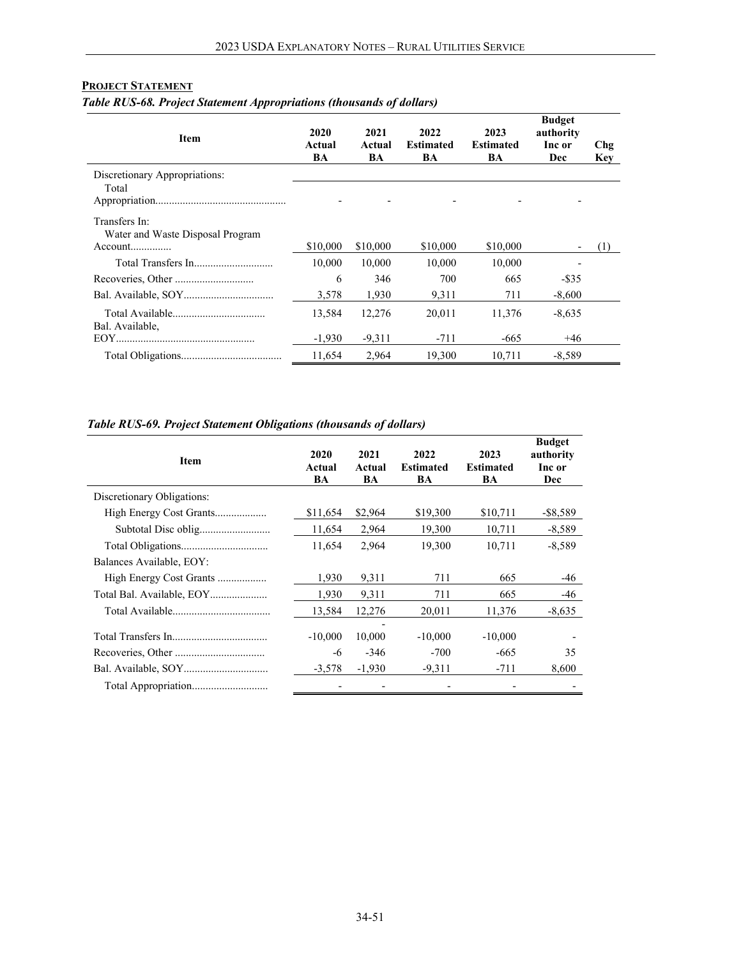# <span id="page-50-0"></span>**PROJECT STATEMENT**

# *Table RUS-68. Project Statement Appropriations (thousands of dollars)*

| <b>Item</b>                                       | 2020<br>Actual<br>BA | 2021<br>Actual<br>BA | 2022<br><b>Estimated</b><br>BA | 2023<br><b>Estimated</b><br>BA | <b>Budget</b><br>authority<br>Inc or<br>Dec |     |
|---------------------------------------------------|----------------------|----------------------|--------------------------------|--------------------------------|---------------------------------------------|-----|
| Discretionary Appropriations:<br>Total            |                      |                      |                                |                                |                                             |     |
| Transfers In:<br>Water and Waste Disposal Program | \$10,000             | \$10,000             | \$10,000                       | \$10,000                       |                                             | (1) |
|                                                   | 10,000               | 10,000               | 10,000                         | 10,000                         |                                             |     |
|                                                   | 6                    | 346                  | 700                            | 665                            | $-$ \$35                                    |     |
|                                                   | 3.578                | 1.930                | 9.311                          | 711                            | $-8.600$                                    |     |
| Bal. Available,                                   | 13,584               | 12,276               | 20,011                         | 11,376                         | $-8,635$                                    |     |
|                                                   | $-1,930$             | -9,311               | -711                           | -665                           | $+46$                                       |     |
|                                                   | 11.654               | 2.964                | 19.300                         | 10.711                         | -8.589                                      |     |

# *Table RUS-69. Project Statement Obligations (thousands of dollars)*

| Item                       | 2020<br>Actual<br>BA | 2021<br>Actual<br>BA | 2022<br><b>Estimated</b><br>BA | 2023<br><b>Estimated</b><br>BA | <b>Budget</b><br>authority<br>Inc or<br>Dec |
|----------------------------|----------------------|----------------------|--------------------------------|--------------------------------|---------------------------------------------|
| Discretionary Obligations: |                      |                      |                                |                                |                                             |
|                            | \$11,654             | \$2,964              | \$19,300                       | \$10,711                       | -\$8,589                                    |
|                            | 11,654               | 2,964                | 19,300                         | 10,711                         | $-8,589$                                    |
|                            | 11,654               | 2,964                | 19,300                         | 10,711                         | $-8,589$                                    |
| Balances Available, EOY:   |                      |                      |                                |                                |                                             |
| High Energy Cost Grants    | 1,930                | 9,311                | 711                            | 665                            | -46                                         |
|                            | 1,930                | 9,311                | 711                            | 665                            | -46                                         |
|                            | 13,584               | 12,276               | 20,011                         | 11,376                         | $-8,635$                                    |
|                            | $-10,000$            | 10,000               | $-10,000$                      | $-10,000$                      |                                             |
|                            | -6                   | $-346$               | $-700$                         | -665                           | 35                                          |
|                            | $-3,578$             | $-1,930$             | $-9,311$                       | $-711$                         | 8,600                                       |
|                            |                      |                      |                                |                                |                                             |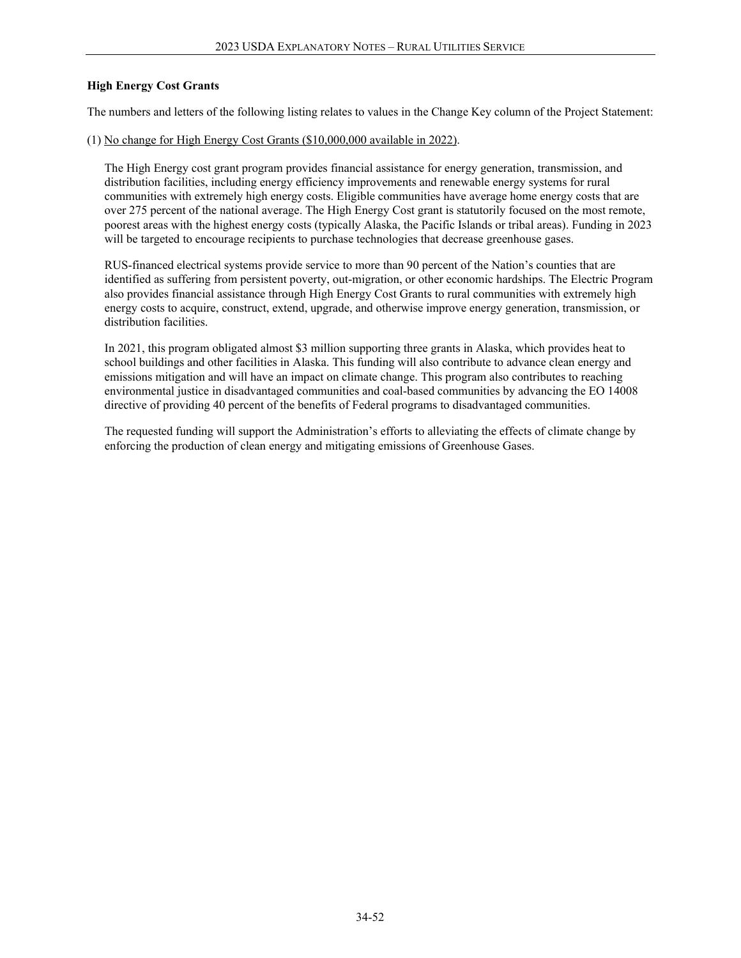# **High Energy Cost Grants**

The numbers and letters of the following listing relates to values in the Change Key column of the Project Statement:

(1) No change for High Energy Cost Grants (\$10,000,000 available in 2022).

The High Energy cost grant program provides financial assistance for energy generation, transmission, and distribution facilities, including energy efficiency improvements and renewable energy systems for rural communities with extremely high energy costs. Eligible communities have average home energy costs that are over 275 percent of the national average. The High Energy Cost grant is statutorily focused on the most remote, poorest areas with the highest energy costs (typically Alaska, the Pacific Islands or tribal areas). Funding in 2023 will be targeted to encourage recipients to purchase technologies that decrease greenhouse gases.

RUS-financed electrical systems provide service to more than 90 percent of the Nation's counties that are identified as suffering from persistent poverty, out-migration, or other economic hardships. The Electric Program also provides financial assistance throug[h High Energy Cost Grants](https://www.rd.usda.gov/programs-services/high-energy-cost-grants) to rural communities with extremely high energy costs to acquire, construct, extend, upgrade, and otherwise improve energy generation, transmission, or distribution facilities.

In 2021, this program obligated almost \$3 million supporting three grants in Alaska, which provides heat to school buildings and other facilities in Alaska. This funding will also contribute to advance clean energy and emissions mitigation and will have an impact on climate change. This program also contributes to reaching environmental justice in disadvantaged communities and coal-based communities by advancing the EO 14008 directive of providing 40 percent of the benefits of Federal programs to disadvantaged communities.

The requested funding will support the Administration's efforts to alleviating the effects of climate change by enforcing the production of clean energy and mitigating emissions of Greenhouse Gases.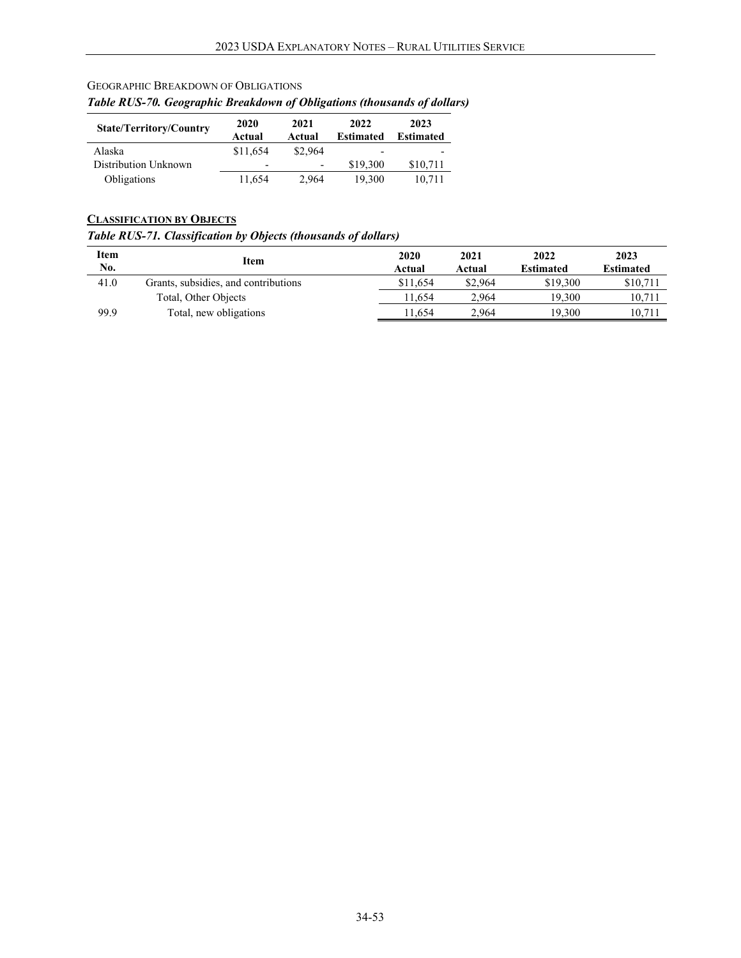| <b>State/Territory/Country</b> | 2020<br>Actual           | 2021<br>Actual           | 2022<br><b>Estimated</b> | 2023<br><b>Estimated</b> |
|--------------------------------|--------------------------|--------------------------|--------------------------|--------------------------|
| Alaska                         | \$11,654                 | \$2,964                  | $\overline{\phantom{0}}$ | $\overline{\phantom{0}}$ |
| Distribution Unknown           | $\overline{\phantom{a}}$ | $\overline{\phantom{a}}$ | \$19,300                 | \$10,711                 |
| Obligations                    | 11.654                   | 2.964                    | 19.300                   | 10,711                   |

# <span id="page-52-0"></span>GEOGRAPHIC BREAKDOWN OF OBLIGATIONS

# *Table RUS-70. Geographic Breakdown of Obligations (thousands of dollars)*

# <span id="page-52-1"></span>**CLASSIFICATION BY OBJECTS**

# *Table RUS-71. Classification by Objects (thousands of dollars)*

| <b>Item</b><br>No. | Item                                 | 2020<br>Actual | 2021<br>Actual | 2022<br><b>Estimated</b> | 2023<br><b>Estimated</b> |
|--------------------|--------------------------------------|----------------|----------------|--------------------------|--------------------------|
| 41.0               | Grants, subsidies, and contributions | \$11.654       | \$2,964        | \$19,300                 | \$10,711                 |
|                    | Total, Other Objects                 | 11.654         | 2.964          | 19.300                   | 10.711                   |
| 99.9               | Total, new obligations               | 11.654         | 2.964          | 19.300                   | 10.711                   |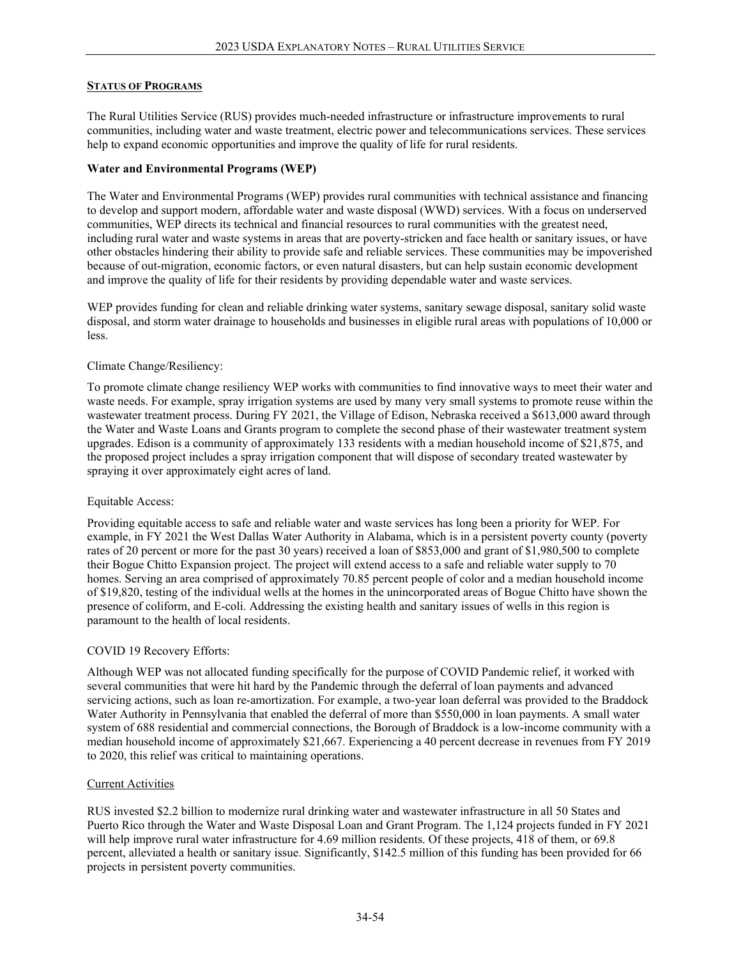## <span id="page-53-0"></span>**STATUS OF PROGRAMS**

The Rural Utilities Service (RUS) provides much-needed infrastructure or infrastructure improvements to rural communities, including water and waste treatment, electric power and telecommunications services. These services help to expand economic opportunities and improve the quality of life for rural residents.

### **Water and Environmental Programs (WEP)**

The Water and Environmental Programs (WEP) provides rural communities with technical assistance and financing to develop and support modern, affordable water and waste disposal (WWD) services. With a focus on underserved communities, WEP directs its technical and financial resources to rural communities with the greatest need, including rural water and waste systems in areas that are poverty-stricken and face health or sanitary issues, or have other obstacles hindering their ability to provide safe and reliable services. These communities may be impoverished because of out-migration, economic factors, or even natural disasters, but can help sustain economic development and improve the quality of life for their residents by providing dependable water and waste services.

WEP provides funding for clean and reliable drinking water systems, sanitary sewage disposal, sanitary solid waste disposal, and storm water drainage to households and businesses in eligible rural areas with populations of 10,000 or less.

### Climate Change/Resiliency:

To promote climate change resiliency WEP works with communities to find innovative ways to meet their water and waste needs. For example, spray irrigation systems are used by many very small systems to promote reuse within the wastewater treatment process. During FY 2021, the Village of Edison, Nebraska received a \$613,000 award through the Water and Waste Loans and Grants program to complete the second phase of their wastewater treatment system upgrades. Edison is a community of approximately 133 residents with a median household income of \$21,875, and the proposed project includes a spray irrigation component that will dispose of secondary treated wastewater by spraying it over approximately eight acres of land.

#### Equitable Access:

Providing equitable access to safe and reliable water and waste services has long been a priority for WEP. For example, in FY 2021 the West Dallas Water Authority in Alabama, which is in a persistent poverty county (poverty rates of 20 percent or more for the past 30 years) received a loan of \$853,000 and grant of \$1,980,500 to complete their Bogue Chitto Expansion project. The project will extend access to a safe and reliable water supply to 70 homes. Serving an area comprised of approximately 70.85 percent people of color and a median household income of \$19,820, testing of the individual wells at the homes in the unincorporated areas of Bogue Chitto have shown the presence of coliform, and E-coli. Addressing the existing health and sanitary issues of wells in this region is paramount to the health of local residents.

#### COVID 19 Recovery Efforts:

Although WEP was not allocated funding specifically for the purpose of COVID Pandemic relief, it worked with several communities that were hit hard by the Pandemic through the deferral of loan payments and advanced servicing actions, such as loan re-amortization. For example, a two-year loan deferral was provided to the Braddock Water Authority in Pennsylvania that enabled the deferral of more than \$550,000 in loan payments. A small water system of 688 residential and commercial connections, the Borough of Braddock is a low-income community with a median household income of approximately \$21,667. Experiencing a 40 percent decrease in revenues from FY 2019 to 2020, this relief was critical to maintaining operations.

#### Current Activities

RUS invested \$2.2 billion to modernize rural drinking water and wastewater infrastructure in all 50 States and Puerto Rico through the Water and Waste Disposal Loan and Grant Program. The 1,124 projects funded in FY 2021 will help improve rural water infrastructure for 4.69 million residents. Of these projects, 418 of them, or 69.8 percent, alleviated a health or sanitary issue. Significantly, \$142.5 million of this funding has been provided for 66 projects in persistent poverty communities.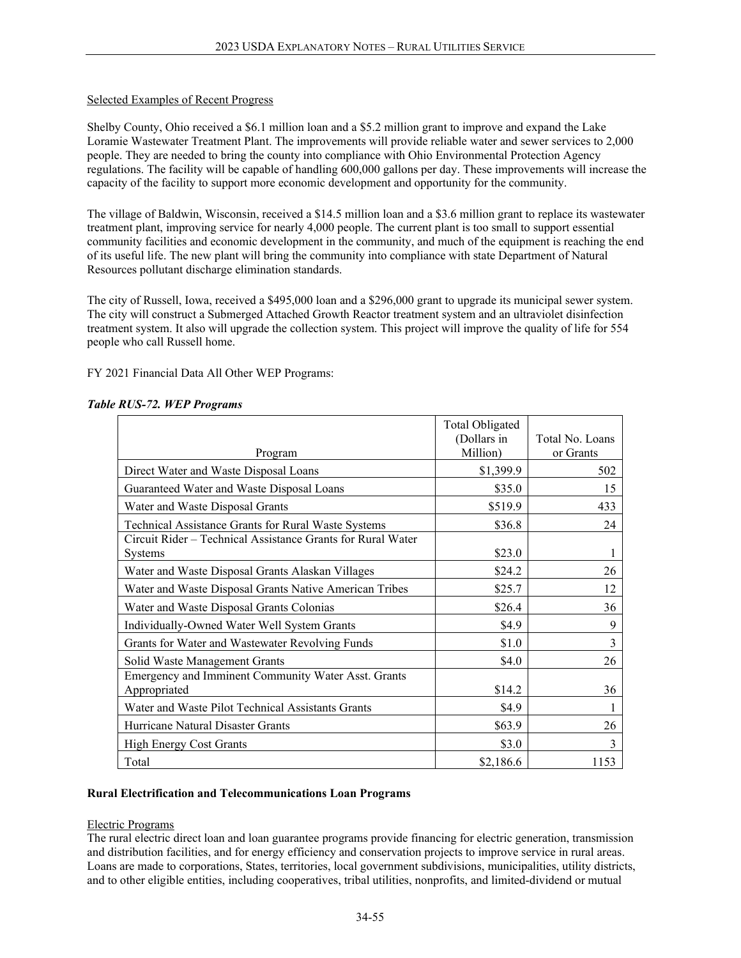### Selected Examples of Recent Progress

Shelby County, Ohio received a \$6.1 million loan and a \$5.2 million grant to improve and expand the Lake Loramie Wastewater Treatment Plant. The improvements will provide reliable water and sewer services to 2,000 people. They are needed to bring the county into compliance with Ohio Environmental Protection Agency regulations. The facility will be capable of handling 600,000 gallons per day. These improvements will increase the capacity of the facility to support more economic development and opportunity for the community.

The village of Baldwin, Wisconsin, received a \$14.5 million loan and a \$3.6 million grant to replace its wastewater treatment plant, improving service for nearly 4,000 people. The current plant is too small to support essential community facilities and economic development in the community, and much of the equipment is reaching the end of its useful life. The new plant will bring the community into compliance with state Department of Natural Resources pollutant discharge elimination standards.

The city of Russell, Iowa, received a \$495,000 loan and a \$296,000 grant to upgrade its municipal sewer system. The city will construct a Submerged Attached Growth Reactor treatment system and an ultraviolet disinfection treatment system. It also will upgrade the collection system. This project will improve the quality of life for 554 people who call Russell home.

FY 2021 Financial Data All Other WEP Programs:

| Program                                                                | <b>Total Obligated</b><br>(Dollars in<br>Million) | Total No. Loans<br>or Grants |
|------------------------------------------------------------------------|---------------------------------------------------|------------------------------|
| Direct Water and Waste Disposal Loans                                  | \$1,399.9                                         | 502                          |
| Guaranteed Water and Waste Disposal Loans                              | \$35.0                                            | 15                           |
| Water and Waste Disposal Grants                                        | \$519.9                                           | 433                          |
| Technical Assistance Grants for Rural Waste Systems                    | \$36.8                                            | 24                           |
| Circuit Rider – Technical Assistance Grants for Rural Water<br>Systems | \$23.0                                            |                              |
| Water and Waste Disposal Grants Alaskan Villages                       | \$24.2                                            | 26                           |
| Water and Waste Disposal Grants Native American Tribes                 | \$25.7                                            | 12                           |
| Water and Waste Disposal Grants Colonias                               | \$26.4                                            | 36                           |
| Individually-Owned Water Well System Grants                            | \$4.9                                             | 9                            |
| Grants for Water and Wastewater Revolving Funds                        | \$1.0                                             | 3                            |
| Solid Waste Management Grants                                          | \$4.0                                             | 26                           |
| Emergency and Imminent Community Water Asst. Grants<br>Appropriated    | \$14.2                                            | 36                           |
| Water and Waste Pilot Technical Assistants Grants                      | \$4.9                                             | 1                            |
| Hurricane Natural Disaster Grants                                      | \$63.9                                            | 26                           |
| <b>High Energy Cost Grants</b>                                         | \$3.0                                             | 3                            |
| Total                                                                  | \$2,186.6                                         | 1153                         |

### *Table RUS-72. WEP Programs*

#### **Rural Electrification and Telecommunications Loan Programs**

#### Electric Programs

The rural electric direct loan and loan guarantee programs provide financing for electric generation, transmission and distribution facilities, and for energy efficiency and conservation projects to improve service in rural areas. Loans are made to corporations, States, territories, local government subdivisions, municipalities, utility districts, and to other eligible entities, including cooperatives, tribal utilities, nonprofits, and limited-dividend or mutual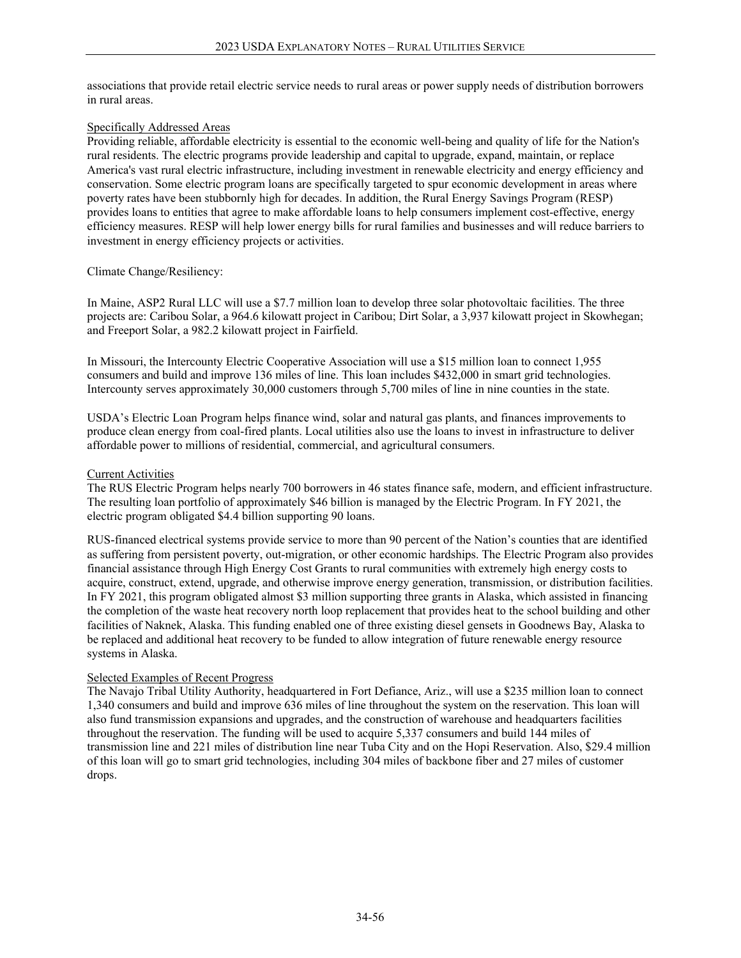associations that provide retail electric service needs to rural areas or power supply needs of distribution borrowers in rural areas.

## Specifically Addressed Areas

Providing reliable, affordable electricity is essential to the economic well-being and quality of life for the Nation's rural residents. The electric programs provide leadership and capital to upgrade, expand, maintain, or replace America's vast rural electric infrastructure, including investment in renewable electricity and energy efficiency and conservation. Some electric program loans are specifically targeted to spur economic development in areas where poverty rates have been stubbornly high for decades. In addition, the [Rural Energy Savings Program \(RESP\)](https://www.rd.usda.gov/programs-services/rural-energy-savings-program) provides loans to entities that agree to make affordable loans to help consumers implement cost-effective, energy efficiency measures[. RESP w](https://www.rd.usda.gov/programs-services/rural-energy-savings-program)ill help lower energy bills for rural families and businesses and will reduce barriers to investment in energy efficiency projects or activities.

### Climate Change/Resiliency:

In Maine, ASP2 Rural LLC will use a \$7.7 million loan to develop three solar photovoltaic facilities. The three projects are: Caribou Solar, a 964.6 kilowatt project in Caribou; Dirt Solar, a 3,937 kilowatt project in Skowhegan; and Freeport Solar, a 982.2 kilowatt project in Fairfield.

In Missouri, the Intercounty Electric Cooperative Association will use a \$15 million loan to connect 1,955 consumers and build and improve 136 miles of line. This loan includes \$432,000 in smart grid technologies. Intercounty serves approximately 30,000 customers through 5,700 miles of line in nine counties in the state.

USDA's Electric Loan Program helps finance wind, solar and natural gas plants, and finances improvements to produce clean energy from coal-fired plants. Local utilities also use the loans to invest in infrastructure to deliver affordable power to millions of residential, commercial, and agricultural consumers.

## Current Activities

The RUS Electric Program helps nearly 700 borrowers in 46 states finance safe, modern, and efficient infrastructure. The resulting loan portfolio of approximately \$46 billion is managed by the Electric Program. In FY 2021, the electric program obligated \$4.4 billion supporting 90 loans.

RUS-financed electrical systems provide service to more than 90 percent of the Nation's counties that are identified as suffering from persistent poverty, out-migration, or other economic hardships. The Electric Program also provides financial assistance throug[h High Energy Cost Grants](https://www.rd.usda.gov/programs-services/high-energy-cost-grants) to rural communities with extremely high energy costs to acquire, construct, extend, upgrade, and otherwise improve energy generation, transmission, or distribution facilities. In FY 2021, this program obligated almost \$3 million supporting three grants in Alaska, which assisted in financing the completion of the waste heat recovery north loop replacement that provides heat to the school building and other facilities of Naknek, Alaska. This funding enabled one of three existing diesel gensets in Goodnews Bay, Alaska to be replaced and additional heat recovery to be funded to allow integration of future renewable energy resource systems in Alaska.

# Selected Examples of Recent Progress

The Navajo Tribal Utility Authority, headquartered in Fort Defiance, Ariz., will use a \$235 million loan to connect 1,340 consumers and build and improve 636 miles of line throughout the system on the reservation. This loan will also fund transmission expansions and upgrades, and the construction of warehouse and headquarters facilities throughout the reservation. The funding will be used to acquire 5,337 consumers and build 144 miles of transmission line and 221 miles of distribution line near Tuba City and on the Hopi Reservation. Also, \$29.4 million of this loan will go to smart grid technologies, including 304 miles of backbone fiber and 27 miles of customer drops.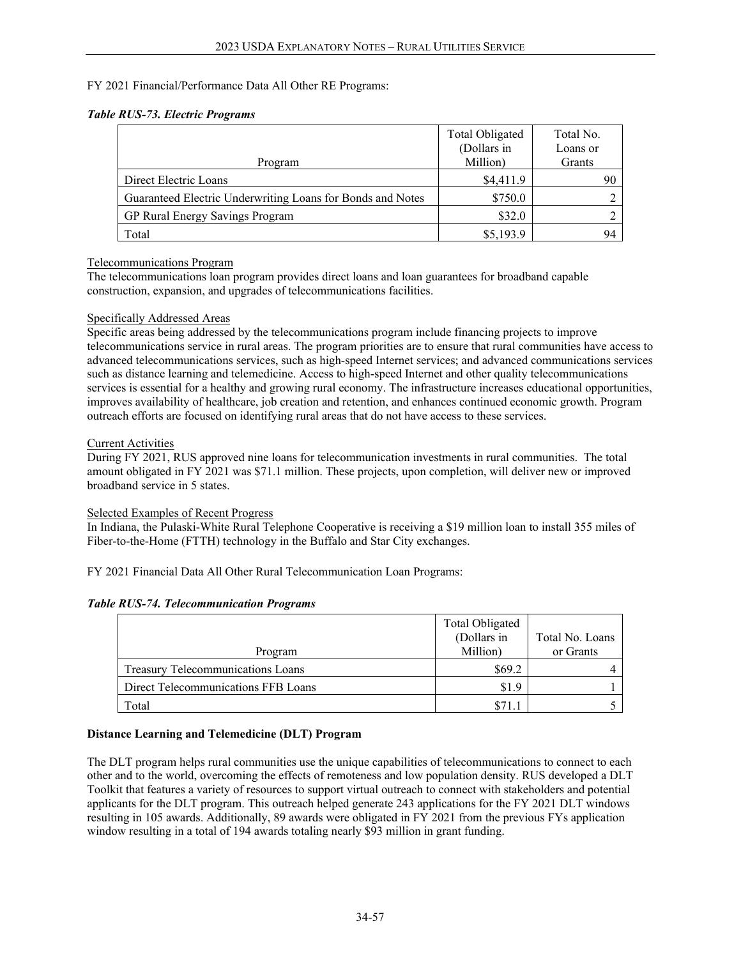# FY 2021 Financial/Performance Data All Other RE Programs:

## *Table RUS-73. Electric Programs*

| Program                                                    | Total Obligated<br>(Dollars in<br>Million) | Total No.<br>Loans or<br>Grants |
|------------------------------------------------------------|--------------------------------------------|---------------------------------|
| Direct Electric Loans                                      | \$4,411.9                                  | 90                              |
| Guaranteed Electric Underwriting Loans for Bonds and Notes | \$750.0                                    |                                 |
| GP Rural Energy Savings Program                            | \$32.0                                     |                                 |
| Total                                                      | \$5,193.9                                  | 94                              |

# Telecommunications Program

The telecommunications loan program provides direct loans and loan guarantees for broadband capable construction, expansion, and upgrades of telecommunications facilities.

# Specifically Addressed Areas

Specific areas being addressed by the telecommunications program include financing projects to improve telecommunications service in rural areas. The program priorities are to ensure that rural communities have access to advanced telecommunications services, such as high-speed Internet services; and advanced communications services such as distance learning and telemedicine. Access to high-speed Internet and other quality telecommunications services is essential for a healthy and growing rural economy. The infrastructure increases educational opportunities, improves availability of healthcare, job creation and retention, and enhances continued economic growth. Program outreach efforts are focused on identifying rural areas that do not have access to these services.

### Current Activities

During FY 2021, RUS approved nine loans for telecommunication investments in rural communities. The total amount obligated in FY 2021 was \$71.1 million. These projects, upon completion, will deliver new or improved broadband service in 5 states.

# Selected Examples of Recent Progress

In Indiana, the Pulaski-White Rural Telephone Cooperative is receiving a \$19 million loan to install 355 miles of Fiber-to-the-Home (FTTH) technology in the Buffalo and Star City exchanges.

FY 2021 Financial Data All Other Rural Telecommunication Loan Programs:

#### *Table RUS-74. Telecommunication Programs*

|                                          | Total Obligated |                 |
|------------------------------------------|-----------------|-----------------|
|                                          | (Dollars in     | Total No. Loans |
| Program                                  | Million)        | or Grants       |
| <b>Treasury Telecommunications Loans</b> | \$69.2          |                 |
| Direct Telecommunications FFB Loans      | \$1.9           |                 |
| Total                                    |                 |                 |

# **Distance Learning and Telemedicine (DLT) Program**

The DLT program helps rural communities use the unique capabilities of telecommunications to connect to each other and to the world, overcoming the effects of remoteness and low population density. RUS developed a DLT Toolkit that features a variety of resources to support virtual outreach to connect with stakeholders and potential applicants for the DLT program. This outreach helped generate 243 applications for the FY 2021 DLT windows resulting in 105 awards. Additionally, 89 awards were obligated in FY 2021 from the previous FYs application window resulting in a total of 194 awards totaling nearly \$93 million in grant funding.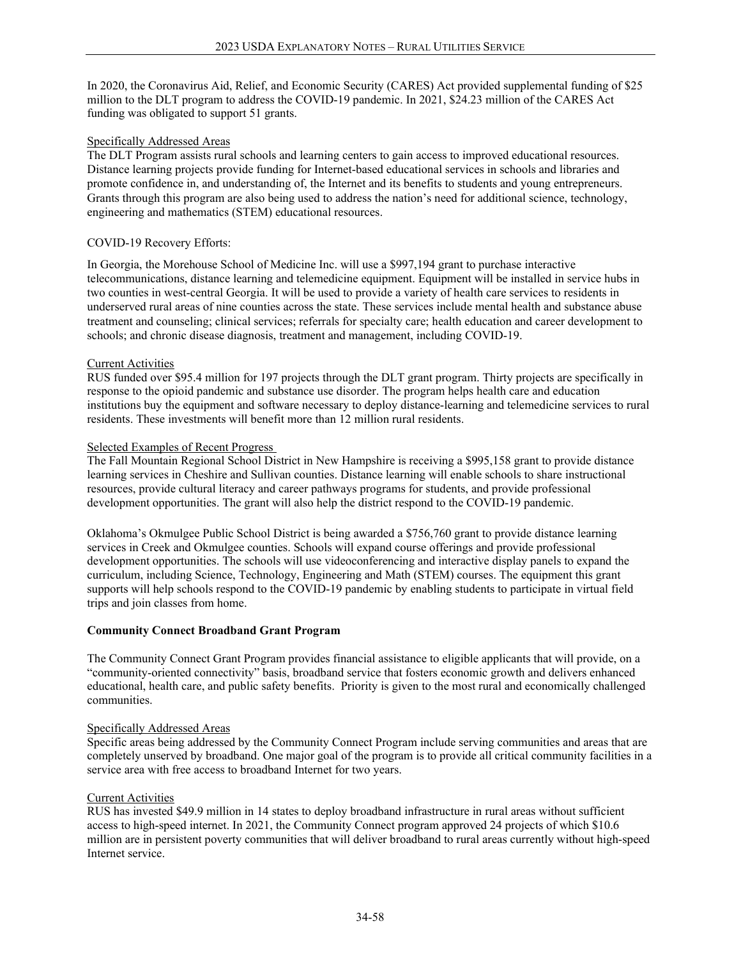In 2020, the Coronavirus Aid, Relief, and Economic Security (CARES) Act provided supplemental funding of \$25 million to the DLT program to address the COVID-19 pandemic. In 2021, \$24.23 million of the CARES Act funding was obligated to support 51 grants.

# Specifically Addressed Areas

The DLT Program assists rural schools and learning centers to gain access to improved educational resources. Distance learning projects provide funding for Internet-based educational services in schools and libraries and promote confidence in, and understanding of, the Internet and its benefits to students and young entrepreneurs. Grants through this program are also being used to address the nation's need for additional science, technology, engineering and mathematics (STEM) educational resources.

# COVID-19 Recovery Efforts:

In Georgia, the Morehouse School of Medicine Inc. will use a \$997,194 grant to purchase interactive telecommunications, distance learning and telemedicine equipment. Equipment will be installed in service hubs in two counties in west-central Georgia. It will be used to provide a variety of health care services to residents in underserved rural areas of nine counties across the state. These services include mental health and substance abuse treatment and counseling; clinical services; referrals for specialty care; health education and career development to schools; and chronic disease diagnosis, treatment and management, including COVID-19.

# Current Activities

RUS funded over \$95.4 million for 197 projects through the DLT grant program. Thirty projects are specifically in response to the opioid pandemic and substance use disorder. The program helps health care and education institutions buy the equipment and software necessary to deploy distance-learning and telemedicine services to rural residents. These investments will benefit more than 12 million rural residents.

# Selected Examples of Recent Progress

The Fall Mountain Regional School District in New Hampshire is receiving a \$995,158 grant to provide distance learning services in Cheshire and Sullivan counties. Distance learning will enable schools to share instructional resources, provide cultural literacy and career pathways programs for students, and provide professional development opportunities. The grant will also help the district respond to the COVID-19 pandemic.

Oklahoma's Okmulgee Public School District is being awarded a \$756,760 grant to provide distance learning services in Creek and Okmulgee counties. Schools will expand course offerings and provide professional development opportunities. The schools will use videoconferencing and interactive display panels to expand the curriculum, including Science, Technology, Engineering and Math (STEM) courses. The equipment this grant supports will help schools respond to the COVID-19 pandemic by enabling students to participate in virtual field trips and join classes from home.

# **Community Connect Broadband Grant Program**

The Community Connect Grant Program provides financial assistance to eligible applicants that will provide, on a "community-oriented connectivity" basis, broadband service that fosters economic growth and delivers enhanced educational, health care, and public safety benefits. Priority is given to the most rural and economically challenged communities.

# Specifically Addressed Areas

Specific areas being addressed by the Community Connect Program include serving communities and areas that are completely unserved by broadband. One major goal of the program is to provide all critical community facilities in a service area with free access to broadband Internet for two years.

# Current Activities

RUS has invested \$49.9 million in 14 states to deploy broadband infrastructure in rural areas without sufficient access to high-speed internet. In 2021, the Community Connect program approved 24 projects of which \$10.6 million are in persistent poverty communities that will deliver broadband to rural areas currently without high-speed Internet service.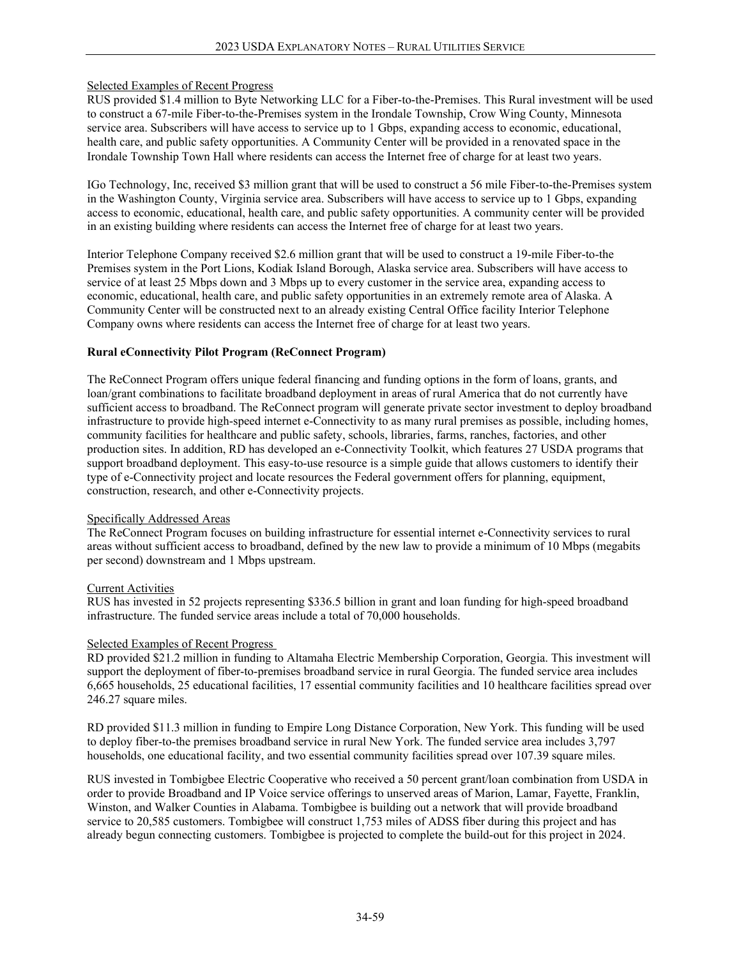# Selected Examples of Recent Progress

RUS provided \$1.4 million to Byte Networking LLC for a Fiber-to-the-Premises. This Rural investment will be used to construct a 67-mile Fiber-to-the-Premises system in the Irondale Township, Crow Wing County, Minnesota service area. Subscribers will have access to service up to 1 Gbps, expanding access to economic, educational, health care, and public safety opportunities. A Community Center will be provided in a renovated space in the Irondale Township Town Hall where residents can access the Internet free of charge for at least two years.

IGo Technology, Inc, received \$3 million grant that will be used to construct a 56 mile Fiber-to-the-Premises system in the Washington County, Virginia service area. Subscribers will have access to service up to 1 Gbps, expanding access to economic, educational, health care, and public safety opportunities. A community center will be provided in an existing building where residents can access the Internet free of charge for at least two years.

Interior Telephone Company received \$2.6 million grant that will be used to construct a 19-mile Fiber-to-the Premises system in the Port Lions, Kodiak Island Borough, Alaska service area. Subscribers will have access to service of at least 25 Mbps down and 3 Mbps up to every customer in the service area, expanding access to economic, educational, health care, and public safety opportunities in an extremely remote area of Alaska. A Community Center will be constructed next to an already existing Central Office facility Interior Telephone Company owns where residents can access the Internet free of charge for at least two years.

# **Rural eConnectivity Pilot Program (ReConnect Program)**

The ReConnect Program offers unique federal financing and funding options in the form of loans, grants, and loan/grant combinations to facilitate broadband deployment in areas of rural America that do not currently have sufficient access to broadband. The ReConnect program will generate private sector investment to deploy broadband infrastructure to provide high-speed internet e-Connectivity to as many rural premises as possible, including homes, community facilities for healthcare and public safety, schools, libraries, farms, ranches, factories, and other production sites. In addition, RD has developed an e-Connectivity Toolkit, which features 27 USDA programs that support broadband deployment. This easy-to-use resource is a simple guide that allows customers to identify their type of e-Connectivity project and locate resources the Federal government offers for planning, equipment, construction, research, and other e-Connectivity projects.

# Specifically Addressed Areas

The ReConnect Program focuses on building infrastructure for essential internet e-Connectivity services to rural areas without sufficient access to broadband, defined by the new law to provide a minimum of 10 Mbps (megabits per second) downstream and 1 Mbps upstream.

# Current Activities

RUS has invested in 52 projects representing \$336.5 billion in grant and loan funding for high-speed broadband infrastructure. The funded service areas include a total of 70,000 households.

# Selected Examples of Recent Progress

RD provided \$21.2 million in funding to Altamaha Electric Membership Corporation, Georgia. This investment will support the deployment of fiber-to-premises broadband service in rural Georgia. The funded service area includes 6,665 households, 25 educational facilities, 17 essential community facilities and 10 healthcare facilities spread over 246.27 square miles.

RD provided \$11.3 million in funding to Empire Long Distance Corporation, New York. This funding will be used to deploy fiber-to-the premises broadband service in rural New York. The funded service area includes 3,797 households, one educational facility, and two essential community facilities spread over 107.39 square miles.

RUS invested in Tombigbee Electric Cooperative who received a 50 percent grant/loan combination from USDA in order to provide Broadband and IP Voice service offerings to unserved areas of Marion, Lamar, Fayette, Franklin, Winston, and Walker Counties in Alabama. Tombigbee is building out a network that will provide broadband service to 20,585 customers. Tombigbee will construct 1,753 miles of ADSS fiber during this project and has already begun connecting customers. Tombigbee is projected to complete the build-out for this project in 2024.